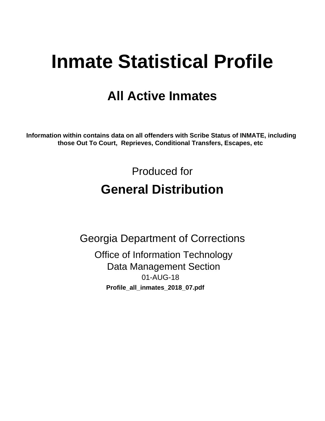# **Inmate Statistical Profile**

## **All Active Inmates**

Information within contains data on all offenders with Scribe Status of INMATE, including those Out To Court, Reprieves, Conditional Transfers, Escapes, etc

> Produced for **General Distribution**

**Georgia Department of Corrections Office of Information Technology Data Management Section** 01-AUG-18 Profile\_all\_inmates\_2018\_07.pdf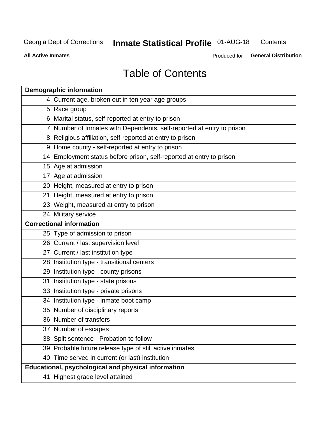#### **Inmate Statistical Profile 01-AUG-18** Contents

**All Active Inmates** 

Produced for General Distribution

## **Table of Contents**

| <b>Demographic information</b>                                        |
|-----------------------------------------------------------------------|
| 4 Current age, broken out in ten year age groups                      |
| 5 Race group                                                          |
| 6 Marital status, self-reported at entry to prison                    |
| 7 Number of Inmates with Dependents, self-reported at entry to prison |
| 8 Religious affiliation, self-reported at entry to prison             |
| 9 Home county - self-reported at entry to prison                      |
| 14 Employment status before prison, self-reported at entry to prison  |
| 15 Age at admission                                                   |
| 17 Age at admission                                                   |
| 20 Height, measured at entry to prison                                |
| 21 Height, measured at entry to prison                                |
| 23 Weight, measured at entry to prison                                |
| 24 Military service                                                   |
| <b>Correctional information</b>                                       |
| 25 Type of admission to prison                                        |
| 26 Current / last supervision level                                   |
| 27 Current / last institution type                                    |
| 28 Institution type - transitional centers                            |
| 29 Institution type - county prisons                                  |
| 31 Institution type - state prisons                                   |
| 33 Institution type - private prisons                                 |
| 34 Institution type - inmate boot camp                                |
| 35 Number of disciplinary reports                                     |
| 36 Number of transfers                                                |
| 37 Number of escapes                                                  |
| 38 Split sentence - Probation to follow                               |
| 39 Probable future release type of still active inmates               |
| 40 Time served in current (or last) institution                       |
| Educational, psychological and physical information                   |
| 41 Highest grade level attained                                       |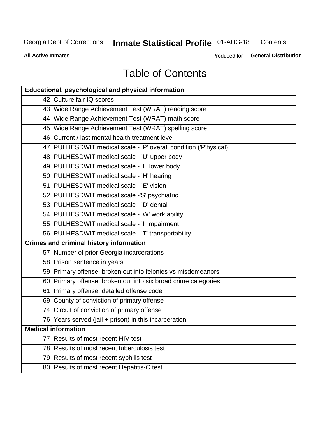#### **Inmate Statistical Profile 01-AUG-18** Contents

**All Active Inmates** 

Produced for General Distribution

## **Table of Contents**

| <b>Educational, psychological and physical information</b>       |
|------------------------------------------------------------------|
| 42 Culture fair IQ scores                                        |
| 43 Wide Range Achievement Test (WRAT) reading score              |
| 44 Wide Range Achievement Test (WRAT) math score                 |
| 45 Wide Range Achievement Test (WRAT) spelling score             |
| 46 Current / last mental health treatment level                  |
| 47 PULHESDWIT medical scale - 'P' overall condition ('P'hysical) |
| 48 PULHESDWIT medical scale - 'U' upper body                     |
| 49 PULHESDWIT medical scale - 'L' lower body                     |
| 50 PULHESDWIT medical scale - 'H' hearing                        |
| 51 PULHESDWIT medical scale - 'E' vision                         |
| 52 PULHESDWIT medical scale -'S' psychiatric                     |
| 53 PULHESDWIT medical scale - 'D' dental                         |
| 54 PULHESDWIT medical scale - 'W' work ability                   |
| 55 PULHESDWIT medical scale - 'I' impairment                     |
| 56 PULHESDWIT medical scale - 'T' transportability               |
| <b>Crimes and criminal history information</b>                   |
| 57 Number of prior Georgia incarcerations                        |
| 58 Prison sentence in years                                      |
| 59 Primary offense, broken out into felonies vs misdemeanors     |
| 60 Primary offense, broken out into six broad crime categories   |
| 61 Primary offense, detailed offense code                        |
| 69 County of conviction of primary offense                       |
| 74 Circuit of conviction of primary offense                      |
| 76 Years served (jail + prison) in this incarceration            |
| <b>Medical information</b>                                       |
| 77 Results of most recent HIV test                               |
| 78 Results of most recent tuberculosis test                      |
| 79 Results of most recent syphilis test                          |
| 80 Results of most recent Hepatitis-C test                       |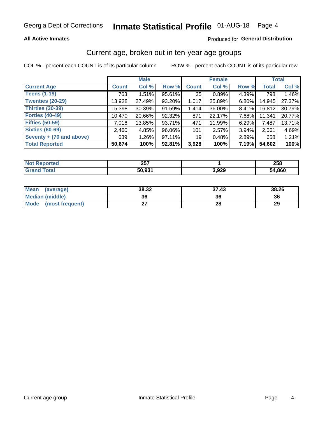### **All Active Inmates**

### Produced for General Distribution

### Current age, broken out in ten-year age groups

COL % - percent each COUNT is of its particular column

|                          | <b>Male</b>  |          |        | <b>Female</b>   |        |       | <b>Total</b> |        |
|--------------------------|--------------|----------|--------|-----------------|--------|-------|--------------|--------|
| <b>Current Age</b>       | <b>Count</b> | Col %    | Row %  | <b>Count</b>    | Col %  | Row % | <b>Total</b> | Col %  |
| <b>Teens (1-19)</b>      | 763          | 1.51%    | 95.61% | 35              | 0.89%  | 4.39% | 798          | 1.46%  |
| <b>Twenties (20-29)</b>  | 13,928       | 27.49%   | 93.20% | 1,017           | 25.89% | 6.80% | 14,945       | 27.37% |
| Thirties (30-39)         | 15,398       | 30.39%   | 91.59% | 1,414           | 36.00% | 8.41% | 16,812       | 30.79% |
| <b>Forties (40-49)</b>   | 10,470       | 20.66%   | 92.32% | 871             | 22.17% | 7.68% | 11,341       | 20.77% |
| <b>Fifties (50-59)</b>   | 7,016        | 13.85%   | 93.71% | 471             | 11.99% | 6.29% | 7,487        | 13.71% |
| <b>Sixties (60-69)</b>   | 2,460        | 4.85%    | 96.06% | 101             | 2.57%  | 3.94% | 2,561        | 4.69%  |
| Seventy + (70 and above) | 639          | $1.26\%$ | 97.11% | 19 <sup>1</sup> | 0.48%  | 2.89% | 658          | 1.21%  |
| <b>Total Reported</b>    | 50,674       | 100%     | 92.81% | 3,928           | 100%   | 7.19% | 54,602       | 100%   |

| <b>Not Reported</b> | クロフ<br>20 I     |       | <b>OFO</b><br>200 |
|---------------------|-----------------|-------|-------------------|
| <b>Total</b>        | 50 Q31<br>ວບ.ງວ | 3,929 | 54,860            |

| <b>Mean</b><br>(average) | 38.32 | 37.43 | 38.26 |
|--------------------------|-------|-------|-------|
| Median (middle)          | 36    | 36    | 36    |
| Mode<br>(most frequent)  |       | 28    | 29    |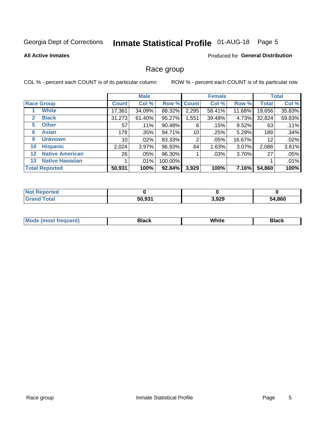## Inmate Statistical Profile 01-AUG-18 Page 5

### **All Active Inmates**

### **Produced for General Distribution**

### Race group

COL % - percent each COUNT is of its particular column

|              |                        |              | <b>Male</b> |         |             | <b>Female</b> |          |              | <b>Total</b> |  |
|--------------|------------------------|--------------|-------------|---------|-------------|---------------|----------|--------------|--------------|--|
|              | <b>Race Group</b>      | <b>Count</b> | Col %       |         | Row % Count | Col %         | Row %    | <b>Total</b> | Col %        |  |
|              | <b>White</b>           | 17,361       | 34.09%      | 88.32%  | 2,295       | 58.41%        | 11.68%   | 19,656       | 35.83%       |  |
| $\mathbf{2}$ | <b>Black</b>           | 31,273       | 61.40%      | 95.27%  | 1,551       | 39.48%        | 4.73%    | 32,824       | 59.83%       |  |
| 5.           | <b>Other</b>           | 57           | .11%        | 90.48%  | 6           | .15%          | 9.52%    | 63           | .11%         |  |
| 6            | <b>Asian</b>           | 179          | .35%        | 94.71%  | 10          | .25%          | 5.29%    | 189          | .34%         |  |
| 9            | <b>Unknown</b>         | 10           | $.02\%$     | 83.33%  | 2           | .05%          | 16.67%   | 12           | .02%         |  |
| 10           | <b>Hispanic</b>        | 2,024        | 3.97%       | 96.93%  | 64          | 1.63%         | $3.07\%$ | 2,088        | 3.81%        |  |
| $12 \,$      | <b>Native American</b> | 26           | .05%        | 96.30%  |             | $.03\%$       | 3.70%    | 27           | .05%         |  |
| 13           | <b>Native Hawaiian</b> |              | $.01\%$     | 100.00% |             |               |          |              | .01%         |  |
|              | <b>Total Reported</b>  | 50,931       | 100%        | 92.84%  | 3,929       | 100%          | 7.16%    | 54,860       | 100%         |  |

| <b>Not Reported</b>     |        |       |        |
|-------------------------|--------|-------|--------|
| <b>Total</b><br>. Gran∕ | 50,931 | 3,929 | 54,860 |

| <b>Mode</b><br>---<br>most frequent) | Black | White | <b>Black</b> |
|--------------------------------------|-------|-------|--------------|
|                                      |       |       |              |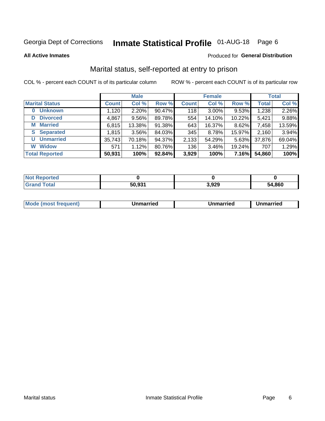## Inmate Statistical Profile 01-AUG-18 Page 6

**All Active Inmates** 

### Produced for General Distribution

### Marital status, self-reported at entry to prison

COL % - percent each COUNT is of its particular column

|                            | <b>Male</b>  |          |        |              | <b>Female</b> | <b>Total</b> |              |        |
|----------------------------|--------------|----------|--------|--------------|---------------|--------------|--------------|--------|
| <b>Marital Status</b>      | <b>Count</b> | Col %    | Row %  | <b>Count</b> | Col %         | Row %        | <b>Total</b> | Col %  |
| <b>Unknown</b><br>$\bf{0}$ | 1,120        | $2.20\%$ | 90.47% | 118          | $3.00\%$      | 9.53%        | 1,238        | 2.26%  |
| <b>Divorced</b><br>D       | 4,867        | 9.56%    | 89.78% | 554          | 14.10%        | 10.22%       | 5,421        | 9.88%  |
| <b>Married</b><br>М        | 6,815        | 13.38%   | 91.38% | 643          | 16.37%        | 8.62%        | 7,458        | 13.59% |
| <b>Separated</b><br>S      | 1,815        | 3.56%    | 84.03% | 345          | 8.78%         | 15.97%       | 2,160        | 3.94%  |
| <b>Unmarried</b><br>U      | 35,743       | 70.18%   | 94.37% | 2,133        | 54.29%        | 5.63%        | 37,876       | 69.04% |
| <b>Widow</b><br>W          | 571          | 1.12%    | 80.76% | 136          | 3.46%         | 19.24%       | 707          | 1.29%  |
| <b>Total Reported</b>      | 50,931       | 100%     | 92.84% | 3,929        | 100%          | 7.16%        | 54,860       | 100%   |

| Not F<br>norted |        |              |        |
|-----------------|--------|--------------|--------|
| Total           | 50.931 | റാറ<br>りっぴんし | 54.860 |

|--|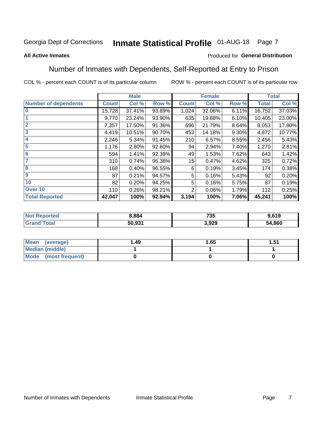#### **Inmate Statistical Profile 01-AUG-18** Page 7

### **All Active Inmates**

### Produced for General Distribution

### Number of Inmates with Dependents, Self-Reported at Entry to Prison

COL % - percent each COUNT is of its particular column

|                             |              | <b>Male</b> |        |              | <b>Female</b> |       |              | <b>Total</b> |
|-----------------------------|--------------|-------------|--------|--------------|---------------|-------|--------------|--------------|
| <b>Number of dependents</b> | <b>Count</b> | Col %       | Row %  | <b>Count</b> | Col %         | Row % | <b>Total</b> | Col %        |
| l 0                         | 15,728       | 37.41%      | 93.89% | 1,024        | 32.06%        | 6.11% | 16,752       | 37.03%       |
|                             | 9,770        | 23.24%      | 93.90% | 635          | 19.88%        | 6.10% | 10,405       | 23.00%       |
| $\overline{2}$              | 7,357        | 17.50%      | 91.36% | 696          | 21.79%        | 8.64% | 8,053        | 17.80%       |
| $\overline{\mathbf{3}}$     | 4,419        | 10.51%      | 90.70% | 453          | 14.18%        | 9.30% | 4,872        | 10.77%       |
| 4                           | 2,246        | 5.34%       | 91.45% | 210          | 6.57%         | 8.55% | 2,456        | 5.43%        |
| 5                           | 1,176        | 2.80%       | 92.60% | 94           | 2.94%         | 7.40% | 1,270        | 2.81%        |
| 6                           | 594          | 1.41%       | 92.38% | 49           | 1.53%         | 7.62% | 643          | 1.42%        |
| 7                           | 310          | 0.74%       | 95.38% | 15           | 0.47%         | 4.62% | 325          | 0.72%        |
| 8                           | 168          | 0.40%       | 96.55% | 6            | 0.19%         | 3.45% | 174          | 0.38%        |
| 9                           | 87           | 0.21%       | 94.57% | 5            | 0.16%         | 5.43% | 92           | 0.20%        |
| 10                          | 82           | 0.20%       | 94.25% | 5            | 0.16%         | 5.75% | 87           | 0.19%        |
| Over 10                     | 110          | 0.26%       | 98.21% | 2            | 0.06%         | 1.79% | 112          | 0.25%        |
| <b>Total Reported</b>       | 42,047       | 100%        | 92.94% | 3,194        | 100%          | 7.06% | 45,241       | 100%         |

| 3.884           | 735   | .619   |
|-----------------|-------|--------|
| 50.021<br>JU.JJ | 3,929 | 54,860 |

| Mean (average)         | 1.49 | 1.65 | 51.، |
|------------------------|------|------|------|
| <b>Median (middle)</b> |      |      |      |
| Mode (most frequent)   |      |      |      |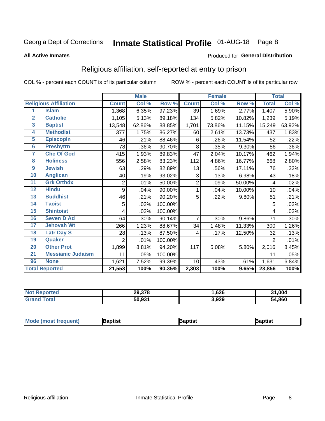## Inmate Statistical Profile 01-AUG-18 Page 8

### **All Active Inmates**

### Produced for General Distribution

### Religious affiliation, self-reported at entry to prison

COL % - percent each COUNT is of its particular column

|                |                              |                | <b>Male</b> |         |                | <b>Female</b> |        |              | <b>Total</b> |
|----------------|------------------------------|----------------|-------------|---------|----------------|---------------|--------|--------------|--------------|
|                | <b>Religious Affiliation</b> | <b>Count</b>   | Col %       | Row %   | <b>Count</b>   | Col %         | Row %  | <b>Total</b> | Col %        |
| 1              | <b>Islam</b>                 | 1,368          | 6.35%       | 97.23%  | 39             | 1.69%         | 2.77%  | 1,407        | 5.90%        |
| $\overline{2}$ | <b>Catholic</b>              | 1,105          | 5.13%       | 89.18%  | 134            | 5.82%         | 10.82% | 1,239        | 5.19%        |
| 3              | <b>Baptist</b>               | 13,548         | 62.86%      | 88.85%  | 1,701          | 73.86%        | 11.15% | 15,249       | 63.92%       |
| 4              | <b>Methodist</b>             | 377            | 1.75%       | 86.27%  | 60             | 2.61%         | 13.73% | 437          | 1.83%        |
| 5              | <b>EpiscopIn</b>             | 46             | .21%        | 88.46%  | 6              | .26%          | 11.54% | 52           | .22%         |
| 6              | <b>Presbytrn</b>             | 78             | .36%        | 90.70%  | 8              | .35%          | 9.30%  | 86           | .36%         |
| 7              | <b>Chc Of God</b>            | 415            | 1.93%       | 89.83%  | 47             | 2.04%         | 10.17% | 462          | 1.94%        |
| 8              | <b>Holiness</b>              | 556            | 2.58%       | 83.23%  | 112            | 4.86%         | 16.77% | 668          | 2.80%        |
| 9              | <b>Jewish</b>                | 63             | .29%        | 82.89%  | 13             | .56%          | 17.11% | 76           | .32%         |
| 10             | <b>Anglican</b>              | 40             | .19%        | 93.02%  | 3              | .13%          | 6.98%  | 43           | .18%         |
| 11             | <b>Grk Orthdx</b>            | $\overline{2}$ | .01%        | 50.00%  | $\overline{2}$ | .09%          | 50.00% | 4            | .02%         |
| 12             | <b>Hindu</b>                 | 9              | .04%        | 90.00%  | 1              | .04%          | 10.00% | 10           | .04%         |
| 13             | <b>Buddhist</b>              | 46             | .21%        | 90.20%  | 5              | .22%          | 9.80%  | 51           | .21%         |
| 14             | <b>Taoist</b>                | 5              | .02%        | 100.00% |                |               |        | 5            | .02%         |
| 15             | <b>Shintoist</b>             | 4              | .02%        | 100.00% |                |               |        | 4            | .02%         |
| 16             | <b>Seven D Ad</b>            | 64             | .30%        | 90.14%  | 7              | .30%          | 9.86%  | 71           | .30%         |
| 17             | <b>Jehovah Wt</b>            | 266            | 1.23%       | 88.67%  | 34             | 1.48%         | 11.33% | 300          | 1.26%        |
| 18             | <b>Latr Day S</b>            | 28             | .13%        | 87.50%  | 4              | .17%          | 12.50% | 32           | .13%         |
| 19             | Quaker                       | $\overline{2}$ | .01%        | 100.00% |                |               |        | 2            | .01%         |
| 20             | <b>Other Prot</b>            | 1,899          | 8.81%       | 94.20%  | 117            | 5.08%         | 5.80%  | 2,016        | 8.45%        |
| 21             | <b>Messianic Judaism</b>     | 11             | .05%        | 100.00% |                |               |        | 11           | .05%         |
| 96             | <b>None</b>                  | 1,621          | 7.52%       | 99.39%  | 10             | .43%          | .61%   | 1,631        | 6.84%        |
|                | <b>Total Reported</b>        | 21,553         | 100%        | 90.35%  | 2,303          | 100%          | 9.65%  | 23,856       | 100%         |

| ortec<br>N | 29,378 | ,626  | 004,61<br>94 |
|------------|--------|-------|--------------|
| 'ota.      | 50.931 | 3,929 | ,860<br>54   |

| Mode (most frequent)<br>Raptist | ∤aptist | Baptist |
|---------------------------------|---------|---------|
|---------------------------------|---------|---------|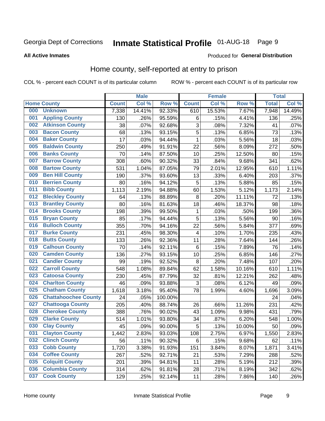## Inmate Statistical Profile 01-AUG-18 Page 9

### **All Active Inmates**

### Produced for General Distribution

### Home county, self-reported at entry to prison

COL % - percent each COUNT is of its particular column

|     |                             |              | <b>Male</b> |                  |              | <b>Female</b> |        | <b>Total</b> |        |
|-----|-----------------------------|--------------|-------------|------------------|--------------|---------------|--------|--------------|--------|
|     | <b>Home County</b>          | <b>Count</b> | Col %       | Row <sup>%</sup> | <b>Count</b> | Col %         | Row %  | <b>Total</b> | Col %  |
| 000 | <b>Unknown</b>              | 7,338        | 14.41%      | 92.33%           | 610          | 15.53%        | 7.67%  | 7,948        | 14.49% |
| 001 | <b>Appling County</b>       | 130          | .26%        | 95.59%           | $\,6$        | .15%          | 4.41%  | 136          | .25%   |
| 002 | <b>Atkinson County</b>      | 38           | .07%        | 92.68%           | 3            | .08%          | 7.32%  | 41           | .07%   |
| 003 | <b>Bacon County</b>         | 68           | .13%        | 93.15%           | 5            | .13%          | 6.85%  | 73           | .13%   |
| 004 | <b>Baker County</b>         | 17           | .03%        | 94.44%           | $\mathbf 1$  | .03%          | 5.56%  | 18           | .03%   |
| 005 | <b>Baldwin County</b>       | 250          | .49%        | 91.91%           | 22           | .56%          | 8.09%  | 272          | .50%   |
| 006 | <b>Banks County</b>         | 70           | .14%        | 87.50%           | 10           | .25%          | 12.50% | 80           | .15%   |
| 007 | <b>Barrow County</b>        | 308          | .60%        | 90.32%           | 33           | .84%          | 9.68%  | 341          | .62%   |
| 008 | <b>Bartow County</b>        | 531          | 1.04%       | 87.05%           | 79           | 2.01%         | 12.95% | 610          | 1.11%  |
| 009 | <b>Ben Hill County</b>      | 190          | .37%        | 93.60%           | 13           | .33%          | 6.40%  | 203          | .37%   |
| 010 | <b>Berrien County</b>       | 80           | .16%        | 94.12%           | 5            | .13%          | 5.88%  | 85           | .15%   |
| 011 | <b>Bibb County</b>          | 1,113        | 2.19%       | 94.88%           | 60           | 1.53%         | 5.12%  | 1,173        | 2.14%  |
| 012 | <b>Bleckley County</b>      | 64           | .13%        | 88.89%           | 8            | .20%          | 11.11% | 72           | .13%   |
| 013 | <b>Brantley County</b>      | 80           | .16%        | 81.63%           | 18           | .46%          | 18.37% | 98           | .18%   |
| 014 | <b>Brooks County</b>        | 198          | .39%        | 99.50%           | $\mathbf{1}$ | .03%          | .50%   | 199          | .36%   |
| 015 | <b>Bryan County</b>         | 85           | .17%        | 94.44%           | 5            | .13%          | 5.56%  | 90           | .16%   |
| 016 | <b>Bulloch County</b>       | 355          | .70%        | 94.16%           | 22           | .56%          | 5.84%  | 377          | .69%   |
| 017 | <b>Burke County</b>         | 231          | .45%        | 98.30%           | 4            | .10%          | 1.70%  | 235          | .43%   |
| 018 | <b>Butts County</b>         | 133          | .26%        | 92.36%           | 11           | .28%          | 7.64%  | 144          | .26%   |
| 019 | <b>Calhoun County</b>       | 70           | .14%        | 92.11%           | 6            | .15%          | 7.89%  | 76           | .14%   |
| 020 | <b>Camden County</b>        | 136          | .27%        | 93.15%           | 10           | .25%          | 6.85%  | 146          | .27%   |
| 021 | <b>Candler County</b>       | 99           | .19%        | 92.52%           | 8            | .20%          | 7.48%  | 107          | .20%   |
| 022 | <b>Carroll County</b>       | 548          | 1.08%       | 89.84%           | 62           | 1.58%         | 10.16% | 610          | 1.11%  |
| 023 | <b>Catoosa County</b>       | 230          | .45%        | 87.79%           | 32           | .81%          | 12.21% | 262          | .48%   |
| 024 | <b>Charlton County</b>      | 46           | .09%        | 93.88%           | 3            | .08%          | 6.12%  | 49           | .09%   |
| 025 | <b>Chatham County</b>       | 1,618        | 3.18%       | 95.40%           | 78           | 1.99%         | 4.60%  | 1,696        | 3.09%  |
| 026 | <b>Chattahoochee County</b> | 24           | .05%        | 100.00%          |              |               |        | 24           | .04%   |
| 027 | <b>Chattooga County</b>     | 205          | .40%        | 88.74%           | 26           | .66%          | 11.26% | 231          | .42%   |
| 028 | <b>Cherokee County</b>      | 388          | .76%        | 90.02%           | 43           | 1.09%         | 9.98%  | 431          | .79%   |
| 029 | <b>Clarke County</b>        | 514          | 1.01%       | 93.80%           | 34           | .87%          | 6.20%  | 548          | 1.00%  |
| 030 | <b>Clay County</b>          | 45           | .09%        | 90.00%           | 5            | .13%          | 10.00% | 50           | .09%   |
| 031 | <b>Clayton County</b>       | 1,442        | 2.83%       | 93.03%           | 108          | 2.75%         | 6.97%  | 1,550        | 2.83%  |
| 032 | <b>Clinch County</b>        | 56           | .11%        | 90.32%           | 6            | .15%          | 9.68%  | 62           | .11%   |
| 033 | <b>Cobb County</b>          | 1,720        | 3.38%       | 91.93%           | 151          | 3.84%         | 8.07%  | 1,871        | 3.41%  |
| 034 | <b>Coffee County</b>        | 267          | .52%        | 92.71%           | 21           | .53%          | 7.29%  | 288          | .52%   |
| 035 | <b>Colquitt County</b>      | 201          | .39%        | 94.81%           | 11           | .28%          | 5.19%  | 212          | .39%   |
| 036 | <b>Columbia County</b>      | 314          | .62%        | 91.81%           | 28           | .71%          | 8.19%  | 342          | .62%   |
| 037 | <b>Cook County</b>          | 129          | .25%        | 92.14%           | 11           | .28%          | 7.86%  | 140          | .26%   |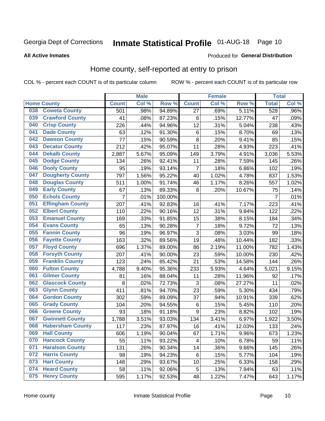## Inmate Statistical Profile 01-AUG-18 Page 10

### **All Active Inmates**

### Produced for General Distribution

### Home county, self-reported at entry to prison

COL % - percent each COUNT is of its particular column

|     |                         |              | <b>Male</b> |         |                | <b>Female</b> |        | <b>Total</b>   |       |
|-----|-------------------------|--------------|-------------|---------|----------------|---------------|--------|----------------|-------|
|     | <b>Home County</b>      | <b>Count</b> | Col %       | Row %   | <b>Count</b>   | Col %         | Row %  | <b>Total</b>   | Col % |
| 038 | <b>Coweta County</b>    | 501          | .98%        | 94.89%  | 27             | .69%          | 5.11%  | 528            | .96%  |
| 039 | <b>Crawford County</b>  | 41           | .08%        | 87.23%  | $\,6$          | .15%          | 12.77% | 47             | .09%  |
| 040 | <b>Crisp County</b>     | 226          | .44%        | 94.96%  | 12             | .31%          | 5.04%  | 238            | .43%  |
| 041 | <b>Dade County</b>      | 63           | .12%        | 91.30%  | $\,6$          | .15%          | 8.70%  | 69             | .13%  |
| 042 | <b>Dawson County</b>    | 77           | .15%        | 90.59%  | 8              | .20%          | 9.41%  | 85             | .15%  |
| 043 | <b>Decatur County</b>   | 212          | .42%        | 95.07%  | 11             | .28%          | 4.93%  | 223            | .41%  |
| 044 | <b>Dekalb County</b>    | 2,887        | 5.67%       | 95.09%  | 149            | 3.79%         | 4.91%  | 3,036          | 5.53% |
| 045 | <b>Dodge County</b>     | 134          | .26%        | 92.41%  | 11             | .28%          | 7.59%  | 145            | .26%  |
| 046 | <b>Dooly County</b>     | 95           | .19%        | 93.14%  | $\overline{7}$ | .18%          | 6.86%  | 102            | .19%  |
| 047 | <b>Dougherty County</b> | 797          | 1.56%       | 95.22%  | 40             | 1.02%         | 4.78%  | 837            | 1.53% |
| 048 | <b>Douglas County</b>   | 511          | 1.00%       | 91.74%  | 46             | 1.17%         | 8.26%  | 557            | 1.02% |
| 049 | <b>Early County</b>     | 67           | .13%        | 89.33%  | 8              | .20%          | 10.67% | 75             | .14%  |
| 050 | <b>Echols County</b>    | 7            | .01%        | 100.00% |                |               |        | $\overline{7}$ | .01%  |
| 051 | <b>Effingham County</b> | 207          | .41%        | 92.83%  | 16             | .41%          | 7.17%  | 223            | .41%  |
| 052 | <b>Elbert County</b>    | 110          | .22%        | 90.16%  | 12             | .31%          | 9.84%  | 122            | .22%  |
| 053 | <b>Emanuel County</b>   | 169          | .33%        | 91.85%  | 15             | .38%          | 8.15%  | 184            | .34%  |
| 054 | <b>Evans County</b>     | 65           | .13%        | 90.28%  | $\overline{7}$ | .18%          | 9.72%  | 72             | .13%  |
| 055 | <b>Fannin County</b>    | 96           | .19%        | 96.97%  | 3              | .08%          | 3.03%  | 99             | .18%  |
| 056 | <b>Fayette County</b>   | 163          | .32%        | 89.56%  | 19             | .48%          | 10.44% | 182            | .33%  |
| 057 | <b>Floyd County</b>     | 696          | 1.37%       | 89.00%  | 86             | 2.19%         | 11.00% | 782            | 1.43% |
| 058 | <b>Forsyth County</b>   | 207          | .41%        | 90.00%  | 23             | .59%          | 10.00% | 230            | .42%  |
| 059 | <b>Franklin County</b>  | 123          | .24%        | 85.42%  | 21             | .53%          | 14.58% | 144            | .26%  |
| 060 | <b>Fulton County</b>    | 4,788        | 9.40%       | 95.36%  | 233            | 5.93%         | 4.64%  | 5,021          | 9.15% |
| 061 | <b>Gilmer County</b>    | 81           | .16%        | 88.04%  | 11             | .28%          | 11.96% | 92             | .17%  |
| 062 | <b>Glascock County</b>  | 8            | .02%        | 72.73%  | 3              | .08%          | 27.27% | 11             | .02%  |
| 063 | <b>Glynn County</b>     | 411          | .81%        | 94.70%  | 23             | .59%          | 5.30%  | 434            | .79%  |
| 064 | <b>Gordon County</b>    | 302          | .59%        | 89.09%  | 37             | .94%          | 10.91% | 339            | .62%  |
| 065 | <b>Grady County</b>     | 104          | .20%        | 94.55%  | $\,6$          | .15%          | 5.45%  | 110            | .20%  |
| 066 | <b>Greene County</b>    | 93           | .18%        | 91.18%  | 9              | .23%          | 8.82%  | 102            | .19%  |
| 067 | <b>Gwinnett County</b>  | 1,788        | 3.51%       | 93.03%  | 134            | 3.41%         | 6.97%  | 1,922          | 3.50% |
| 068 | <b>Habersham County</b> | 117          | .23%        | 87.97%  | 16             | .41%          | 12.03% | 133            | .24%  |
| 069 | <b>Hall County</b>      | 606          | 1.19%       | 90.04%  | 67             | 1.71%         | 9.96%  | 673            | 1.23% |
| 070 | <b>Hancock County</b>   | 55           | .11%        | 93.22%  | $\overline{4}$ | .10%          | 6.78%  | 59             | .11%  |
| 071 | <b>Haralson County</b>  | 131          | .26%        | 90.34%  | 14             | .36%          | 9.66%  | 145            | .26%  |
| 072 | <b>Harris County</b>    | 98           | .19%        | 94.23%  | $\,6$          | .15%          | 5.77%  | 104            | .19%  |
| 073 | <b>Hart County</b>      | 148          | .29%        | 93.67%  | 10             | .25%          | 6.33%  | 158            | .29%  |
| 074 | <b>Heard County</b>     | 58           | .11%        | 92.06%  | 5              | .13%          | 7.94%  | 63             | .11%  |
| 075 | <b>Henry County</b>     | 595          | 1.17%       | 92.53%  | 48             | 1.22%         | 7.47%  | 643            | 1.17% |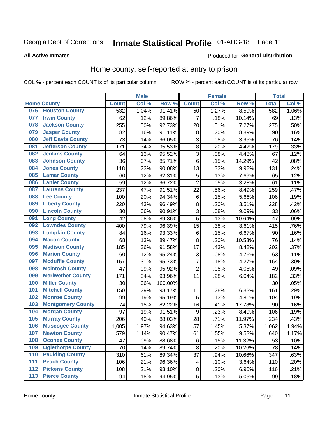## Inmate Statistical Profile 01-AUG-18 Page 11

**All Active Inmates** 

### Produced for General Distribution

### Home county, self-reported at entry to prison

COL % - percent each COUNT is of its particular column

|     |                          |              | <b>Male</b> |                  |                  | <b>Female</b> |        | <b>Total</b> |       |
|-----|--------------------------|--------------|-------------|------------------|------------------|---------------|--------|--------------|-------|
|     | <b>Home County</b>       | <b>Count</b> | Col %       | Row <sup>%</sup> | <b>Count</b>     | Col %         | Row %  | <b>Total</b> | Col % |
|     | 076 Houston County       | 532          | 1.04%       | 91.41%           | 50               | 1.27%         | 8.59%  | 582          | 1.06% |
| 077 | <b>Irwin County</b>      | 62           | .12%        | 89.86%           | 7                | .18%          | 10.14% | 69           | .13%  |
| 078 | <b>Jackson County</b>    | 255          | .50%        | 92.73%           | 20               | .51%          | 7.27%  | 275          | .50%  |
| 079 | <b>Jasper County</b>     | 82           | .16%        | 91.11%           | 8                | .20%          | 8.89%  | 90           | .16%  |
| 080 | <b>Jeff Davis County</b> | 73           | .14%        | 96.05%           | 3                | .08%          | 3.95%  | 76           | .14%  |
| 081 | <b>Jefferson County</b>  | 171          | .34%        | 95.53%           | $\overline{8}$   | .20%          | 4.47%  | 179          | .33%  |
| 082 | <b>Jenkins County</b>    | 64           | .13%        | 95.52%           | 3                | .08%          | 4.48%  | 67           | .12%  |
| 083 | <b>Johnson County</b>    | 36           | .07%        | 85.71%           | $\,6$            | .15%          | 14.29% | 42           | .08%  |
| 084 | <b>Jones County</b>      | 118          | .23%        | 90.08%           | 13               | .33%          | 9.92%  | 131          | .24%  |
| 085 | <b>Lamar County</b>      | 60           | .12%        | 92.31%           | 5                | .13%          | 7.69%  | 65           | .12%  |
| 086 | <b>Lanier County</b>     | 59           | .12%        | 96.72%           | $\overline{2}$   | .05%          | 3.28%  | 61           | .11%  |
| 087 | <b>Laurens County</b>    | 237          | .47%        | 91.51%           | 22               | .56%          | 8.49%  | 259          | .47%  |
| 088 | <b>Lee County</b>        | 100          | .20%        | 94.34%           | $\,6$            | .15%          | 5.66%  | 106          | .19%  |
| 089 | <b>Liberty County</b>    | 220          | .43%        | 96.49%           | 8                | .20%          | 3.51%  | 228          | .42%  |
| 090 | <b>Lincoln County</b>    | 30           | .06%        | 90.91%           | 3                | .08%          | 9.09%  | 33           | .06%  |
| 091 | <b>Long County</b>       | 42           | .08%        | 89.36%           | 5                | .13%          | 10.64% | 47           | .09%  |
| 092 | <b>Lowndes County</b>    | 400          | .79%        | 96.39%           | 15               | .38%          | 3.61%  | 415          | .76%  |
| 093 | <b>Lumpkin County</b>    | 84           | .16%        | 93.33%           | $\,6$            | .15%          | 6.67%  | 90           | .16%  |
| 094 | <b>Macon County</b>      | 68           | .13%        | 89.47%           | 8                | .20%          | 10.53% | 76           | .14%  |
| 095 | <b>Madison County</b>    | 185          | .36%        | 91.58%           | 17               | .43%          | 8.42%  | 202          | .37%  |
| 096 | <b>Marion County</b>     | 60           | .12%        | 95.24%           | 3                | .08%          | 4.76%  | 63           | .11%  |
| 097 | <b>Mcduffie County</b>   | 157          | .31%        | 95.73%           | $\overline{7}$   | .18%          | 4.27%  | 164          | .30%  |
| 098 | <b>Mcintosh County</b>   | 47           | .09%        | 95.92%           | $\overline{2}$   | .05%          | 4.08%  | 49           | .09%  |
| 099 | <b>Meriwether County</b> | 171          | .34%        | 93.96%           | 11               | .28%          | 6.04%  | 182          | .33%  |
| 100 | <b>Miller County</b>     | 30           | .06%        | 100.00%          |                  |               |        | 30           | .05%  |
| 101 | <b>Mitchell County</b>   | 150          | .29%        | 93.17%           | 11               | .28%          | 6.83%  | 161          | .29%  |
| 102 | <b>Monroe County</b>     | 99           | .19%        | 95.19%           | 5                | .13%          | 4.81%  | 104          | .19%  |
| 103 | <b>Montgomery County</b> | 74           | .15%        | 82.22%           | 16               | .41%          | 17.78% | 90           | .16%  |
| 104 | <b>Morgan County</b>     | 97           | .19%        | 91.51%           | $\boldsymbol{9}$ | .23%          | 8.49%  | 106          | .19%  |
| 105 | <b>Murray County</b>     | 206          | .40%        | 88.03%           | 28               | .71%          | 11.97% | 234          | .43%  |
| 106 | <b>Muscogee County</b>   | 1,005        | 1.97%       | 94.63%           | 57               | 1.45%         | 5.37%  | 1,062        | 1.94% |
| 107 | <b>Newton County</b>     | 579          | 1.14%       | 90.47%           | 61               | 1.55%         | 9.53%  | 640          | 1.17% |
| 108 | <b>Oconee County</b>     | 47           | .09%        | 88.68%           | 6                | .15%          | 11.32% | 53           | .10%  |
| 109 | <b>Oglethorpe County</b> | 70           | .14%        | 89.74%           | 8                | .20%          | 10.26% | 78           | .14%  |
| 110 | <b>Paulding County</b>   | 310          | .61%        | 89.34%           | 37               | .94%          | 10.66% | 347          | .63%  |
| 111 | <b>Peach County</b>      | 106          | .21%        | 96.36%           | 4                | .10%          | 3.64%  | 110          | .20%  |
| 112 | <b>Pickens County</b>    | 108          | .21%        | 93.10%           | $\bf 8$          | .20%          | 6.90%  | 116          | .21%  |
| 113 | <b>Pierce County</b>     | 94           | .18%        | 94.95%           | $\overline{5}$   | .13%          | 5.05%  | 99           | .18%  |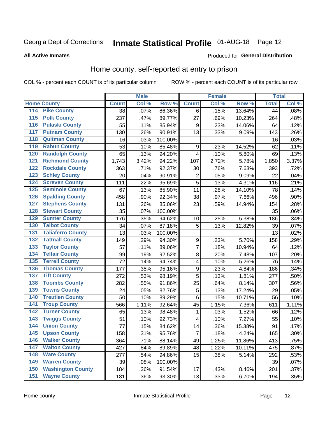#### **Inmate Statistical Profile 01-AUG-18** Page 12

### **All Active Inmates**

### Produced for General Distribution

### Home county, self-reported at entry to prison

COL % - percent each COUNT is of its particular column

|                  |                          |              | <b>Male</b> |         |                         | <b>Female</b> |        | <b>Total</b> |       |
|------------------|--------------------------|--------------|-------------|---------|-------------------------|---------------|--------|--------------|-------|
|                  | <b>Home County</b>       | <b>Count</b> | Col %       | Row %   | <b>Count</b>            | Col %         | Row %  | <b>Total</b> | Col % |
| 114              | <b>Pike County</b>       | 38           | .07%        | 86.36%  | 6                       | .15%          | 13.64% | 44           | .08%  |
| $\overline{115}$ | <b>Polk County</b>       | 237          | .47%        | 89.77%  | 27                      | .69%          | 10.23% | 264          | .48%  |
| 116              | <b>Pulaski County</b>    | 55           | .11%        | 85.94%  | 9                       | .23%          | 14.06% | 64           | .12%  |
| 117              | <b>Putnam County</b>     | 130          | .26%        | 90.91%  | 13                      | .33%          | 9.09%  | 143          | .26%  |
| 118              | <b>Quitman County</b>    | 16           | .03%        | 100.00% |                         |               |        | 16           | .03%  |
| 119              | <b>Rabun County</b>      | 53           | .10%        | 85.48%  | $\boldsymbol{9}$        | .23%          | 14.52% | 62           | .11%  |
| 120              | <b>Randolph County</b>   | 65           | .13%        | 94.20%  | $\overline{\mathbf{4}}$ | .10%          | 5.80%  | 69           | .13%  |
| 121              | <b>Richmond County</b>   | 1,743        | 3.42%       | 94.22%  | 107                     | 2.72%         | 5.78%  | 1,850        | 3.37% |
| 122              | <b>Rockdale County</b>   | 363          | .71%        | 92.37%  | 30                      | .76%          | 7.63%  | 393          | .72%  |
| 123              | <b>Schley County</b>     | 20           | .04%        | 90.91%  | $\overline{\mathbf{c}}$ | .05%          | 9.09%  | 22           | .04%  |
| 124              | <b>Screven County</b>    | 111          | .22%        | 95.69%  | 5                       | .13%          | 4.31%  | 116          | .21%  |
| 125              | <b>Seminole County</b>   | 67           | .13%        | 85.90%  | 11                      | .28%          | 14.10% | 78           | .14%  |
| 126              | <b>Spalding County</b>   | 458          | .90%        | 92.34%  | 38                      | .97%          | 7.66%  | 496          | .90%  |
| 127              | <b>Stephens County</b>   | 131          | .26%        | 85.06%  | 23                      | .59%          | 14.94% | 154          | .28%  |
| 128              | <b>Stewart County</b>    | 35           | .07%        | 100.00% |                         |               |        | 35           | .06%  |
| 129              | <b>Sumter County</b>     | 176          | .35%        | 94.62%  | 10                      | .25%          | 5.38%  | 186          | .34%  |
| 130              | <b>Talbot County</b>     | 34           | .07%        | 87.18%  | 5                       | .13%          | 12.82% | 39           | .07%  |
| 131              | <b>Taliaferro County</b> | 13           | .03%        | 100.00% |                         |               |        | 13           | .02%  |
| 132              | <b>Tattnall County</b>   | 149          | .29%        | 94.30%  | 9                       | .23%          | 5.70%  | 158          | .29%  |
| 133              | <b>Taylor County</b>     | 57           | .11%        | 89.06%  | $\overline{7}$          | .18%          | 10.94% | 64           | .12%  |
| 134              | <b>Telfair County</b>    | 99           | .19%        | 92.52%  | $\bf 8$                 | .20%          | 7.48%  | 107          | .20%  |
| 135              | <b>Terrell County</b>    | 72           | .14%        | 94.74%  | $\overline{\mathbf{4}}$ | .10%          | 5.26%  | 76           | .14%  |
| 136              | <b>Thomas County</b>     | 177          | .35%        | 95.16%  | $\boldsymbol{9}$        | .23%          | 4.84%  | 186          | .34%  |
| 137              | <b>Tift County</b>       | 272          | .53%        | 98.19%  | 5                       | .13%          | 1.81%  | 277          | .50%  |
| 138              | <b>Toombs County</b>     | 282          | .55%        | 91.86%  | 25                      | .64%          | 8.14%  | 307          | .56%  |
| 139              | <b>Towns County</b>      | 24           | .05%        | 82.76%  | 5                       | .13%          | 17.24% | 29           | .05%  |
| 140              | <b>Treutlen County</b>   | 50           | .10%        | 89.29%  | $\,6$                   | .15%          | 10.71% | 56           | .10%  |
| 141              | <b>Troup County</b>      | 566          | 1.11%       | 92.64%  | 45                      | 1.15%         | 7.36%  | 611          | 1.11% |
| 142              | <b>Turner County</b>     | 65           | .13%        | 98.48%  | 1                       | .03%          | 1.52%  | 66           | .12%  |
| 143              | <b>Twiggs County</b>     | 51           | .10%        | 92.73%  | $\overline{\mathbf{4}}$ | .10%          | 7.27%  | 55           | .10%  |
| 144              | <b>Union County</b>      | 77           | .15%        | 84.62%  | 14                      | .36%          | 15.38% | 91           | .17%  |
| 145              | <b>Upson County</b>      | 158          | .31%        | 95.76%  | $\overline{7}$          | .18%          | 4.24%  | 165          | .30%  |
| 146              | <b>Walker County</b>     | 364          | .71%        | 88.14%  | 49                      | 1.25%         | 11.86% | 413          | .75%  |
| 147              | <b>Walton County</b>     | 427          | .84%        | 89.89%  | 48                      | 1.22%         | 10.11% | 475          | .87%  |
| 148              | <b>Ware County</b>       | 277          | .54%        | 94.86%  | 15                      | .38%          | 5.14%  | 292          | .53%  |
| 149              | <b>Warren County</b>     | 39           | .08%        | 100.00% |                         |               |        | 39           | .07%  |
| 150              | <b>Washington County</b> | 184          | .36%        | 91.54%  | 17                      | .43%          | 8.46%  | 201          | .37%  |
| 151              | <b>Wayne County</b>      | 181          | .36%        | 93.30%  | 13                      | .33%          | 6.70%  | 194          | .35%  |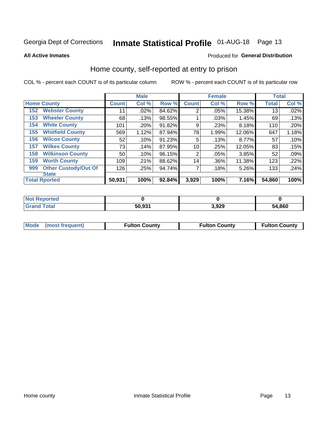## Inmate Statistical Profile 01-AUG-18 Page 13

**All Active Inmates** 

### Produced for General Distribution

### Home county, self-reported at entry to prison

COL % - percent each COUNT is of its particular column

|     |                             |              | <b>Male</b> |        |                | <b>Female</b> |        | <b>Total</b> |       |
|-----|-----------------------------|--------------|-------------|--------|----------------|---------------|--------|--------------|-------|
|     | <b>Home County</b>          | <b>Count</b> | Col %       | Row %  | <b>Count</b>   | Col %         | Row %  | <b>Total</b> | Col % |
| 152 | <b>Webster County</b>       | 11           | .02%        | 84.62% | $\overline{2}$ | .05%          | 15.38% | 13           | .02%  |
| 153 | <b>Wheeler County</b>       | 68           | .13%        | 98.55% |                | .03%          | 1.45%  | 69           | .13%  |
| 154 | <b>White County</b>         | 101          | .20%        | 91.82% | 9              | .23%          | 8.18%  | 110          | .20%  |
| 155 | <b>Whitfield County</b>     | 569          | 1.12%       | 87.94% | 78             | 1.99%         | 12.06% | 647          | 1.18% |
| 156 | <b>Wilcox County</b>        | 52           | .10%        | 91.23% | 5              | .13%          | 8.77%  | 57           | .10%  |
| 157 | <b>Wilkes County</b>        | 73           | .14%        | 87.95% | 10             | .25%          | 12.05% | 83           | .15%  |
| 158 | <b>Wilkinson County</b>     | 50           | .10%        | 96.15% | $\overline{2}$ | .05%          | 3.85%  | 52           | .09%  |
| 159 | <b>Worth County</b>         | 109          | .21%        | 88.62% | 14             | .36%          | 11.38% | 123          | .22%  |
| 999 | <b>Other Custody/Out Of</b> | 126          | .25%        | 94.74% | 7              | .18%          | 5.26%  | 133          | .24%  |
|     | <b>State</b>                |              |             |        |                |               |        |              |       |
|     | <b>Total Rported</b>        | 50,931       | 100%        | 92.84% | 3,929          | 100%          | 7.16%  | 54,860       | 100%  |

| 'Not<br>Reported |        |       |        |
|------------------|--------|-------|--------|
| Total            | 50,931 | 3,929 | 54,860 |

|  | Mode (most frequent) | <b>Fulton County</b> | <b>Fulton County</b> | <b>Fulton County</b> |
|--|----------------------|----------------------|----------------------|----------------------|
|--|----------------------|----------------------|----------------------|----------------------|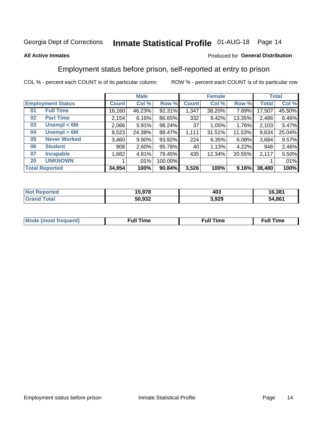## Inmate Statistical Profile 01-AUG-18 Page 14

### **All Active Inmates**

### Produced for General Distribution

### Employment status before prison, self-reported at entry to prison

COL % - percent each COUNT is of its particular column

|                           |              | <b>Male</b> |         |              | <b>Female</b> |        |              | <b>Total</b> |  |
|---------------------------|--------------|-------------|---------|--------------|---------------|--------|--------------|--------------|--|
| <b>Employment Status</b>  | <b>Count</b> | Col %       | Row %   | <b>Count</b> | Col %         | Row %  | <b>Total</b> | Col %        |  |
| <b>Full Time</b><br>01    | 16,160       | 46.23%      | 92.31%  | 1,347        | 38.20%        | 7.69%  | 17,507       | 45.50%       |  |
| <b>Part Time</b><br>02    | 2,154        | 6.16%       | 86.65%  | 332          | 9.42%         | 13.35% | 2,486        | 6.46%        |  |
| Unempl $<$ 6M<br>03       | 2,066        | 5.91%       | 98.24%  | 37           | 1.05%         | 1.76%  | 2,103        | 5.47%        |  |
| Unempl > 6M<br>04         | 8,523        | 24.38%      | 88.47%  | 1,111        | 31.51%        | 11.53% | 9,634        | 25.04%       |  |
| <b>Never Worked</b><br>05 | 3,460        | $9.90\%$    | 93.92%  | 224          | 6.35%         | 6.08%  | 3,684        | 9.57%        |  |
| <b>Student</b><br>06      | 908          | $2.60\%$    | 95.78%  | 40           | 1.13%         | 4.22%  | 948          | 2.46%        |  |
| 07<br><b>Incapable</b>    | 1,682        | 4.81%       | 79.45%  | 435          | 12.34%        | 20.55% | 2,117        | 5.50%        |  |
| <b>UNKNOWN</b><br>20      |              | $.01\%$     | 100.00% |              |               |        |              | .01%         |  |
| <b>Total Reported</b>     | 34,954       | 100%        | 90.84%  | 3,526        | 100%          | 9.16%  | 38,480       | 100%         |  |

| <b>Not Reported</b> | 15,978 | 403   | 16,381 |
|---------------------|--------|-------|--------|
| <b>Grand Total</b>  | 50,932 | 3,929 | 54,861 |

| <b>Mode (most frequent)</b> | Full Time | <b>Full Time</b> | Time |
|-----------------------------|-----------|------------------|------|
|                             |           |                  |      |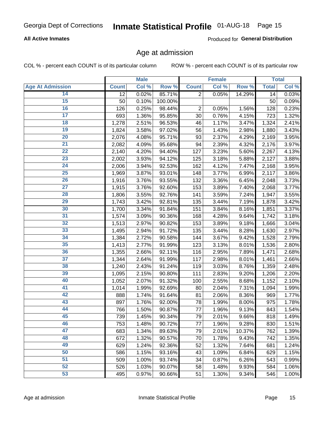### **All Active Inmates**

Produced for General Distribution

### Age at admission

COL % - percent each COUNT is of its particular column

|                         |              | <b>Male</b> |         |                | <b>Female</b> |        |              | <b>Total</b> |
|-------------------------|--------------|-------------|---------|----------------|---------------|--------|--------------|--------------|
| <b>Age At Admission</b> | <b>Count</b> | Col %       | Row %   | <b>Count</b>   | Col %         | Row %  | <b>Total</b> | Col %        |
| 14                      | 12           | 0.02%       | 85.71%  | $\overline{2}$ | 0.05%         | 14.29% | 14           | 0.03%        |
| 15                      | 50           | 0.10%       | 100.00% |                |               |        | 50           | 0.09%        |
| 16                      | 126          | 0.25%       | 98.44%  | 2              | 0.05%         | 1.56%  | 128          | 0.23%        |
| $\overline{17}$         | 693          | 1.36%       | 95.85%  | 30             | 0.76%         | 4.15%  | 723          | 1.32%        |
| $\overline{18}$         | 1,278        | 2.51%       | 96.53%  | 46             | 1.17%         | 3.47%  | 1,324        | 2.41%        |
| 19                      | 1,824        | 3.58%       | 97.02%  | 56             | 1.43%         | 2.98%  | 1,880        | 3.43%        |
| 20                      | 2,076        | 4.08%       | 95.71%  | 93             | 2.37%         | 4.29%  | 2,169        | 3.95%        |
| $\overline{21}$         | 2,082        | 4.09%       | 95.68%  | 94             | 2.39%         | 4.32%  | 2,176        | 3.97%        |
| $\overline{22}$         | 2,140        | 4.20%       | 94.40%  | 127            | 3.23%         | 5.60%  | 2,267        | 4.13%        |
| $\overline{23}$         | 2,002        | 3.93%       | 94.12%  | 125            | 3.18%         | 5.88%  | 2,127        | 3.88%        |
| 24                      | 2,006        | 3.94%       | 92.53%  | 162            | 4.12%         | 7.47%  | 2,168        | 3.95%        |
| $\overline{25}$         | 1,969        | 3.87%       | 93.01%  | 148            | 3.77%         | 6.99%  | 2,117        | 3.86%        |
| $\overline{26}$         | 1,916        | 3.76%       | 93.55%  | 132            | 3.36%         | 6.45%  | 2,048        | 3.73%        |
| $\overline{27}$         | 1,915        | 3.76%       | 92.60%  | 153            | 3.89%         | 7.40%  | 2,068        | 3.77%        |
| 28                      | 1,806        | 3.55%       | 92.76%  | 141            | 3.59%         | 7.24%  | 1,947        | 3.55%        |
| 29                      | 1,743        | 3.42%       | 92.81%  | 135            | 3.44%         | 7.19%  | 1,878        | 3.42%        |
| 30                      | 1,700        | 3.34%       | 91.84%  | 151            | 3.84%         | 8.16%  | 1,851        | 3.37%        |
| 31                      | 1,574        | 3.09%       | 90.36%  | 168            | 4.28%         | 9.64%  | 1,742        | 3.18%        |
| 32                      | 1,513        | 2.97%       | 90.82%  | 153            | 3.89%         | 9.18%  | 1,666        | 3.04%        |
| 33                      | 1,495        | 2.94%       | 91.72%  | 135            | 3.44%         | 8.28%  | 1,630        | 2.97%        |
| 34                      | 1,384        | 2.72%       | 90.58%  | 144            | 3.67%         | 9.42%  | 1,528        | 2.79%        |
| 35                      | 1,413        | 2.77%       | 91.99%  | 123            | 3.13%         | 8.01%  | 1,536        | 2.80%        |
| 36                      | 1,355        | 2.66%       | 92.11%  | 116            | 2.95%         | 7.89%  | 1,471        | 2.68%        |
| 37                      | 1,344        | 2.64%       | 91.99%  | 117            | 2.98%         | 8.01%  | 1,461        | 2.66%        |
| 38                      | 1,240        | 2.43%       | 91.24%  | 119            | 3.03%         | 8.76%  | 1,359        | 2.48%        |
| 39                      | 1,095        | 2.15%       | 90.80%  | 111            | 2.83%         | 9.20%  | 1,206        | 2.20%        |
| 40                      | 1,052        | 2.07%       | 91.32%  | 100            | 2.55%         | 8.68%  | 1,152        | 2.10%        |
| 41                      | 1,014        | 1.99%       | 92.69%  | 80             | 2.04%         | 7.31%  | 1,094        | 1.99%        |
| 42                      | 888          | 1.74%       | 91.64%  | 81             | 2.06%         | 8.36%  | 969          | 1.77%        |
| 43                      | 897          | 1.76%       | 92.00%  | 78             | 1.99%         | 8.00%  | 975          | 1.78%        |
| 44                      | 766          | 1.50%       | 90.87%  | 77             | 1.96%         | 9.13%  | 843          | 1.54%        |
| 45                      | 739          | 1.45%       | 90.34%  | 79             | 2.01%         | 9.66%  | 818          | 1.49%        |
| 46                      | 753          | 1.48%       | 90.72%  | 77             | 1.96%         | 9.28%  | 830          | 1.51%        |
| 47                      | 683          | 1.34%       | 89.63%  | 79             | 2.01%         | 10.37% | 762          | 1.39%        |
| 48                      | 672          | 1.32%       | 90.57%  | 70             | 1.78%         | 9.43%  | 742          | 1.35%        |
| 49                      | 629          | 1.24%       | 92.36%  | 52             | 1.32%         | 7.64%  | 681          | 1.24%        |
| 50                      | 586          | 1.15%       | 93.16%  | 43             | 1.09%         | 6.84%  | 629          | 1.15%        |
| 51                      | 509          | 1.00%       | 93.74%  | 34             | 0.87%         | 6.26%  | 543          | 0.99%        |
| 52                      | 526          | 1.03%       | 90.07%  | 58             | 1.48%         | 9.93%  | 584          | 1.06%        |
| 53                      | 495          | 0.97%       | 90.66%  | 51             | 1.30%         | 9.34%  | 546          | 1.00%        |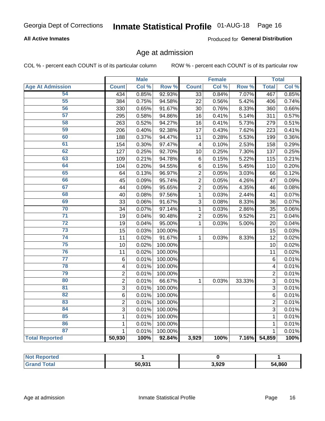### **All Active Inmates**

Produced for General Distribution

### Age at admission

COL % - percent each COUNT is of its particular column

|                         |                         | <b>Male</b> |         |                 | <b>Female</b> |        |                | <b>Total</b> |
|-------------------------|-------------------------|-------------|---------|-----------------|---------------|--------|----------------|--------------|
| <b>Age At Admission</b> | <b>Count</b>            | Col %       | Row %   | <b>Count</b>    | Col %         | Row %  | <b>Total</b>   | Col %        |
| 54                      | 434                     | 0.85%       | 92.93%  | $\overline{33}$ | 0.84%         | 7.07%  | 467            | 0.85%        |
| 55                      | 384                     | 0.75%       | 94.58%  | 22              | 0.56%         | 5.42%  | 406            | 0.74%        |
| 56                      | 330                     | 0.65%       | 91.67%  | 30              | 0.76%         | 8.33%  | 360            | 0.66%        |
| 57                      | 295                     | 0.58%       | 94.86%  | 16              | 0.41%         | 5.14%  | 311            | 0.57%        |
| 58                      | 263                     | 0.52%       | 94.27%  | 16              | 0.41%         | 5.73%  | 279            | 0.51%        |
| 59                      | 206                     | 0.40%       | 92.38%  | 17              | 0.43%         | 7.62%  | 223            | 0.41%        |
| 60                      | 188                     | 0.37%       | 94.47%  | 11              | 0.28%         | 5.53%  | 199            | 0.36%        |
| 61                      | 154                     | 0.30%       | 97.47%  | $\overline{4}$  | 0.10%         | 2.53%  | 158            | 0.29%        |
| 62                      | 127                     | 0.25%       | 92.70%  | 10              | 0.25%         | 7.30%  | 137            | 0.25%        |
| 63                      | 109                     | 0.21%       | 94.78%  | $\,6$           | 0.15%         | 5.22%  | 115            | 0.21%        |
| 64                      | 104                     | 0.20%       | 94.55%  | $\,6$           | 0.15%         | 5.45%  | 110            | 0.20%        |
| 65                      | 64                      | 0.13%       | 96.97%  | $\overline{c}$  | 0.05%         | 3.03%  | 66             | 0.12%        |
| 66                      | 45                      | 0.09%       | 95.74%  | $\overline{c}$  | 0.05%         | 4.26%  | 47             | 0.09%        |
| 67                      | 44                      | 0.09%       | 95.65%  | $\overline{2}$  | 0.05%         | 4.35%  | 46             | 0.08%        |
| 68                      | 40                      | 0.08%       | 97.56%  | 1               | 0.03%         | 2.44%  | 41             | 0.07%        |
| 69                      | 33                      | 0.06%       | 91.67%  | 3               | 0.08%         | 8.33%  | 36             | 0.07%        |
| 70                      | 34                      | 0.07%       | 97.14%  | $\mathbf 1$     | 0.03%         | 2.86%  | 35             | 0.06%        |
| $\overline{71}$         | 19                      | 0.04%       | 90.48%  | $\overline{2}$  | 0.05%         | 9.52%  | 21             | 0.04%        |
| $\overline{72}$         | 19                      | 0.04%       | 95.00%  | $\mathbf{1}$    | 0.03%         | 5.00%  | 20             | 0.04%        |
| 73                      | 15                      | 0.03%       | 100.00% |                 |               |        | 15             | 0.03%        |
| $\overline{74}$         | 11                      | 0.02%       | 91.67%  | $\mathbf{1}$    | 0.03%         | 8.33%  | 12             | 0.02%        |
| 75                      | 10                      | 0.02%       | 100.00% |                 |               |        | 10             | 0.02%        |
| 76                      | 11                      | 0.02%       | 100.00% |                 |               |        | 11             | 0.02%        |
| $\overline{77}$         | 6                       | 0.01%       | 100.00% |                 |               |        | 6              | 0.01%        |
| 78                      | $\overline{\mathbf{4}}$ | 0.01%       | 100.00% |                 |               |        | 4              | 0.01%        |
| 79                      | $\overline{2}$          | 0.01%       | 100.00% |                 |               |        | $\overline{2}$ | 0.01%        |
| 80                      | $\overline{2}$          | 0.01%       | 66.67%  | $\mathbf{1}$    | 0.03%         | 33.33% | 3              | 0.01%        |
| 81                      | 3                       | 0.01%       | 100.00% |                 |               |        | 3              | 0.01%        |
| 82                      | 6                       | 0.01%       | 100.00% |                 |               |        | 6              | 0.01%        |
| 83                      | $\overline{2}$          | 0.01%       | 100.00% |                 |               |        | $\overline{2}$ | 0.01%        |
| 84                      | 3                       | 0.01%       | 100.00% |                 |               |        | 3              | 0.01%        |
| 85                      | 1                       | 0.01%       | 100.00% |                 |               |        | $\mathbf{1}$   | 0.01%        |
| 86                      | 1                       | 0.01%       | 100.00% |                 |               |        | $\mathbf{1}$   | 0.01%        |
| 87                      | 1                       | 0.01%       | 100.00% |                 |               |        | 1              | 0.01%        |
| <b>Total Reported</b>   | 50,930                  | 100%        | 92.84%  | 3,929           | 100%          | 7.16%  | 54,859         | 100%         |

| <b>Not Reported</b> |        |       |        |
|---------------------|--------|-------|--------|
| Total               | 50.931 | 3,929 | 54,860 |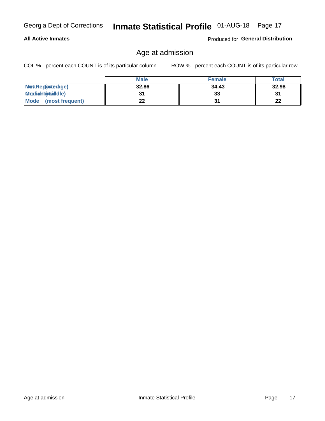### **All Active Inmates**

Produced for General Distribution

### Age at admission

COL % - percent each COUNT is of its particular column

|                         | <b>Male</b> | <b>Female</b> | <b>Total</b> |
|-------------------------|-------------|---------------|--------------|
| MetaRep(anterage)       | 32.86       | 34.43         | 32.98        |
| <b>MeatianTotaddle)</b> |             | 33            | 31           |
| Mode<br>(most frequent) | 22          |               | 22           |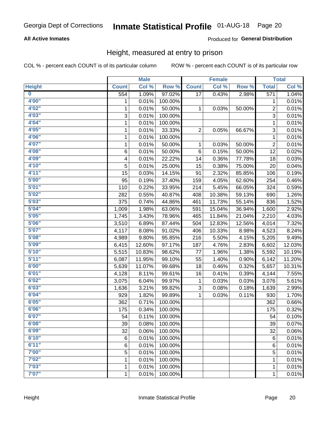### **All Active Inmates**

### Produced for General Distribution

### Height, measured at entry to prison

COL % - percent each COUNT is of its particular column

|                         |              | <b>Male</b> |         |                | <b>Female</b> |        |                         | <b>Total</b> |
|-------------------------|--------------|-------------|---------|----------------|---------------|--------|-------------------------|--------------|
| <b>Height</b>           | <b>Count</b> | Col %       | Row %   | <b>Count</b>   | Col %         | Row %  | <b>Total</b>            | Col %        |
| $\overline{\mathbf{0}}$ | 554          | 1.09%       | 97.02%  | 17             | 0.43%         | 2.98%  | 571                     | 1.04%        |
| 4'00"                   | 1            | 0.01%       | 100.00% |                |               |        | 1                       | 0.01%        |
| 4'02''                  | 1            | 0.01%       | 50.00%  | $\mathbf 1$    | 0.03%         | 50.00% | $\overline{\mathbf{c}}$ | 0.01%        |
| 4'03''                  | 3            | 0.01%       | 100.00% |                |               |        | 3                       | 0.01%        |
| 4'04"                   | 1            | 0.01%       | 100.00% |                |               |        | 1                       | 0.01%        |
| 4'05"                   | 1            | 0.01%       | 33.33%  | $\overline{c}$ | 0.05%         | 66.67% | 3                       | 0.01%        |
| 4'06"                   | 1            | 0.01%       | 100.00% |                |               |        | 1                       | 0.01%        |
| 4'07"                   | 1            | 0.01%       | 50.00%  | 1              | 0.03%         | 50.00% | $\overline{c}$          | 0.01%        |
| 4'08"                   | 6            | 0.01%       | 50.00%  | 6              | 0.15%         | 50.00% | 12                      | 0.02%        |
| 4'09"                   | 4            | 0.01%       | 22.22%  | 14             | 0.36%         | 77.78% | 18                      | 0.03%        |
| 4'10"                   | 5            | 0.01%       | 25.00%  | 15             | 0.38%         | 75.00% | 20                      | 0.04%        |
| 4'11''                  | 15           | 0.03%       | 14.15%  | 91             | 2.32%         | 85.85% | 106                     | 0.19%        |
| 5'00''                  | 95           | 0.19%       | 37.40%  | 159            | 4.05%         | 62.60% | 254                     | 0.46%        |
| 5'01"                   | 110          | 0.22%       | 33.95%  | 214            | 5.45%         | 66.05% | 324                     | 0.59%        |
| 5'02"                   | 282          | 0.55%       | 40.87%  | 408            | 10.38%        | 59.13% | 690                     | 1.26%        |
| 5'03''                  | 375          | 0.74%       | 44.86%  | 461            | 11.73%        | 55.14% | 836                     | 1.52%        |
| 5'04"                   | 1,009        | 1.98%       | 63.06%  | 591            | 15.04%        | 36.94% | 1,600                   | 2.92%        |
| 5'05"                   | 1,745        | 3.43%       | 78.96%  | 465            | 11.84%        | 21.04% | 2,210                   | 4.03%        |
| 5'06''                  | 3,510        | 6.89%       | 87.44%  | 504            | 12.83%        | 12.56% | 4,014                   | 7.32%        |
| 5'07''                  | 4,117        | 8.08%       | 91.02%  | 406            | 10.33%        | 8.98%  | 4,523                   | 8.24%        |
| 5'08''                  | 4,989        | 9.80%       | 95.85%  | 216            | 5.50%         | 4.15%  | 5,205                   | 9.49%        |
| 5'09''                  | 6,415        | 12.60%      | 97.17%  | 187            | 4.76%         | 2.83%  | 6,602                   | 12.03%       |
| 5'10''                  | 5,515        | 10.83%      | 98.62%  | 77             | 1.96%         | 1.38%  | 5,592                   | 10.19%       |
| 5'11"                   | 6,087        | 11.95%      | 99.10%  | 55             | 1.40%         | 0.90%  | 6,142                   | 11.20%       |
| 6'00''                  | 5,639        | 11.07%      | 99.68%  | 18             | 0.46%         | 0.32%  | 5,657                   | 10.31%       |
| 6'01''                  | 4,128        | 8.11%       | 99.61%  | 16             | 0.41%         | 0.39%  | 4,144                   | 7.55%        |
| 6'02"                   | 3,075        | 6.04%       | 99.97%  | 1              | 0.03%         | 0.03%  | 3,076                   | 5.61%        |
| 6'03''                  | 1,636        | 3.21%       | 99.82%  | 3              | 0.08%         | 0.18%  | 1,639                   | 2.99%        |
| 6'04"                   | 929          | 1.82%       | 99.89%  | 1              | 0.03%         | 0.11%  | 930                     | 1.70%        |
| 6'05"                   | 362          | 0.71%       | 100.00% |                |               |        | 362                     | 0.66%        |
| 6'06"                   | 175          | 0.34%       | 100.00% |                |               |        | 175                     | 0.32%        |
| 6'07"                   | 54           | 0.11%       | 100.00% |                |               |        | 54                      | 0.10%        |
| 6'08''                  | 39           | 0.08%       | 100.00% |                |               |        | 39                      | 0.07%        |
| 6'09''                  | 32           | 0.06%       | 100.00% |                |               |        | 32                      | 0.06%        |
| 6'10''                  | 6            | 0.01%       | 100.00% |                |               |        | $\,6$                   | 0.01%        |
| 6'11''                  | 6            | 0.01%       | 100.00% |                |               |        | 6                       | 0.01%        |
| 7'00"                   | 5            | 0.01%       | 100.00% |                |               |        | 5                       | 0.01%        |
| 7'02"                   | 1            | 0.01%       | 100.00% |                |               |        | 1                       | 0.01%        |
| 7'03''                  | 1            | 0.01%       | 100.00% |                |               |        | 1                       | 0.01%        |
| 7'07"                   | $\mathbf{1}$ | 0.01%       | 100.00% |                |               |        | $\mathbf{1}$            | 0.01%        |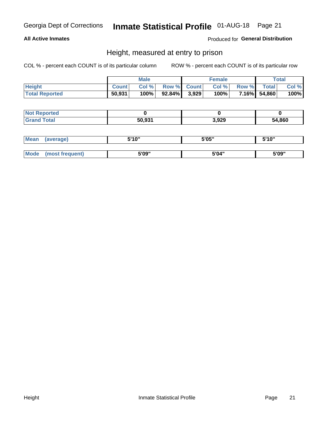### **All Active Inmates**

### Produced for General Distribution

### Height, measured at entry to prison

COL % - percent each COUNT is of its particular column

|                       | <b>Male</b>  |       | <b>Female</b>   |  |      | Total        |              |       |
|-----------------------|--------------|-------|-----------------|--|------|--------------|--------------|-------|
| <b>Height</b>         | <b>Count</b> | Col % | Row % Count     |  | Col% | <b>Row %</b> | <b>Total</b> | Col % |
| <b>Total Reported</b> | 50,931       | 100%  | $92.84\%$ 3,929 |  | 100% |              | 7.16% 54,860 | 100%  |

| <b>Not Reported</b>  |        |       |        |
|----------------------|--------|-------|--------|
| <b>Total</b><br>Gr2r | 50.931 | 3,929 | 54,860 |

| <b>Mean</b> | (average)       | 5'10" | 5'05" | 5'10" |
|-------------|-----------------|-------|-------|-------|
|             |                 |       |       |       |
| Mode        | (most frequent) | 5'09" | 5'04" | 5'09" |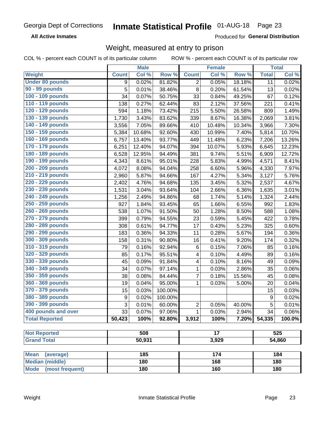**All Active Inmates** 

Produced for General Distribution

### Weight, measured at entry to prison

COL % - percent each COUNT is of its particular column

|                                |                  | <b>Male</b> |         |                | <b>Female</b>   |        |                  | <b>Total</b> |
|--------------------------------|------------------|-------------|---------|----------------|-----------------|--------|------------------|--------------|
| Weight                         | <b>Count</b>     | Col %       | Row %   | <b>Count</b>   | Col %           | Row %  | <b>Total</b>     | Col %        |
| <b>Under 80 pounds</b>         | 9                | 0.02%       | 81.82%  | 2              | 0.05%           | 18.18% | 11               | 0.02%        |
| 90 - 99 pounds                 | 5                | 0.01%       | 38.46%  | 8              | 0.20%           | 61.54% | 13               | 0.02%        |
| 100 - 109 pounds               | 34               | 0.07%       | 50.75%  | 33             | 0.84%           | 49.25% | 67               | 0.12%        |
| 110 - 119 pounds               | 138              | 0.27%       | 62.44%  | 83             | 2.12%           | 37.56% | 221              | 0.41%        |
| 120 - 129 pounds               | 594              | 1.18%       | 73.42%  | 215            | 5.50%           | 26.58% | 809              | 1.49%        |
| 130 - 139 pounds               | 1,730            | 3.43%       | 83.62%  | 339            | 8.67%           | 16.38% | 2,069            | 3.81%        |
| 140 - 149 pounds               | 3,556            | 7.05%       | 89.66%  | 410            | 10.48%          | 10.34% | 3,966            | 7.30%        |
| 150 - 159 pounds               | 5,384            | 10.68%      | 92.60%  | 430            | 10.99%          | 7.40%  | 5,814            | 10.70%       |
| 160 - 169 pounds               | 6,757            | 13.40%      | 93.77%  | 449            | 11.48%          | 6.23%  | 7,206            | 13.26%       |
| 170 - 179 pounds               | 6,251            | 12.40%      | 94.07%  | 394            | 10.07%          | 5.93%  | 6,645            | 12.23%       |
| 180 - 189 pounds               | 6,528            | 12.95%      | 94.49%  | 381            | 9.74%           | 5.51%  | 6,909            | 12.72%       |
| 190 - 199 pounds               | 4,343            | 8.61%       | 95.01%  | 228            | 5.83%           | 4.99%  | 4,571            | 8.41%        |
| 200 - 209 pounds               | 4,072            | 8.08%       | 94.04%  | 258            | 6.60%           | 5.96%  | 4,330            | 7.97%        |
| 210 - 219 pounds               | 2,960            | 5.87%       | 94.66%  | 167            | 4.27%           | 5.34%  | 3,127            | 5.76%        |
| 220 - 229 pounds               | 2,402            | 4.76%       | 94.68%  | 135            | 3.45%           | 5.32%  | 2,537            | 4.67%        |
| 230 - 239 pounds               | 1,531            | 3.04%       | 93.64%  | 104            | 2.66%           | 6.36%  | 1,635            | 3.01%        |
| 240 - 249 pounds               | 1,256            | 2.49%       | 94.86%  | 68             | 1.74%           | 5.14%  | 1,324            | 2.44%        |
| 250 - 259 pounds               | 927              | 1.84%       | 93.45%  | 65             | 1.66%           | 6.55%  | 992              | 1.83%        |
| 260 - 269 pounds               | 538              | 1.07%       | 91.50%  | 50             | 1.28%           | 8.50%  | 588              | 1.08%        |
| 270 - 279 pounds               | 399              | 0.79%       | 94.55%  | 23             | 0.59%           | 5.45%  | 422              | 0.78%        |
| 280 - 289 pounds               | 308              | 0.61%       | 94.77%  | 17             | 0.43%           | 5.23%  | 325              | 0.60%        |
| 290 - 299 pounds               | 183              | 0.36%       | 94.33%  | 11             | 0.28%           | 5.67%  | 194              | 0.36%        |
| 300 - 309 pounds               | 158              | 0.31%       | 90.80%  | 16             | 0.41%           | 9.20%  | 174              | 0.32%        |
| 310 - 319 pounds               | 79               | 0.16%       | 92.94%  | $\,6$          | 0.15%           | 7.06%  | 85               | 0.16%        |
| 320 - 329 pounds               | 85               | 0.17%       | 95.51%  | 4              | 0.10%           | 4.49%  | 89               | 0.16%        |
| 330 - 339 pounds               | 45               | 0.09%       | 91.84%  | 4              | 0.10%           | 8.16%  | 49               | 0.09%        |
| 340 - 349 pounds               | 34               | 0.07%       | 97.14%  | 1              | 0.03%           | 2.86%  | 35               | 0.06%        |
| 350 - 359 pounds               | 38               | 0.08%       | 84.44%  | $\overline{7}$ | 0.18%           | 15.56% | 45               | 0.08%        |
| 360 - 369 pounds               | 19               | 0.04%       | 95.00%  | $\mathbf{1}$   | 0.03%           | 5.00%  | 20               | 0.04%        |
| 370 - 379 pounds               | 15               | 0.03%       | 100.00% |                |                 |        | 15               | 0.03%        |
| 380 - 389 pounds               | $\boldsymbol{9}$ | 0.02%       | 100.00% |                |                 |        | $\boldsymbol{9}$ | 0.02%        |
| 390 - 399 pounds               | 3                | 0.01%       | 60.00%  | 2              | 0.05%           | 40.00% | 5                | 0.01%        |
| 400 pounds and over            | 33               | 0.07%       | 97.06%  | $\mathbf{1}$   | 0.03%           | 2.94%  | 34               | 0.06%        |
| <b>Total Reported</b>          | 50,423           | 100%        | 92.80%  | 3,912          | 100%            | 7.20%  | 54,335           | 100.0%       |
|                                |                  |             |         |                |                 |        |                  |              |
| <b>Not Reported</b>            |                  | 508         |         |                | $\overline{17}$ |        |                  | 525          |
| <b>Grand Total</b>             |                  | 50,931      |         |                | 3,929           |        |                  | 54,860       |
| <b>Mean</b><br>(average)       |                  | 185         |         |                | 174             |        |                  | 184          |
| <b>Median (middle)</b>         |                  | 180         |         |                | 168             |        |                  | 180          |
| <b>Mode</b><br>(most frequent) |                  | 180         |         |                | 160             |        |                  | 180          |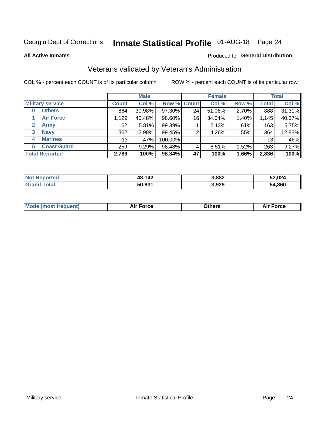## Inmate Statistical Profile 01-AUG-18 Page 24

**All Active Inmates** 

### Produced for General Distribution

### Veterans validated by Veteran's Administration

COL % - percent each COUNT is of its particular column

|                          |                 | <b>Male</b> |         |                    | <b>Female</b> |       |              | <b>Total</b> |
|--------------------------|-----------------|-------------|---------|--------------------|---------------|-------|--------------|--------------|
| <b>Military service</b>  | <b>Count</b>    | Col %       |         | <b>Row % Count</b> | Col %         | Row % | <b>Total</b> | Col %        |
| <b>Others</b><br>0       | 864             | 30.98%      | 97.30%  | 24                 | 51.06%        | 2.70% | 888          | 31.31%       |
| <b>Air Force</b>         | 1,129           | 40.48%      | 98.60%  | 16                 | 34.04%        | 1.40% | 1,145        | 40.37%       |
| <b>Army</b><br>2         | 162             | 5.81%       | 99.39%  |                    | 2.13%         | .61%  | 163          | 5.75%        |
| <b>Navy</b><br>3         | 362             | 12.98%      | 99.45%  | 2                  | 4.26%         | .55%  | 364          | 12.83%       |
| <b>Marines</b><br>4      | 13 <sub>1</sub> | .47%        | 100.00% |                    |               |       | 13           | .46%         |
| <b>Coast Guard</b><br>5. | 259             | 9.29%       | 98.48%  | 4                  | 8.51%         | 1.52% | 263          | 9.27%        |
| <b>Total Reported</b>    | 2,789           | 100%        | 98.34%  | 47                 | 100%          | 1.66% | 2,836        | 100%         |

| <b>Not</b><br>Reported | 48,142 | 3,882 | 52,024 |
|------------------------|--------|-------|--------|
| Гоtal<br>'Grand        | 50,931 | 3,929 | 54,860 |

|  |  | <b>Mode (most frequent)</b> | <b>Force</b><br>Aır | วthers | orce |
|--|--|-----------------------------|---------------------|--------|------|
|--|--|-----------------------------|---------------------|--------|------|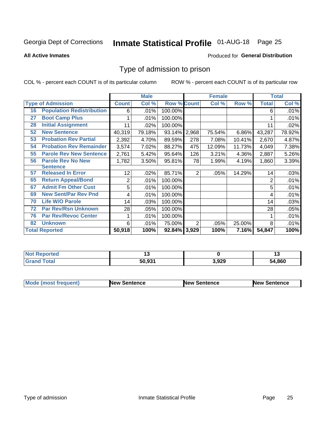## Inmate Statistical Profile 01-AUG-18 Page 25

**All Active Inmates** 

### Produced for General Distribution

### Type of admission to prison

COL % - percent each COUNT is of its particular column

|    |                                  |                | <b>Male</b> |                    |                | <b>Female</b> |        |                | <b>Total</b> |
|----|----------------------------------|----------------|-------------|--------------------|----------------|---------------|--------|----------------|--------------|
|    | <b>Type of Admission</b>         | <b>Count</b>   | Col %       | <b>Row % Count</b> |                | Col %         | Row %  | <b>Total</b>   | Col %        |
| 16 | <b>Population Redistribution</b> | 6              | .01%        | 100.00%            |                |               |        | 6              | .01%         |
| 27 | <b>Boot Camp Plus</b>            |                | .01%        | 100.00%            |                |               |        |                | .01%         |
| 28 | <b>Initial Assignment</b>        | 11             | .02%        | 100.00%            |                |               |        | 11             | .02%         |
| 52 | <b>New Sentence</b>              | 40,319         | 79.18%      | 93.14%             | 2,968          | 75.54%        | 6.86%  | 43,287         | 78.92%       |
| 53 | <b>Probation Rev Partial</b>     | 2,392          | 4.70%       | 89.59%             | 278            | 7.08%         | 10.41% | 2,670          | 4.87%        |
| 54 | <b>Probation Rev Remainder</b>   | 3,574          | 7.02%       | 88.27%             | 475            | 12.09%        | 11.73% | 4,049          | 7.38%        |
| 55 | <b>Parole Rev New Sentence</b>   | 2,761          | 5.42%       | 95.64%             | 126            | 3.21%         | 4.36%  | 2,887          | 5.26%        |
| 56 | <b>Parole Rev No New</b>         | 1,782          | 3.50%       | 95.81%             | 78             | 1.99%         | 4.19%  | 1,860          | 3.39%        |
|    | <b>Sentence</b>                  |                |             |                    |                |               |        |                |              |
| 57 | <b>Released In Error</b>         | 12             | .02%        | 85.71%             | $\overline{2}$ | .05%          | 14.29% | 14             | .03%         |
| 65 | <b>Return Appeal/Bond</b>        | $\overline{2}$ | .01%        | 100.00%            |                |               |        | $\overline{2}$ | .01%         |
| 67 | <b>Admit Fm Other Cust</b>       | 5              | .01%        | 100.00%            |                |               |        | 5              | .01%         |
| 69 | <b>New Sent/Par Rev Pnd</b>      | 4              | .01%        | 100.00%            |                |               |        | 4              | .01%         |
| 70 | <b>Life W/O Parole</b>           | 14             | .03%        | 100.00%            |                |               |        | 14             | .03%         |
| 72 | <b>Par Rev/Rsn Unknown</b>       | 28             | .05%        | 100.00%            |                |               |        | 28             | .05%         |
| 76 | <b>Par Rev/Revoc Center</b>      |                | .01%        | 100.00%            |                |               |        |                | .01%         |
| 82 | <b>Unknown</b>                   | 6              | .01%        | 75.00%             | 2              | .05%          | 25.00% | 8              | .01%         |
|    | <b>Total Reported</b>            | 50,918         | 100%        | 92.84%             | 3,929          | 100%          | 7.16%  | 54,847         | 100%         |

| <b>Not Reported</b> |        |       | . .    |
|---------------------|--------|-------|--------|
| Total<br>Gran       | 50,931 | 3,929 | 54,860 |

| <b>Mode (most frequent)</b> | <b>New Sentence</b> | <b>New Sentence</b> | <b>New Sentence</b> |
|-----------------------------|---------------------|---------------------|---------------------|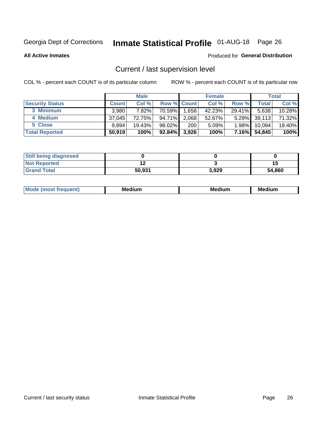## Inmate Statistical Profile 01-AUG-18 Page 26

**All Active Inmates** 

### Produced for General Distribution

### Current / last supervision level

COL % - percent each COUNT is of its particular column

|                        |              | <b>Male</b> |                    |       | <b>Female</b> |          |        | <b>Total</b> |
|------------------------|--------------|-------------|--------------------|-------|---------------|----------|--------|--------------|
| <b>Security Status</b> | <b>Count</b> | Col %       | <b>Row % Count</b> |       | Col %         | Row %    | Total  | Col %        |
| 3 Minimum              | 3.980        | 7.82%       | 70.59%             | 1,658 | 42.23%        | 29.41%   | 5,638  | 10.28%       |
| 4 Medium               | 37,045       | 72.75%      | 94.71%             | 2,068 | 52.67%        | $5.29\%$ | 39,113 | 71.32%       |
| 5 Close                | 9.894        | 19.43%      | 98.02%             | 200   | 5.09%         | $1.98\%$ | 10.094 | 18.40%       |
| <b>Total Reported</b>  | 50,919       | 100%        | 92.84%             | 3,926 | 100%          | $7.16\%$ | 54,845 | 100%         |

| <b>Still being diagnosed</b> |        |       |        |
|------------------------------|--------|-------|--------|
| <b>Not Reported</b>          |        |       | 1.     |
| <b>Grand Total</b>           | 50,931 | 3,929 | 54,860 |

| M | M | . . |
|---|---|-----|
|   |   |     |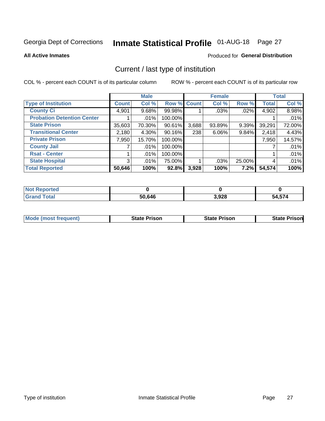## Inmate Statistical Profile 01-AUG-18 Page 27

**All Active Inmates** 

### **Produced for General Distribution**

### Current / last type of institution

COL % - percent each COUNT is of its particular column

|                                   |                | <b>Male</b> |             |       | <b>Female</b> |        |              | <b>Total</b> |
|-----------------------------------|----------------|-------------|-------------|-------|---------------|--------|--------------|--------------|
| <b>Type of Institution</b>        | <b>Count</b>   | Col %       | Row % Count |       | Col %         | Row %  | <b>Total</b> | Col %        |
| <b>County Ci</b>                  | 4,901          | $9.68\%$    | 99.98%      |       | .03%          | .02%   | 4,902        | 8.98%        |
| <b>Probation Detention Center</b> |                | .01%        | 100.00%     |       |               |        |              | .01%         |
| <b>State Prison</b>               | 35,603         | 70.30%      | 90.61%      | 3,688 | 93.89%        | 9.39%  | 39,291       | 72.00%       |
| <b>Transitional Center</b>        | 2,180          | 4.30%       | $90.16\%$   | 238   | $6.06\%$      | 9.84%  | 2,418        | 4.43%        |
| <b>Private Prison</b>             | 7,950          | 15.70%      | 100.00%     |       |               |        | 7,950        | 14.57%       |
| <b>County Jail</b>                |                | .01%        | 100.00%     |       |               |        |              | .01%         |
| <b>Rsat - Center</b>              |                | $.01\%$     | 100.00%     |       |               |        |              | .01%         |
| <b>State Hospital</b>             | 3 <sup>1</sup> | $.01\%$     | 75.00%      |       | .03%          | 25.00% | 4            | .01%         |
| <b>Total Reported</b>             | 50,646         | 100%        | 92.8%       | 3,928 | 100%          | 7.2%   | 54,574       | 100%         |

| $^{\mathrm{H}}$ Not $\cdot$<br>Reported |        |       |        |
|-----------------------------------------|--------|-------|--------|
| <b>Total</b><br><b>Grand</b>            | 50,646 | 3,928 | 54,574 |

| <b>Mode (most frequent)</b> | <b>State Prison</b> | <b>State Prison</b> | <b>State Prisonl</b> |
|-----------------------------|---------------------|---------------------|----------------------|
|                             |                     |                     |                      |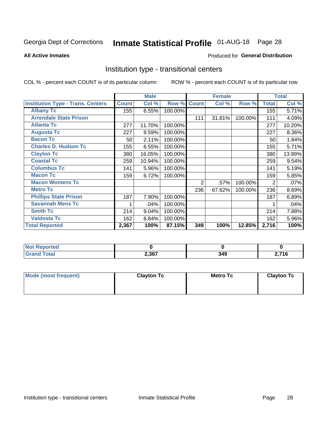## Inmate Statistical Profile 01-AUG-18 Page 28

**All Active Inmates** 

### Produced for General Distribution

### Institution type - transitional centers

COL % - percent each COUNT is of its particular column

|                                          |              | <b>Male</b> |         |              | Female |         |                | <b>Total</b> |
|------------------------------------------|--------------|-------------|---------|--------------|--------|---------|----------------|--------------|
| <b>Institution Type - Trans. Centers</b> | <b>Count</b> | Col %       | Row %   | <b>Count</b> | Col %  | Row %   | <b>Total</b>   | Col %        |
| <b>Albany Tc</b>                         | 155          | 6.55%       | 100.00% |              |        |         | 155            | 5.71%        |
| <b>Arrendale State Prison</b>            |              |             |         | 111          | 31.81% | 100.00% | 111            | 4.09%        |
| <b>Atlanta Tc</b>                        | 277          | 11.70%      | 100.00% |              |        |         | 277            | 10.20%       |
| <b>Augusta Tc</b>                        | 227          | 9.59%       | 100.00% |              |        |         | 227            | 8.36%        |
| <b>Bacon Tc</b>                          | 50           | 2.11%       | 100.00% |              |        |         | 50             | 1.84%        |
| <b>Charles D. Hudson Tc</b>              | 155          | 6.55%       | 100.00% |              |        |         | 155            | 5.71%        |
| <b>Clayton Tc</b>                        | 380          | 16.05%      | 100.00% |              |        |         | 380            | 13.99%       |
| <b>Coastal Tc</b>                        | 259          | 10.94%      | 100.00% |              |        |         | 259            | 9.54%        |
| <b>Columbus Tc</b>                       | 141          | 5.96%       | 100.00% |              |        |         | 141            | 5.19%        |
| <b>Macon Tc</b>                          | 159          | 6.72%       | 100.00% |              |        |         | 159            | 5.85%        |
| <b>Macon Womens Tc</b>                   |              |             |         | 2            | .57%   | 100.00% | $\overline{2}$ | .07%         |
| <b>Metro Tc</b>                          |              |             |         | 236          | 67.62% | 100.00% | 236            | 8.69%        |
| <b>Phillips State Prison</b>             | 187          | 7.90%       | 100.00% |              |        |         | 187            | 6.89%        |
| <b>Savannah Mens Tc</b>                  |              | .04%        | 100.00% |              |        |         |                | .04%         |
| <b>Smith Tc</b>                          | 214          | 9.04%       | 100.00% |              |        |         | 214            | 7.88%        |
| <b>Valdosta Tc</b>                       | 162          | 6.84%       | 100.00% |              |        |         | 162            | 5.96%        |
| <b>Total Reported</b>                    | 2,367        | 100%        | 87.15%  | 349          | 100%   | 12.85%  | 2,716          | 100%         |

| <b>Not Reported</b> |       |     |                 |
|---------------------|-------|-----|-----------------|
| Гоtal               | 2,367 | 349 | 74C<br>.<br>--- |

| Mode (most frequent) | <b>Clayton Tc</b> | Metro Tc | <b>Clayton Tc</b> |
|----------------------|-------------------|----------|-------------------|
|                      |                   |          |                   |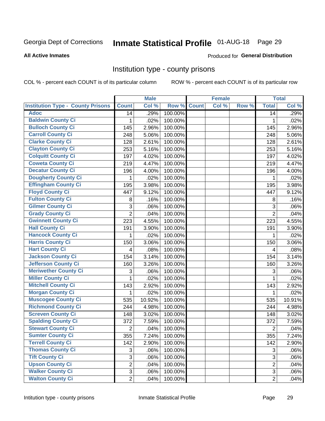## Inmate Statistical Profile 01-AUG-18 Page 29

### **All Active Inmates**

### Produced for General Distribution

### Institution type - county prisons

COL % - percent each COUNT is of its particular column

|                                          |                | <b>Male</b> |         |              | <b>Female</b> |       |                | <b>Total</b> |
|------------------------------------------|----------------|-------------|---------|--------------|---------------|-------|----------------|--------------|
| <b>Institution Type - County Prisons</b> | <b>Count</b>   | Col %       | Row %   | <b>Count</b> | Col %         | Row % | <b>Total</b>   | Col %        |
| <b>Adoc</b>                              | 14             | .29%        | 100.00% |              |               |       | 14             | .29%         |
| <b>Baldwin County Ci</b>                 | 1              | .02%        | 100.00% |              |               |       | 1              | .02%         |
| <b>Bulloch County Ci</b>                 | 145            | 2.96%       | 100.00% |              |               |       | 145            | 2.96%        |
| <b>Carroll County Ci</b>                 | 248            | 5.06%       | 100.00% |              |               |       | 248            | 5.06%        |
| <b>Clarke County Ci</b>                  | 128            | 2.61%       | 100.00% |              |               |       | 128            | 2.61%        |
| <b>Clayton County Ci</b>                 | 253            | 5.16%       | 100.00% |              |               |       | 253            | 5.16%        |
| <b>Colquitt County Ci</b>                | 197            | 4.02%       | 100.00% |              |               |       | 197            | 4.02%        |
| <b>Coweta County Ci</b>                  | 219            | 4.47%       | 100.00% |              |               |       | 219            | 4.47%        |
| <b>Decatur County Ci</b>                 | 196            | 4.00%       | 100.00% |              |               |       | 196            | 4.00%        |
| <b>Dougherty County Ci</b>               | 1              | .02%        | 100.00% |              |               |       | 1              | .02%         |
| <b>Effingham County Ci</b>               | 195            | 3.98%       | 100.00% |              |               |       | 195            | 3.98%        |
| <b>Floyd County Ci</b>                   | 447            | 9.12%       | 100.00% |              |               |       | 447            | 9.12%        |
| <b>Fulton County Ci</b>                  | 8              | .16%        | 100.00% |              |               |       | 8              | .16%         |
| <b>Gilmer County Ci</b>                  | 3              | .06%        | 100.00% |              |               |       | 3              | .06%         |
| <b>Grady County Ci</b>                   | $\overline{2}$ | .04%        | 100.00% |              |               |       | $\overline{2}$ | .04%         |
| <b>Gwinnett County Ci</b>                | 223            | 4.55%       | 100.00% |              |               |       | 223            | 4.55%        |
| <b>Hall County Ci</b>                    | 191            | 3.90%       | 100.00% |              |               |       | 191            | 3.90%        |
| <b>Hancock County Ci</b>                 | 1              | .02%        | 100.00% |              |               |       | 1              | .02%         |
| <b>Harris County Ci</b>                  | 150            | 3.06%       | 100.00% |              |               |       | 150            | 3.06%        |
| <b>Hart County Ci</b>                    | 4              | .08%        | 100.00% |              |               |       | 4              | .08%         |
| <b>Jackson County Ci</b>                 | 154            | 3.14%       | 100.00% |              |               |       | 154            | 3.14%        |
| Jefferson County Ci                      | 160            | 3.26%       | 100.00% |              |               |       | 160            | 3.26%        |
| <b>Meriwether County Ci</b>              | 3              | .06%        | 100.00% |              |               |       | 3              | .06%         |
| <b>Miller County Ci</b>                  | 1              | .02%        | 100.00% |              |               |       | 1              | .02%         |
| <b>Mitchell County Ci</b>                | 143            | 2.92%       | 100.00% |              |               |       | 143            | 2.92%        |
| <b>Morgan County Ci</b>                  | 1              | .02%        | 100.00% |              |               |       | 1              | .02%         |
| <b>Muscogee County Ci</b>                | 535            | 10.92%      | 100.00% |              |               |       | 535            | 10.91%       |
| <b>Richmond County Ci</b>                | 244            | 4.98%       | 100.00% |              |               |       | 244            | 4.98%        |
| <b>Screven County Ci</b>                 | 148            | 3.02%       | 100.00% |              |               |       | 148            | 3.02%        |
| <b>Spalding County Ci</b>                | 372            | 7.59%       | 100.00% |              |               |       | 372            | 7.59%        |
| <b>Stewart County Ci</b>                 | $\overline{c}$ | .04%        | 100.00% |              |               |       | $\overline{2}$ | .04%         |
| <b>Sumter County Ci</b>                  | 355            | 7.24%       | 100.00% |              |               |       | 355            | 7.24%        |
| <b>Terrell County Ci</b>                 | 142            | 2.90%       | 100.00% |              |               |       | 142            | 2.90%        |
| <b>Thomas County Ci</b>                  | 3              | .06%        | 100.00% |              |               |       | 3              | .06%         |
| <b>Tift County Ci</b>                    | $\overline{3}$ | .06%        | 100.00% |              |               |       | $\overline{3}$ | .06%         |
| <b>Upson County Ci</b>                   | $\overline{2}$ | .04%        | 100.00% |              |               |       | 2              | .04%         |
| <b>Walker County Ci</b>                  | 3              | .06%        | 100.00% |              |               |       | 3              | .06%         |
| <b>Walton County Ci</b>                  | $\overline{2}$ | .04%        | 100.00% |              |               |       | $\overline{2}$ | .04%         |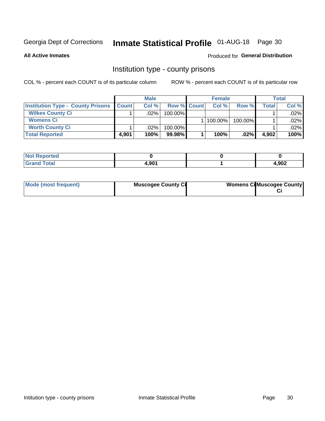## Inmate Statistical Profile 01-AUG-18 Page 30

**All Active Inmates** 

### Produced for General Distribution

### Institution type - county prisons

COL % - percent each COUNT is of its particular column

|                                          |              | <b>Male</b> |                    | <b>Female</b> |         |       | Total   |
|------------------------------------------|--------------|-------------|--------------------|---------------|---------|-------|---------|
| <b>Institution Type - County Prisons</b> | <b>Count</b> | Col%        | <b>Row % Count</b> | Col%          | Row %   | Total | Col %   |
| <b>Wilkes County Ci</b>                  |              | $.02\%$     | 100.00%            |               |         |       | $.02\%$ |
| <b>Womens Ci</b>                         |              |             |                    | $ 100.00\% $  | 100.00% |       | $.02\%$ |
| <b>Worth County Ci</b>                   |              | $.02\%$     | 100.00%            |               |         |       | .02% l  |
| <b>Total Reported</b>                    | 4.901        | 100%        | $99.98\%$          | 100%          | $.02\%$ | 4,902 | 100%    |

| <u>ied</u>           |            |               |
|----------------------|------------|---------------|
| $\sim$ $\sim$ $\sim$ | <b>001</b> | u ang<br>7UZ. |

| Mode (most frequent) | <b>Muscogee County Ci</b> | <b>Womens CilMuscogee County</b> |
|----------------------|---------------------------|----------------------------------|
|----------------------|---------------------------|----------------------------------|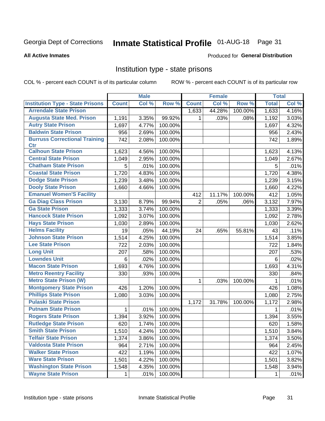## Inmate Statistical Profile 01-AUG-18 Page 31

### **All Active Inmates**

### Produced for General Distribution

### Institution type - state prisons

COL % - percent each COUNT is of its particular column

|                                         |              | <b>Male</b> |         |                | <b>Female</b> |         | <b>Total</b> |       |
|-----------------------------------------|--------------|-------------|---------|----------------|---------------|---------|--------------|-------|
| <b>Institution Type - State Prisons</b> | <b>Count</b> | Col %       | Row %   | <b>Count</b>   | Col %         | Row %   | <b>Total</b> | Col % |
| <b>Arrendale State Prison</b>           |              |             |         | 1,633          | 44.28%        | 100.00% | 1,633        | 4.16% |
| <b>Augusta State Med. Prison</b>        | 1,191        | 3.35%       | 99.92%  | 1.             | .03%          | .08%    | 1,192        | 3.03% |
| <b>Autry State Prison</b>               | 1,697        | 4.77%       | 100.00% |                |               |         | 1,697        | 4.32% |
| <b>Baldwin State Prison</b>             | 956          | 2.69%       | 100.00% |                |               |         | 956          | 2.43% |
| <b>Burruss Correctional Training</b>    | 742          | 2.08%       | 100.00% |                |               |         | 742          | 1.89% |
| <b>Ctr</b>                              |              |             |         |                |               |         |              |       |
| <b>Calhoun State Prison</b>             | 1,623        | 4.56%       | 100.00% |                |               |         | 1,623        | 4.13% |
| <b>Central State Prison</b>             | 1,049        | 2.95%       | 100.00% |                |               |         | 1,049        | 2.67% |
| <b>Chatham State Prison</b>             | 5            | .01%        | 100.00% |                |               |         | 5            | .01%  |
| <b>Coastal State Prison</b>             | 1,720        | 4.83%       | 100.00% |                |               |         | 1,720        | 4.38% |
| <b>Dodge State Prison</b>               | 1,239        | 3.48%       | 100.00% |                |               |         | 1,239        | 3.15% |
| <b>Dooly State Prison</b>               | 1,660        | 4.66%       | 100.00% |                |               |         | 1,660        | 4.22% |
| <b>Emanuel Women'S Facility</b>         |              |             |         | 412            | 11.17%        | 100.00% | 412          | 1.05% |
| <b>Ga Diag Class Prison</b>             | 3,130        | 8.79%       | 99.94%  | $\overline{2}$ | .05%          | .06%    | 3,132        | 7.97% |
| <b>Ga State Prison</b>                  | 1,333        | 3.74%       | 100.00% |                |               |         | 1,333        | 3.39% |
| <b>Hancock State Prison</b>             | 1,092        | 3.07%       | 100.00% |                |               |         | 1,092        | 2.78% |
| <b>Hays State Prison</b>                | 1,030        | 2.89%       | 100.00% |                |               |         | 1,030        | 2.62% |
| <b>Helms Facility</b>                   | 19           | .05%        | 44.19%  | 24             | .65%          | 55.81%  | 43           | .11%  |
| <b>Johnson State Prison</b>             | 1,514        | 4.25%       | 100.00% |                |               |         | 1,514        | 3.85% |
| <b>Lee State Prison</b>                 | 722          | 2.03%       | 100.00% |                |               |         | 722          | 1.84% |
| <b>Long Unit</b>                        | 207          | .58%        | 100.00% |                |               |         | 207          | .53%  |
| <b>Lowndes Unit</b>                     | 6            | .02%        | 100.00% |                |               |         | 6            | .02%  |
| <b>Macon State Prison</b>               | 1,693        | 4.76%       | 100.00% |                |               |         | 1,693        | 4.31% |
| <b>Metro Reentry Facility</b>           | 330          | .93%        | 100.00% |                |               |         | 330          | .84%  |
| <b>Metro State Prison (W)</b>           |              |             |         | $\mathbf{1}$   | .03%          | 100.00% | 1            | .01%  |
| <b>Montgomery State Prison</b>          | 426          | 1.20%       | 100.00% |                |               |         | 426          | 1.08% |
| <b>Phillips State Prison</b>            | 1,080        | 3.03%       | 100.00% |                |               |         | 1,080        | 2.75% |
| <b>Pulaski State Prison</b>             |              |             |         | 1,172          | 31.78%        | 100.00% | 1,172        | 2.98% |
| <b>Putnam State Prison</b>              | $\mathbf{1}$ | .01%        | 100.00% |                |               |         | 1            | .01%  |
| <b>Rogers State Prison</b>              | 1,394        | 3.92%       | 100.00% |                |               |         | 1,394        | 3.55% |
| <b>Rutledge State Prison</b>            | 620          | 1.74%       | 100.00% |                |               |         | 620          | 1.58% |
| <b>Smith State Prison</b>               | 1,510        | 4.24%       | 100.00% |                |               |         | 1,510        | 3.84% |
| <b>Telfair State Prison</b>             | 1,374        | 3.86%       | 100.00% |                |               |         | 1,374        | 3.50% |
| <b>Valdosta State Prison</b>            | 964          | 2.71%       | 100.00% |                |               |         | 964          | 2.45% |
| <b>Walker State Prison</b>              | 422          | 1.19%       | 100.00% |                |               |         | 422          | 1.07% |
| <b>Ware State Prison</b>                | 1,501        | 4.22%       | 100.00% |                |               |         | 1,501        | 3.82% |
| <b>Washington State Prison</b>          | 1,548        | 4.35%       | 100.00% |                |               |         | 1,548        | 3.94% |
| <b>Wayne State Prison</b>               | 1            | .01%        | 100.00% |                |               |         | 1            | .01%  |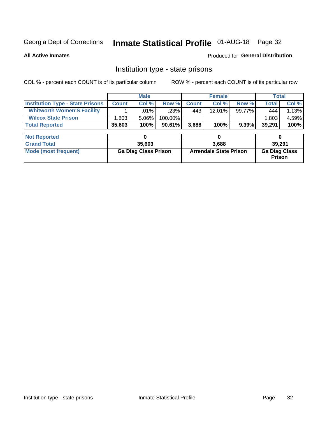## Inmate Statistical Profile 01-AUG-18 Page 32

**All Active Inmates** 

### **Produced for General Distribution**

### Institution type - state prisons

COL % - percent each COUNT is of its particular column ROW % - percent each COUNT is of its particular row

|                                         |              | <b>Male</b>                 |         | <b>Female</b> |                               |          | <b>Total</b>                   |       |
|-----------------------------------------|--------------|-----------------------------|---------|---------------|-------------------------------|----------|--------------------------------|-------|
| <b>Institution Type - State Prisons</b> | <b>Count</b> | Col %                       | Row %   | <b>Count</b>  | Col %                         | Row %    | <b>Total</b>                   | Col % |
| <b>Whitworth Women'S Facility</b>       |              | .01%                        | $.23\%$ | 443           | 12.01%                        | 99.77%   | 444                            | 1.13% |
| <b>Wilcox State Prison</b>              | 1,803        | 5.06%                       | 100.00% |               |                               |          | 1,803                          | 4.59% |
| <b>Total Reported</b>                   | 35,603       | 100%                        | 90.61%  | 3,688         | 100%                          | $9.39\%$ | 39,291                         | 100%  |
| <b>Not Reported</b>                     |              | 0                           |         |               | 0                             |          | 0                              |       |
| <b>Grand Total</b>                      |              | 35,603                      |         |               | 3,688                         |          | 39.291                         |       |
| <b>Mode (most frequent)</b>             |              | <b>Ga Diag Class Prison</b> |         |               | <b>Arrendale State Prison</b> |          | <b>Ga Diag Class</b><br>Prison |       |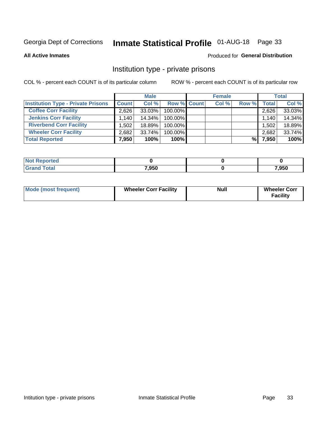## Inmate Statistical Profile 01-AUG-18 Page 33

**All Active Inmates** 

### Produced for General Distribution

### Institution type - private prisons

COL % - percent each COUNT is of its particular column

|                                           |              | <b>Male</b> |                    | <b>Female</b> |       |       | <b>Total</b> |
|-------------------------------------------|--------------|-------------|--------------------|---------------|-------|-------|--------------|
| <b>Institution Type - Private Prisons</b> | <b>Count</b> | Col %       | <b>Row % Count</b> | Col %         | Row % | Total | Col %        |
| <b>Coffee Corr Facility</b>               | 2.626        | 33.03%      | 100.00%            |               |       | 2,626 | 33.03%       |
| <b>Jenkins Corr Facility</b>              | 1.140        | $14.34\%$   | 100.00%            |               |       | 1,140 | 14.34%       |
| <b>Riverbend Corr Facility</b>            | 1.5021       | 18.89%      | 100.00%            |               |       | 1,502 | 18.89%       |
| <b>Wheeler Corr Facility</b>              | 2,682        | $33.74\%$   | 100.00%            |               |       | 2,682 | 33.74%       |
| <b>Total Reported</b>                     | 7,950        | 100%        | $100\%$            |               | %     | 7,950 | 100%         |

| <b>Not Reported</b> |       |       |
|---------------------|-------|-------|
| <b>Total</b>        | 7,950 | 7,950 |

| <b>Mode (most frequent)</b> | <b>Wheeler Corr Facility</b> | <b>Null</b> | <b>Wheeler Corr</b><br><b>Facility</b> |
|-----------------------------|------------------------------|-------------|----------------------------------------|
|-----------------------------|------------------------------|-------------|----------------------------------------|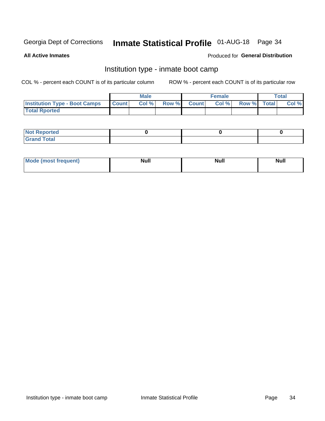## Inmate Statistical Profile 01-AUG-18 Page 34

**All Active Inmates** 

### Produced for General Distribution

### Institution type - inmate boot camp

COL % - percent each COUNT is of its particular column

|                                      |              | <b>Male</b> |               |              | <b>Female</b> |             | <b>Total</b> |
|--------------------------------------|--------------|-------------|---------------|--------------|---------------|-------------|--------------|
| <b>Institution Type - Boot Camps</b> | <b>Count</b> | Col %       | <b>Row %I</b> | <b>Count</b> | Col %         | Row % Total | Col %        |
| <b>Total Rported</b>                 |              |             |               |              |               |             |              |

| <b>Not Reported</b>            |  |  |
|--------------------------------|--|--|
| <b>Total</b><br>C <sub>r</sub> |  |  |

| Mod<br>uamo | Nul.<br>$- - - - - -$ | <b>Null</b> | <br>uu.<br>------ |
|-------------|-----------------------|-------------|-------------------|
|             |                       |             |                   |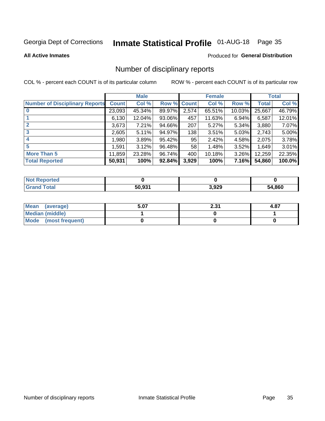## Inmate Statistical Profile 01-AUG-18 Page 35

### **All Active Inmates**

### Produced for General Distribution

### Number of disciplinary reports

COL % - percent each COUNT is of its particular column

|                                       |              | <b>Male</b> |        |              | <b>Female</b> |           |              | <b>Total</b> |
|---------------------------------------|--------------|-------------|--------|--------------|---------------|-----------|--------------|--------------|
| <b>Number of Disciplinary Reports</b> | <b>Count</b> | Col %       | Row %  | <b>Count</b> | Col %         | Row %     | <b>Total</b> | Col %        |
|                                       | 23,093       | 45.34%      | 89.97% | 2,574        | 65.51%        | $10.03\%$ | 25,667       | 46.79%       |
|                                       | 6,130        | 12.04%      | 93.06% | 457          | 11.63%        | 6.94%     | 6,587        | 12.01%       |
|                                       | 3,673        | 7.21%       | 94.66% | 207          | 5.27%         | $5.34\%$  | 3,880        | 7.07%        |
| 3                                     | 2,605        | 5.11%       | 94.97% | 138          | 3.51%         | 5.03%     | 2,743        | 5.00%        |
| 4                                     | 1,980        | 3.89%       | 95.42% | 95           | 2.42%         | 4.58%     | 2,075        | 3.78%        |
| 5                                     | 1,591        | 3.12%       | 96.48% | 58           | 1.48%         | 3.52%     | 1,649        | 3.01%        |
| <b>More Than 5</b>                    | 11,859       | 23.28%      | 96.74% | 400          | 10.18%        | $3.26\%$  | 12,259       | 22.35%       |
| <b>Total Reported</b>                 | 50,931       | 100%        | 92.84% | 3,929        | 100%          | 7.16%     | 54,860       | 100.0%       |

| Reported<br>Not <b>I</b> |        |       |             |
|--------------------------|--------|-------|-------------|
| Total                    | 50.931 | 3,929 | 4,860<br>בר |

| Mean (average)       | 5.07 | 2.31 | 4.87 |
|----------------------|------|------|------|
| Median (middle)      |      |      |      |
| Mode (most frequent) |      |      |      |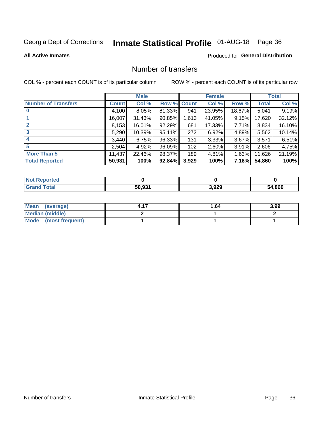## Inmate Statistical Profile 01-AUG-18 Page 36

### **All Active Inmates**

### **Produced for General Distribution**

### Number of transfers

COL % - percent each COUNT is of its particular column

|                            |         | <b>Male</b> |             |       | <b>Female</b> |          |              | <b>Total</b> |
|----------------------------|---------|-------------|-------------|-------|---------------|----------|--------------|--------------|
| <b>Number of Transfers</b> | Count l | Col %       | Row % Count |       | Col %         | Row %    | <b>Total</b> | Col %        |
|                            | 4,100   | 8.05%       | 81.33%      | 941   | 23.95%        | 18.67%   | 5,041        | 9.19%        |
|                            | 16,007  | 31.43%      | 90.85%      | 1,613 | 41.05%        | 9.15%    | 17,620       | 32.12%       |
| $\mathbf{2}$               | 8,153   | 16.01%      | 92.29%      | 681   | 17.33%        | $7.71\%$ | 8,834        | 16.10%       |
| 3                          | 5,290   | 10.39%      | 95.11%      | 272   | 6.92%         | 4.89%    | 5,562        | 10.14%       |
| 4                          | 3,440   | 6.75%       | 96.33%      | 131   | 3.33%         | $3.67\%$ | 3,571        | 6.51%        |
| 5                          | 2,504   | 4.92%       | 96.09%      | 102   | 2.60%         | 3.91%    | 2,606        | 4.75%        |
| <b>More Than 5</b>         | 11,437  | 22.46%      | 98.37%      | 189   | 4.81%         | 1.63%    | 11,626       | 21.19%       |
| <b>Total Reported</b>      | 50,931  | 100%        | 92.84%      | 3,929 | 100%          | 7.16%    | 54,860       | 100%         |

| Reported<br>Not <b>I</b> |        |       |             |
|--------------------------|--------|-------|-------------|
| Total                    | 50.931 | 3,929 | 4,860<br>בר |

| Mean (average)         | 1.64 | 3.99 |
|------------------------|------|------|
| <b>Median (middle)</b> |      |      |
| Mode (most frequent)   |      |      |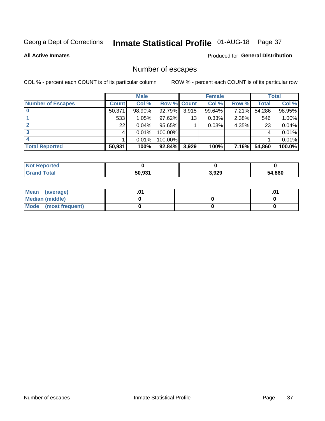## Inmate Statistical Profile 01-AUG-18 Page 37

**All Active Inmates** 

### **Produced for General Distribution**

### Number of escapes

COL % - percent each COUNT is of its particular column

|                          |              | <b>Male</b> |             |       | <b>Female</b> |              |        | <b>Total</b> |
|--------------------------|--------------|-------------|-------------|-------|---------------|--------------|--------|--------------|
| <b>Number of Escapes</b> | <b>Count</b> | Col %       | Row % Count |       | Col %         | Row %        | Total  | Col %        |
|                          | 50,371       | 98.90%      | 92.79%      | 3,915 | 99.64%        | 7.21%        | 54,286 | 98.95%       |
|                          | 533          | 1.05%       | 97.62%      | 13    | 0.33%         | 2.38%        | 546    | 1.00%        |
|                          | 22           | 0.04%       | 95.65%      |       | 0.03%         | 4.35%        | 23     | 0.04%        |
|                          |              | 0.01%       | 100.00%     |       |               |              |        | 0.01%        |
|                          |              | 0.01%       | 100.00%     |       |               |              |        | 0.01%        |
| <b>Total Reported</b>    | 50,931       | 100%        | $92.84\%$   | 3,929 | 100%          | <b>7.16%</b> | 54,860 | 100.0%       |

| <b>Not Reported</b> |        |       |        |
|---------------------|--------|-------|--------|
| Total               | 50,931 | 3,929 | 54,860 |

| Mean (average)       |  | .0 <sup>1</sup> |
|----------------------|--|-----------------|
| Median (middle)      |  |                 |
| Mode (most frequent) |  |                 |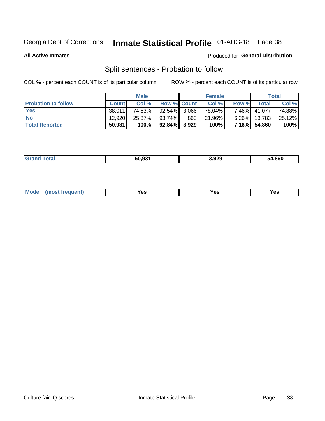## Inmate Statistical Profile 01-AUG-18 Page 38

**All Active Inmates** 

### Produced for General Distribution

### Split sentences - Probation to follow

COL % - percent each COUNT is of its particular column

|                            |              | <b>Male</b> |                    |     | <b>Female</b> |          |              | <b>Total</b> |
|----------------------------|--------------|-------------|--------------------|-----|---------------|----------|--------------|--------------|
| <b>Probation to follow</b> | <b>Count</b> | Col%        | <b>Row % Count</b> |     | Col %         | Row %    | Total        | Col %        |
| <b>Yes</b>                 | 38.011       | 74.63%      | $92.54\%$ 3.066    |     | 78.04%        | $7.46\%$ | 41,077       | 74.88%       |
| <b>No</b>                  | 12.920       | 25.37%      | $93.74\%$          | 863 | 21.96%        | $6.26\%$ | 13,783       | 25.12%       |
| <b>Total Reported</b>      | 50,931       | 100%        | $92.84\%$ 3,929    |     | 100%          |          | 7.16% 54,860 | 100%         |

| ______ | <b>FO OOA</b><br>50.93. | 3,929<br>__ | 54.860 |
|--------|-------------------------|-------------|--------|
|        |                         |             |        |

| M<br>reauent)<br>/٥<br>$\sim$<br>v.,<br>.<br>w<br>$\cdot$ - $\cdot$ |  |  |  |  |  |
|---------------------------------------------------------------------|--|--|--|--|--|
|---------------------------------------------------------------------|--|--|--|--|--|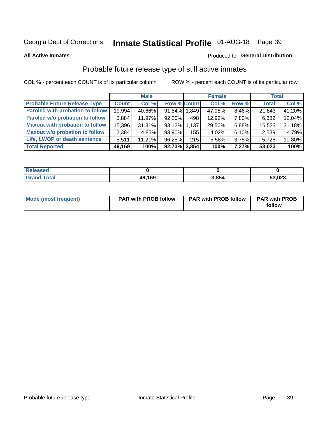## Inmate Statistical Profile 01-AUG-18 Page 39

**All Active Inmates** 

### Produced for General Distribution

### Probable future release type of still active inmates

COL % - percent each COUNT is of its particular column

|                                         |              | <b>Male</b> |                    |     | <b>Female</b> |       | <b>Total</b> |        |
|-----------------------------------------|--------------|-------------|--------------------|-----|---------------|-------|--------------|--------|
| <b>Probable Future Release Type</b>     | <b>Count</b> | Col %       | <b>Row % Count</b> |     | Col %         | Row % | <b>Total</b> | Col %  |
| <b>Paroled with probation to follow</b> | 19,994       | 40.66%      | 91.54% 1,849       |     | 47.98%        | 8.46% | 21,843       | 41.20% |
| Paroled w/o probation to follow         | 5,884        | 11.97%      | 92.20%             | 498 | 12.92%        | 7.80% | 6,382        | 12.04% |
| <b>Maxout with probation to follow</b>  | 15,396       | 31.31%      | 93.12% 1.137       |     | 29.50%        | 6.88% | 16,533       | 31.18% |
| <b>Maxout w/o probation to follow</b>   | 2,384        | 4.85%       | 93.90%             | 155 | 4.02%         | 6.10% | 2,539        | 4.79%  |
| Life, LWOP or death sentence            | 5,511        | 11.21%      | 96.25%             | 215 | 5.58%         | 3.75% | 5,726        | 10.80% |
| <b>Total Reported</b>                   | 49,169       | 100%        | $92.73\%$ 3,854    |     | 100%          | 7.27% | 53,023       | 100%   |

| ased                   |        |      |        |
|------------------------|--------|------|--------|
| $f \wedge f \wedge f'$ | 49,169 | 3854 | 53,023 |

| Mode (most frequent) | <b>PAR with PROB follow</b> | <b>PAR with PROB follow</b> | <b>PAR with PROB</b> |
|----------------------|-----------------------------|-----------------------------|----------------------|
|                      |                             |                             | follow               |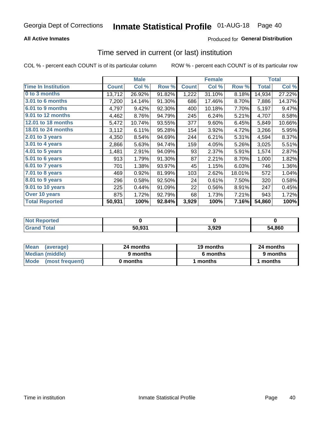### **All Active Inmates**

### **Produced for General Distribution**

## Time served in current (or last) institution

COL % - percent each COUNT is of its particular column

|                            |              | <b>Male</b> |        |              | <b>Female</b> |        |              | <b>Total</b> |
|----------------------------|--------------|-------------|--------|--------------|---------------|--------|--------------|--------------|
| <b>Time In Institution</b> | <b>Count</b> | Col %       | Row %  | <b>Count</b> | Col %         | Row %  | <b>Total</b> | Col %        |
| 0 to 3 months              | 13,712       | 26.92%      | 91.82% | 1,222        | 31.10%        | 8.18%  | 14,934       | 27.22%       |
| 3.01 to 6 months           | 7,200        | 14.14%      | 91.30% | 686          | 17.46%        | 8.70%  | 7,886        | 14.37%       |
| 6.01 to 9 months           | 4,797        | 9.42%       | 92.30% | 400          | 10.18%        | 7.70%  | 5,197        | 9.47%        |
| 9.01 to 12 months          | 4,462        | 8.76%       | 94.79% | 245          | 6.24%         | 5.21%  | 4,707        | 8.58%        |
| <b>12.01 to 18 months</b>  | 5,472        | 10.74%      | 93.55% | 377          | 9.60%         | 6.45%  | 5,849        | 10.66%       |
| <b>18.01 to 24 months</b>  | 3,112        | 6.11%       | 95.28% | 154          | 3.92%         | 4.72%  | 3,266        | 5.95%        |
| 2.01 to 3 years            | 4,350        | 8.54%       | 94.69% | 244          | 6.21%         | 5.31%  | 4,594        | 8.37%        |
| 3.01 to 4 years            | 2,866        | 5.63%       | 94.74% | 159          | 4.05%         | 5.26%  | 3,025        | 5.51%        |
| $4.01$ to 5 years          | 1,481        | 2.91%       | 94.09% | 93           | 2.37%         | 5.91%  | 1,574        | 2.87%        |
| 5.01 to 6 years            | 913          | 1.79%       | 91.30% | 87           | 2.21%         | 8.70%  | 1,000        | 1.82%        |
| 6.01 to 7 years            | 701          | 1.38%       | 93.97% | 45           | 1.15%         | 6.03%  | 746          | 1.36%        |
| 7.01 to 8 years            | 469          | 0.92%       | 81.99% | 103          | 2.62%         | 18.01% | 572          | 1.04%        |
| 8.01 to 9 years            | 296          | 0.58%       | 92.50% | 24           | 0.61%         | 7.50%  | 320          | 0.58%        |
| 9.01 to 10 years           | 225          | 0.44%       | 91.09% | 22           | 0.56%         | 8.91%  | 247          | 0.45%        |
| Over 10 years              | 875          | 1.72%       | 92.79% | 68           | 1.73%         | 7.21%  | 943          | 1.72%        |
| <b>Total Reported</b>      | 50,931       | 100%        | 92.84% | 3,929        | 100%          | 7.16%  | 54,860       | 100%         |

| <b>Not R</b><br>Reported |                    |      |        |
|--------------------------|--------------------|------|--------|
| Total                    | 50.93 <sup>4</sup> | ,929 | 54,860 |

| <b>Mean</b><br>(average) | 24 months | 19 months | 24 months |
|--------------------------|-----------|-----------|-----------|
| Median (middle)          | 9 months  | 6 months  | 9 months  |
| Mode (most frequent)     | 0 months  | months    | 1 months  |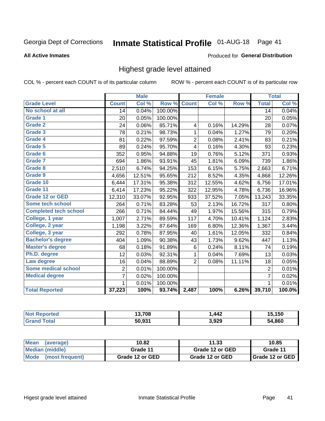#### Inmate Statistical Profile 01-AUG-18 Page 41

**All Active Inmates** 

#### Produced for General Distribution

### Highest grade level attained

COL % - percent each COUNT is of its particular column

|                              |                 | <b>Male</b> |         |                | <b>Female</b> |        |                | <b>Total</b> |
|------------------------------|-----------------|-------------|---------|----------------|---------------|--------|----------------|--------------|
| <b>Grade Level</b>           | <b>Count</b>    | Col %       | Row %   | <b>Count</b>   | Col %         | Row %  | <b>Total</b>   | Col %        |
| No school at all             | $\overline{14}$ | 0.04%       | 100.00% |                |               |        | 14             | 0.04%        |
| <b>Grade 1</b>               | 20              | 0.05%       | 100.00% |                |               |        | 20             | 0.05%        |
| <b>Grade 2</b>               | 24              | 0.06%       | 85.71%  | 4              | 0.16%         | 14.29% | 28             | 0.07%        |
| Grade 3                      | 78              | 0.21%       | 98.73%  | $\mathbf{1}$   | 0.04%         | 1.27%  | 79             | 0.20%        |
| Grade 4                      | 81              | 0.22%       | 97.59%  | $\overline{2}$ | 0.08%         | 2.41%  | 83             | 0.21%        |
| <b>Grade 5</b>               | 89              | 0.24%       | 95.70%  | 4              | 0.16%         | 4.30%  | 93             | 0.23%        |
| Grade 6                      | 352             | 0.95%       | 94.88%  | 19             | 0.76%         | 5.12%  | 371            | 0.93%        |
| Grade 7                      | 694             | 1.86%       | 93.91%  | 45             | 1.81%         | 6.09%  | 739            | 1.86%        |
| Grade 8                      | 2,510           | 6.74%       | 94.25%  | 153            | 6.15%         | 5.75%  | 2,663          | 6.71%        |
| Grade 9                      | 4,656           | 12.51%      | 95.65%  | 212            | 8.52%         | 4.35%  | 4,868          | 12.26%       |
| Grade 10                     | 6,444           | 17.31%      | 95.38%  | 312            | 12.55%        | 4.62%  | 6,756          | 17.01%       |
| Grade 11                     | 6,414           | 17.23%      | 95.22%  | 322            | 12.95%        | 4.78%  | 6,736          | 16.96%       |
| <b>Grade 12 or GED</b>       | 12,310          | 33.07%      | 92.95%  | 933            | 37.52%        | 7.05%  | 13,243         | 33.35%       |
| Some tech school             | 264             | 0.71%       | 83.28%  | 53             | 2.13%         | 16.72% | 317            | 0.80%        |
| <b>Completed tech school</b> | 266             | 0.71%       | 84.44%  | 49             | 1.97%         | 15.56% | 315            | 0.79%        |
| College, 1 year              | 1,007           | 2.71%       | 89.59%  | 117            | 4.70%         | 10.41% | 1,124          | 2.83%        |
| College, 2 year              | 1,198           | 3.22%       | 87.64%  | 169            | 6.80%         | 12.36% | 1,367          | 3.44%        |
| College, 3 year              | 292             | 0.78%       | 87.95%  | 40             | 1.61%         | 12.05% | 332            | 0.84%        |
| <b>Bachelor's degree</b>     | 404             | 1.09%       | 90.38%  | 43             | 1.73%         | 9.62%  | 447            | 1.13%        |
| <b>Master's degree</b>       | 68              | 0.18%       | 91.89%  | 6              | 0.24%         | 8.11%  | 74             | 0.19%        |
| Ph.D. degree                 | 12              | 0.03%       | 92.31%  | 1              | 0.04%         | 7.69%  | 13             | 0.03%        |
| Law degree                   | 16              | 0.04%       | 88.89%  | $\overline{2}$ | 0.08%         | 11.11% | 18             | 0.05%        |
| <b>Some medical school</b>   | $\overline{2}$  | 0.01%       | 100.00% |                |               |        | $\overline{2}$ | 0.01%        |
| <b>Medical degree</b>        | 7               | 0.02%       | 100.00% |                |               |        | $\overline{7}$ | 0.02%        |
|                              | 1               | 0.01%       | 100.00% |                |               |        | $\mathbf{1}$   | 0.01%        |
| <b>Total Reported</b>        | 37,223          | 100%        | 93.74%  | 2,487          | 100%          | 6.26%  | 39,710         | 100.0%       |

| ter | 13,708                   | ,442  | 5.150       |
|-----|--------------------------|-------|-------------|
|     | <b>50.021</b><br>้วบ.ววา | 3,929 | .860<br>54. |

| Mean<br>(average)    | 10.82           | 11.33           | 10.85           |
|----------------------|-----------------|-----------------|-----------------|
| Median (middle)      | Grade 11        | Grade 12 or GED | Grade 11        |
| Mode (most frequent) | Grade 12 or GED | Grade 12 or GED | Grade 12 or GED |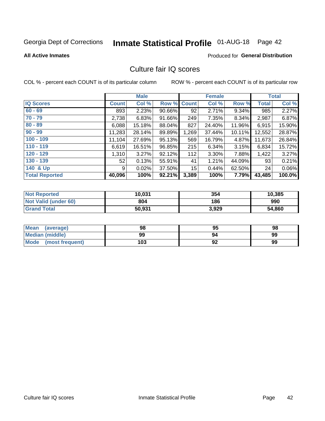# Inmate Statistical Profile 01-AUG-18 Page 42

#### **All Active Inmates**

### **Produced for General Distribution**

### Culture fair IQ scores

COL % - percent each COUNT is of its particular column

|                       |              | <b>Male</b> |        |              | <b>Female</b> |           |              | <b>Total</b> |
|-----------------------|--------------|-------------|--------|--------------|---------------|-----------|--------------|--------------|
| <b>IQ Scores</b>      | <b>Count</b> | Col %       | Row %  | <b>Count</b> | Col %         | Row %     | <b>Total</b> | Col %        |
| $60 - 69$             | 893          | 2.23%       | 90.66% | 92           | 2.71%         | 9.34%     | 985          | 2.27%        |
| $70 - 79$             | 2,738        | 6.83%       | 91.66% | 249          | 7.35%         | 8.34%     | 2,987        | 6.87%        |
| $80 - 89$             | 6,088        | 15.18%      | 88.04% | 827          | 24.40%        | 11.96%    | 6,915        | 15.90%       |
| $90 - 99$             | 11,283       | 28.14%      | 89.89% | 1,269        | 37.44%        | $10.11\%$ | 12,552       | 28.87%       |
| $100 - 109$           | 11,104       | 27.69%      | 95.13% | 569          | 16.79%        | 4.87%     | 11,673       | 26.84%       |
| $110 - 119$           | 6,619        | 16.51%      | 96.85% | 215          | 6.34%         | 3.15%     | 6,834        | 15.72%       |
| $120 - 129$           | 1,310        | 3.27%       | 92.12% | 112          | 3.30%         | 7.88%     | 1,422        | 3.27%        |
| $130 - 139$           | 52           | 0.13%       | 55.91% | 41           | 1.21%         | 44.09%    | 93           | 0.21%        |
| 140 & Up              | 9            | 0.02%       | 37.50% | 15           | 0.44%         | 62.50%    | 24           | $0.06\%$     |
| <b>Total Reported</b> | 40,096       | 100%        | 92.21% | 3,389        | 100%          | 7.79%     | 43,485       | 100.0%       |

| <b>Not Reported</b>         | 10,031 | 354   | 10,385 |
|-----------------------------|--------|-------|--------|
| <b>Not Valid (under 60)</b> | 804    | 186   | 990    |
| <b>Grand Total</b>          | 50,931 | 3,929 | 54,860 |

| <b>Mean</b><br>(average) | 98  | 95 | 98 |
|--------------------------|-----|----|----|
| Median (middle)          | 99  | 94 | 99 |
| Mode<br>(most frequent)  | 103 | 92 | 99 |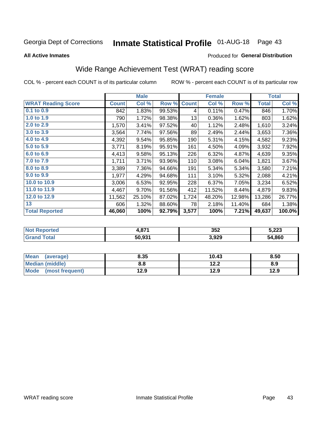# Inmate Statistical Profile 01-AUG-18 Page 43

#### **All Active Inmates**

#### Produced for General Distribution

## Wide Range Achievement Test (WRAT) reading score

COL % - percent each COUNT is of its particular column

|                           |              | <b>Male</b> |        |              | <b>Female</b> |        |              | <b>Total</b> |
|---------------------------|--------------|-------------|--------|--------------|---------------|--------|--------------|--------------|
| <b>WRAT Reading Score</b> | <b>Count</b> | Col %       | Row %  | <b>Count</b> | Col %         | Row %  | <b>Total</b> | Col %        |
| $0.1$ to $0.9$            | 842          | 1.83%       | 99.53% | 4            | 0.11%         | 0.47%  | 846          | 1.70%        |
| 1.0 to 1.9                | 790          | 1.72%       | 98.38% | 13           | 0.36%         | 1.62%  | 803          | 1.62%        |
| 2.0 to 2.9                | 1,570        | 3.41%       | 97.52% | 40           | 1.12%         | 2.48%  | 1,610        | 3.24%        |
| 3.0 to 3.9                | 3,564        | 7.74%       | 97.56% | 89           | 2.49%         | 2.44%  | 3,653        | 7.36%        |
| 4.0 to 4.9                | 4,392        | 9.54%       | 95.85% | 190          | 5.31%         | 4.15%  | 4,582        | 9.23%        |
| 5.0 to 5.9                | 3,771        | 8.19%       | 95.91% | 161          | 4.50%         | 4.09%  | 3,932        | 7.92%        |
| 6.0 to 6.9                | 4,413        | 9.58%       | 95.13% | 226          | 6.32%         | 4.87%  | 4,639        | 9.35%        |
| 7.0 to 7.9                | 1,711        | 3.71%       | 93.96% | 110          | 3.08%         | 6.04%  | 1,821        | 3.67%        |
| 8.0 to 8.9                | 3,389        | 7.36%       | 94.66% | 191          | 5.34%         | 5.34%  | 3,580        | 7.21%        |
| 9.0 to 9.9                | 1,977        | 4.29%       | 94.68% | 111          | 3.10%         | 5.32%  | 2,088        | 4.21%        |
| 10.0 to 10.9              | 3,006        | 6.53%       | 92.95% | 228          | 6.37%         | 7.05%  | 3,234        | 6.52%        |
| 11.0 to 11.9              | 4,467        | 9.70%       | 91.56% | 412          | 11.52%        | 8.44%  | 4,879        | 9.83%        |
| 12.0 to 12.9              | 11,562       | 25.10%      | 87.02% | 1,724        | 48.20%        | 12.98% | 13,286       | 26.77%       |
| 13                        | 606          | 1.32%       | 88.60% | 78           | 2.18%         | 11.40% | 684          | 1.38%        |
| <b>Total Reported</b>     | 46,060       | 100%        | 92.79% | 3,577        | 100%          | 7.21%  | 49,637       | 100.0%       |

| <b>Not Reported</b> | 074<br>.01 | 352   | 5,223  |
|---------------------|------------|-------|--------|
| Total<br>' Grand    | 50,931     | 3,929 | 54,860 |

| <b>Mean</b><br>(average) | 8.35 | 10.43 | 8.50 |
|--------------------------|------|-------|------|
| Median (middle)          | 8.8  | 12.2  | 8.9  |
| Mode<br>(most frequent)  | 12.9 | 12.9  | 12.9 |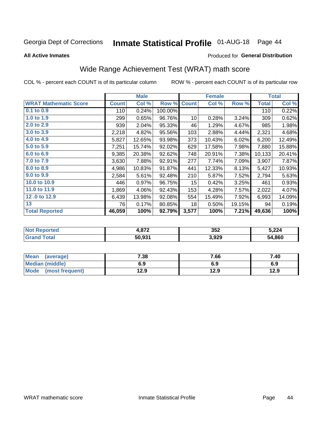# Inmate Statistical Profile 01-AUG-18 Page 44

**All Active Inmates** 

#### Produced for General Distribution

## Wide Range Achievement Test (WRAT) math score

COL % - percent each COUNT is of its particular column

|                              |              | <b>Male</b> |         |                 | <b>Female</b> |        |              | <b>Total</b> |
|------------------------------|--------------|-------------|---------|-----------------|---------------|--------|--------------|--------------|
| <b>WRAT Mathematic Score</b> | <b>Count</b> | Col %       | Row %   | <b>Count</b>    | Col %         | Row %  | <b>Total</b> | Col %        |
| 0.1 to 0.9                   | 110          | 0.24%       | 100.00% |                 |               |        | 110          | 0.22%        |
| 1.0 to 1.9                   | 299          | 0.65%       | 96.76%  | 10              | 0.28%         | 3.24%  | 309          | 0.62%        |
| 2.0 to 2.9                   | 939          | 2.04%       | 95.33%  | 46              | 1.29%         | 4.67%  | 985          | 1.98%        |
| 3.0 to 3.9                   | 2,218        | 4.82%       | 95.56%  | 103             | 2.88%         | 4.44%  | 2,321        | 4.68%        |
| 4.0 to 4.9                   | 5,827        | 12.65%      | 93.98%  | 373             | 10.43%        | 6.02%  | 6,200        | 12.49%       |
| 5.0 to 5.9                   | 7,251        | 15.74%      | 92.02%  | 629             | 17.58%        | 7.98%  | 7,880        | 15.88%       |
| 6.0 to 6.9                   | 9,385        | 20.38%      | 92.62%  | 748             | 20.91%        | 7.38%  | 10,133       | 20.41%       |
| 7.0 to 7.9                   | 3,630        | 7.88%       | 92.91%  | 277             | 7.74%         | 7.09%  | 3,907        | 7.87%        |
| 8.0 to 8.9                   | 4,986        | 10.83%      | 91.87%  | 441             | 12.33%        | 8.13%  | 5,427        | 10.93%       |
| 9.0 to 9.9                   | 2,584        | 5.61%       | 92.48%  | 210             | 5.87%         | 7.52%  | 2,794        | 5.63%        |
| 10.0 to 10.9                 | 446          | 0.97%       | 96.75%  | 15 <sub>1</sub> | 0.42%         | 3.25%  | 461          | 0.93%        |
| 11.0 to 11.9                 | 1,869        | 4.06%       | 92.43%  | 153             | 4.28%         | 7.57%  | 2,022        | 4.07%        |
| 12.0 to 12.9                 | 6,439        | 13.98%      | 92.08%  | 554             | 15.49%        | 7.92%  | 6,993        | 14.09%       |
| 13                           | 76           | 0.17%       | 80.85%  | 18              | 0.50%         | 19.15% | 94           | 0.19%        |
| <b>Total Reported</b>        | 46,059       | 100%        | 92.79%  | 3,577           | 100%          | 7.21%  | 49,636       | 100%         |

| <b>prted</b><br>NO. | 1,872  | 352   | 5,224  |
|---------------------|--------|-------|--------|
| $T \sim$ follows:   | 50,931 | 3,929 | 54,860 |

| <b>Mean</b><br>(average) | 7.38 | 7.66 | 7.40 |
|--------------------------|------|------|------|
| Median (middle)          | 6.9  | 6.9  | 6.9  |
| Mode<br>(most frequent)  | 12.9 | 12.9 | 12.9 |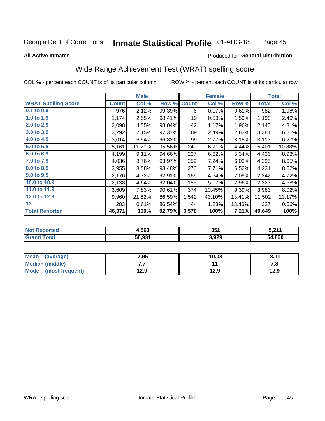#### **Inmate Statistical Profile 01-AUG-18** Page 45

**All Active Inmates** 

#### Produced for General Distribution

### Wide Range Achievement Test (WRAT) spelling score

COL % - percent each COUNT is of its particular column

|                            |              | <b>Male</b> |        |              | <b>Female</b> |        |              | <b>Total</b> |
|----------------------------|--------------|-------------|--------|--------------|---------------|--------|--------------|--------------|
| <b>WRAT Spelling Score</b> | <b>Count</b> | Col %       | Row %  | <b>Count</b> | Col %         | Row %  | <b>Total</b> | Col %        |
| 0.1 to 0.9                 | 976          | 2.12%       | 99.39% | 6            | 0.17%         | 0.61%  | 982          | 1.98%        |
| 1.0 to 1.9                 | 1,174        | 2.55%       | 98.41% | 19           | 0.53%         | 1.59%  | 1,193        | 2.40%        |
| 2.0 to 2.9                 | 2,098        | 4.55%       | 98.04% | 42           | 1.17%         | 1.96%  | 2,140        | 4.31%        |
| 3.0 to 3.9                 | 3,292        | 7.15%       | 97.37% | 89           | 2.49%         | 2.63%  | 3,381        | 6.81%        |
| 4.0 to 4.9                 | 3,014        | 6.54%       | 96.82% | 99           | 2.77%         | 3.18%  | 3,113        | 6.27%        |
| 5.0 to 5.9                 | 5,161        | 11.20%      | 95.56% | 240          | 6.71%         | 4.44%  | 5,401        | 10.88%       |
| 6.0 to 6.9                 | 4,199        | 9.11%       | 94.66% | 237          | 6.62%         | 5.34%  | 4,436        | 8.93%        |
| 7.0 to 7.9                 | 4,036        | 8.76%       | 93.97% | 259          | 7.24%         | 6.03%  | 4,295        | 8.65%        |
| 8.0 to 8.9                 | 3,955        | 8.58%       | 93.48% | 276          | 7.71%         | 6.52%  | 4,231        | 8.52%        |
| 9.0 to 9.9                 | 2,176        | 4.72%       | 92.91% | 166          | 4.64%         | 7.09%  | 2,342        | 4.72%        |
| 10.0 to 10.9               | 2,138        | 4.64%       | 92.04% | 185          | 5.17%         | 7.96%  | 2,323        | 4.68%        |
| 11.0 to 11.9               | 3,609        | 7.83%       | 90.61% | 374          | 10.45%        | 9.39%  | 3,983        | 8.02%        |
| 12.0 to 12.9               | 9,960        | 21.62%      | 86.59% | 1,542        | 43.10%        | 13.41% | 11,502       | 23.17%       |
| 13                         | 283          | 0.61%       | 86.54% | 44           | 1.23%         | 13.46% | 327          | 0.66%        |
| <b>Total Reported</b>      | 46,071       | 100%        | 92.79% | 3,578        | 100%          | 7.21%  | 49,649       | 100%         |

| orted       | 4,860  | 351   | E 947        |
|-------------|--------|-------|--------------|
| <b>otal</b> | 50,931 | 3,929 | 4,860<br>54. |

| <b>Mean</b><br>(average) | 7.95 | 10.08 | 8.11 |
|--------------------------|------|-------|------|
| Median (middle)          | .    |       | ه. ، |
| Mode (most frequent)     | 12.9 | 12.9  | 12.9 |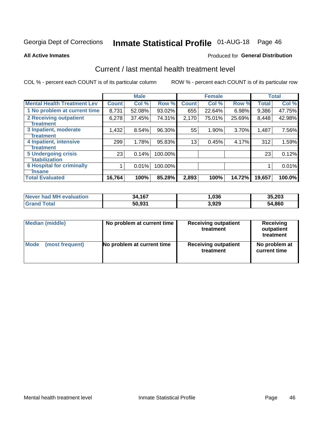# Inmate Statistical Profile 01-AUG-18 Page 46

#### **All Active Inmates**

### **Produced for General Distribution**

### Current / last mental health treatment level

COL % - percent each COUNT is of its particular column

|                                    |              | <b>Male</b> |         |              | <b>Female</b> |        |              | <b>Total</b> |
|------------------------------------|--------------|-------------|---------|--------------|---------------|--------|--------------|--------------|
| <b>Mental Health Treatment Lev</b> | <b>Count</b> | Col%        | Row %   | <b>Count</b> | Col %         | Row %  | <b>Total</b> | Col %        |
| 1 No problem at current time       | 8,731        | 52.08%      | 93.02%  | 655          | 22.64%        | 6.98%  | 9,386        | 47.75%       |
| 2 Receiving outpatient             | 6,278        | 37.45%      | 74.31%  | 2,170        | 75.01%        | 25.69% | 8,448        | 42.98%       |
| <b>Treatment</b>                   |              |             |         |              |               |        |              |              |
| 3 Inpatient, moderate              | 1,432        | 8.54%       | 96.30%  | 55           | 1.90%         | 3.70%  | 1,487        | 7.56%        |
| Treatment                          |              |             |         |              |               |        |              |              |
| 4 Inpatient, intensive             | 299          | 1.78%       | 95.83%  | 13           | 0.45%         | 4.17%  | 312          | 1.59%        |
| <b>Treatment</b>                   |              |             |         |              |               |        |              |              |
| 5 Undergoing crisis                | 23           | 0.14%       | 100.00% |              |               |        | 23           | 0.12%        |
| <b>stabilization</b>               |              |             |         |              |               |        |              |              |
| <b>6 Hospital for criminally</b>   |              | 0.01%       | 100.00% |              |               |        |              | 0.01%        |
| <b>Tinsane</b>                     |              |             |         |              |               |        |              |              |
| <b>Total Evaluated</b>             | 16,764       | 100%        | 85.28%  | 2,893        | 100%          | 14.72% | 19,657       | 100.0%       |

| Never had MH evaluation | 34,167 | ,036  | 35,203 |
|-------------------------|--------|-------|--------|
| <b>Grand Total</b>      | 50,931 | 3,929 | 54,860 |

| Median (middle) | No problem at current time | <b>Receiving outpatient</b><br>treatment | <b>Receiving</b><br>outpatient<br>treatment |
|-----------------|----------------------------|------------------------------------------|---------------------------------------------|
| <b>Mode</b>     | No problem at current time | <b>Receiving outpatient</b>              | No problem at                               |
| (most frequent) |                            | treatment                                | current time                                |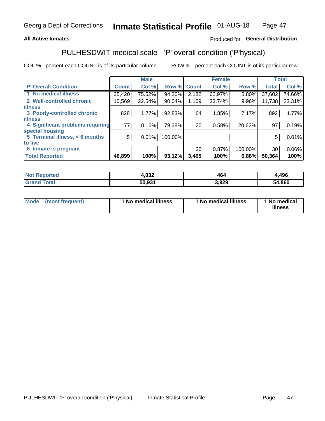### **All Active Inmates**

### Produced for General Distribution

## PULHESDWIT medical scale - 'P' overall condition ('P'hysical)

COL % - percent each COUNT is of its particular column

|                                  |              | <b>Male</b> |         |              | <b>Female</b> |         |                 | <b>Total</b> |
|----------------------------------|--------------|-------------|---------|--------------|---------------|---------|-----------------|--------------|
| 'P' Overall Condition            | <b>Count</b> | Col %       | Row %   | <b>Count</b> | Col %         | Row %   | <b>Total</b>    | Col %        |
| 1 No medical illness             | 35,420       | 75.52%      | 94.20%  | 2,182        | 62.97%        | 5.80%   | 37,602          | 74.66%       |
| 2 Well-controlled chronic        | 10,569       | 22.54%      | 90.04%  | 1,169        | 33.74%        | 9.96%   | 11,738          | 23.31%       |
| <b>illness</b>                   |              |             |         |              |               |         |                 |              |
| 3 Poorly-controlled chronic      | 828          | 1.77%       | 92.83%  | 64           | 1.85%         | 7.17%   | 892             | 1.77%        |
| <b>illness</b>                   |              |             |         |              |               |         |                 |              |
| 4 Significant problems requiring | 77           | 0.16%       | 79.38%  | 20           | 0.58%         | 20.62%  | 97              | 0.19%        |
| special housing                  |              |             |         |              |               |         |                 |              |
| 5 Terminal illness, < 6 months   | 5            | 0.01%       | 100.00% |              |               |         | 5               | 0.01%        |
| to live                          |              |             |         |              |               |         |                 |              |
| 6 Inmate is pregnant             |              |             |         | 30           | 0.87%         | 100.00% | 30 <sup>1</sup> | $0.06\%$     |
| <b>Total Reported</b>            | 46,899       | 100%        | 93.12%  | 3,465        | 100%          | 6.88%   | 50,364          | 100%         |

| тео | റാറ<br>4,UJZ | 464  | 496        |
|-----|--------------|------|------------|
|     | EA 094       | .929 | .860<br>54 |

| Mode | (most frequent) | 1 No medical illness | 1 No medical illness | 1 No medical<br>illness |
|------|-----------------|----------------------|----------------------|-------------------------|
|------|-----------------|----------------------|----------------------|-------------------------|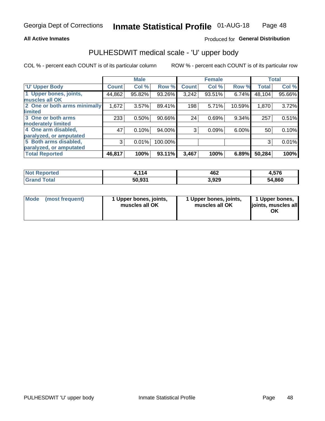#### **All Active Inmates**

### Produced for General Distribution

## PULHESDWIT medical scale - 'U' upper body

COL % - percent each COUNT is of its particular column

|                              |              | <b>Male</b> |         |              | <b>Female</b> |        |              | <b>Total</b> |
|------------------------------|--------------|-------------|---------|--------------|---------------|--------|--------------|--------------|
| <b>U' Upper Body</b>         | <b>Count</b> | Col %       | Row %   | <b>Count</b> | Col %         | Row %  | <b>Total</b> | Col %        |
| 1 Upper bones, joints,       | 44,862       | 95.82%      | 93.26%  | 3,242        | 93.51%        | 6.74%  | 48,104       | 95.66%       |
| muscles all OK               |              |             |         |              |               |        |              |              |
| 2 One or both arms minimally | 1,672        | 3.57%       | 89.41%  | 198          | 5.71%         | 10.59% | 1,870        | 3.72%        |
| limited                      |              |             |         |              |               |        |              |              |
| 3 One or both arms           | 233          | 0.50%       | 90.66%  | 24           | 0.69%         | 9.34%  | 257          | 0.51%        |
| <b>moderately limited</b>    |              |             |         |              |               |        |              |              |
| 4 One arm disabled,          | 47           | 0.10%       | 94.00%  | 3            | 0.09%         | 6.00%  | 50           | 0.10%        |
| paralyzed, or amputated      |              |             |         |              |               |        |              |              |
| 5 Both arms disabled,        | 3            | 0.01%       | 100.00% |              |               |        | 3            | 0.01%        |
| paralyzed, or amputated      |              |             |         |              |               |        |              |              |
| <b>Total Reported</b>        | 46,817       | 100%        | 93.11%  | 3,467        | 100%          | 6.89%  | 50,284       | 100%         |

| <b>Not Reported</b>   | 1,114  | 462   | 4,576  |
|-----------------------|--------|-------|--------|
| <b>Total</b><br>Grand | 50,931 | 3,929 | 54,860 |

| Mode (most frequent) | 1 Upper bones, joints,<br>muscles all OK | 1 Upper bones, joints,<br>muscles all OK | 1 Upper bones,<br>joints, muscles all<br>ΟK |
|----------------------|------------------------------------------|------------------------------------------|---------------------------------------------|
|----------------------|------------------------------------------|------------------------------------------|---------------------------------------------|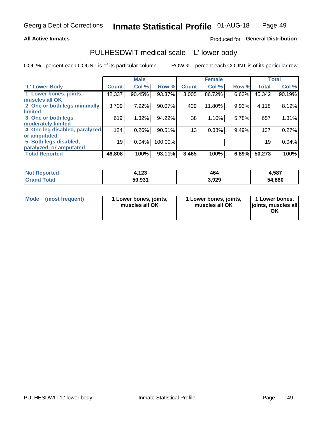#### **All Active Inmates**

### Produced for General Distribution

### PULHESDWIT medical scale - 'L' lower body

COL % - percent each COUNT is of its particular column

|                                |              | <b>Male</b> |         |                 | <b>Female</b> |       |              | <b>Total</b> |
|--------------------------------|--------------|-------------|---------|-----------------|---------------|-------|--------------|--------------|
| 'L' Lower Body                 | <b>Count</b> | Col %       | Row %   | <b>Count</b>    | Col %         | Row % | <b>Total</b> | Col %        |
| 1 Lower bones, joints,         | 42,337       | 90.45%      | 93.37%  | 3,005           | 86.72%        | 6.63% | 45,342       | 90.19%       |
| muscles all OK                 |              |             |         |                 |               |       |              |              |
| 2 One or both legs minimally   | 3,709        | 7.92%       | 90.07%  | 409             | 11.80%        | 9.93% | 4,118        | 8.19%        |
| limited                        |              |             |         |                 |               |       |              |              |
| 3 One or both legs             | 619          | 1.32%       | 94.22%  | 38              | 1.10%         | 5.78% | 657          | 1.31%        |
| moderately limited             |              |             |         |                 |               |       |              |              |
| 4 One leg disabled, paralyzed, | 124          | 0.26%       | 90.51%  | 13 <sub>1</sub> | 0.38%         | 9.49% | 137          | 0.27%        |
| or amputated                   |              |             |         |                 |               |       |              |              |
| 5 Both legs disabled,          | 19           | 0.04%       | 100.00% |                 |               |       | 19           | 0.04%        |
| paralyzed, or amputated        |              |             |         |                 |               |       |              |              |
| <b>Total Reported</b>          | 46,808       | 100%        | 93.11%  | 3,465           | 100%          | 6.89% | 50,273       | 100%         |

| <b>Not Reported</b> | 100<br>4. IZJ | 464   | 4,587  |
|---------------------|---------------|-------|--------|
| <b>Grand Total</b>  | 50,931        | 3,929 | 54,860 |

|  | Mode (most frequent) | 1 Lower bones, joints,<br>muscles all OK | 1 Lower bones, joints,<br>muscles all OK | 1 Lower bones,<br>joints, muscles all<br>ΟK |
|--|----------------------|------------------------------------------|------------------------------------------|---------------------------------------------|
|--|----------------------|------------------------------------------|------------------------------------------|---------------------------------------------|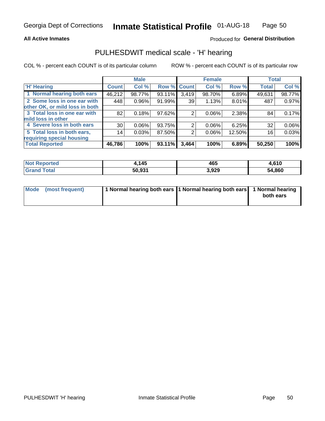#### **All Active Inmates**

### Produced for General Distribution

### PULHESDWIT medical scale - 'H' hearing

COL % - percent each COUNT is of its particular column

|                                |                 | <b>Male</b> |             |       | <b>Female</b> |        | <b>Total</b> |          |
|--------------------------------|-----------------|-------------|-------------|-------|---------------|--------|--------------|----------|
| <b>'H' Hearing</b>             | <b>Count</b>    | Col %       | Row % Count |       | Col %         | Row %  | <b>Total</b> | Col %    |
| 1 Normal hearing both ears     | 46,212          | 98.77%      | 93.11%      | 3,419 | 98.70%        | 6.89%  | 49,631       | 98.77%   |
| 2 Some loss in one ear with    | 448             | 0.96%       | 91.99%      | 39    | 1.13%         | 8.01%  | 487          | 0.97%    |
| other OK, or mild loss in both |                 |             |             |       |               |        |              |          |
| 3 Total loss in one ear with   | 82              | 0.18%       | $97.62\%$   | 2     | 0.06%         | 2.38%  | 84           | 0.17%    |
| mild loss in other             |                 |             |             |       |               |        |              |          |
| 4 Severe loss in both ears     | 30 <sup>1</sup> | 0.06%       | 93.75%      | 2     | $0.06\%$      | 6.25%  | 32           | $0.06\%$ |
| 5 Total loss in both ears,     | 14              | 0.03%       | 87.50%      | 2     | 0.06%         | 12.50% | 16           | 0.03%    |
| requiring special housing      |                 |             |             |       |               |        |              |          |
| <b>Total Reported</b>          | 46,786          | 100%        | 93.11%      | 3,464 | 100%          | 6.89%  | 50,250       | 100%     |

| <b>Not Reno</b><br><b>ported</b> | .145   | 465   | .610،  |
|----------------------------------|--------|-------|--------|
| Total                            | 50,931 | 3,929 | 54,860 |

| Mode (most frequent) | 1 Normal hearing both ears 11 Normal hearing both ears 1 Normal hearing | both ears |
|----------------------|-------------------------------------------------------------------------|-----------|
|                      |                                                                         |           |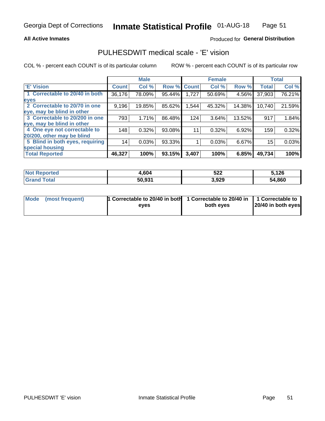#### **All Active Inmates**

### Produced for General Distribution

### PULHESDWIT medical scale - 'E' vision

COL % - percent each COUNT is of its particular column

|                                 |              | <b>Male</b> |        |              | <b>Female</b> |          |              | <b>Total</b> |
|---------------------------------|--------------|-------------|--------|--------------|---------------|----------|--------------|--------------|
| <b>E' Vision</b>                | <b>Count</b> | Col %       | Row %  | <b>Count</b> | Col %         | Row %    | <b>Total</b> | Col %        |
| 1 Correctable to 20/40 in both  | 36,176       | 78.09%      | 95.44% | 1,727        | 50.69%        | 4.56%    | 37,903       | 76.21%       |
| eyes                            |              |             |        |              |               |          |              |              |
| 2 Correctable to 20/70 in one   | 9,196        | 19.85%      | 85.62% | 1,544        | 45.32%        | 14.38%   | 10,740       | 21.59%       |
| eye, may be blind in other      |              |             |        |              |               |          |              |              |
| 3 Correctable to 20/200 in one  | 793          | 1.71%       | 86.48% | 124          | 3.64%         | 13.52%   | 917          | 1.84%        |
| eye, may be blind in other      |              |             |        |              |               |          |              |              |
| 4 One eye not correctable to    | 148          | 0.32%       | 93.08% | 11           | 0.32%         | $6.92\%$ | 159          | 0.32%        |
| 20/200, other may be blind      |              |             |        |              |               |          |              |              |
| 5 Blind in both eyes, requiring | 14           | 0.03%       | 93.33% |              | 0.03%         | 6.67%    | 15           | 0.03%        |
| special housing                 |              |             |        |              |               |          |              |              |
| <b>Total Reported</b>           | 46,327       | 100%        | 93.15% | 3,407        | 100%          | 6.85%    | 49,734       | 100%         |

| <b>Not Reported</b>   | 4,604  | 522   | 5,126  |
|-----------------------|--------|-------|--------|
| <b>Total</b><br>Grand | 50.931 | 3,929 | 54,860 |

| Mode (most frequent) | 1 Correctable to 20/40 in both<br>eves | 1 Correctable to 20/40 in   1 Correctable to  <br>both eves | 20/40 in both eyes |
|----------------------|----------------------------------------|-------------------------------------------------------------|--------------------|
|                      |                                        |                                                             |                    |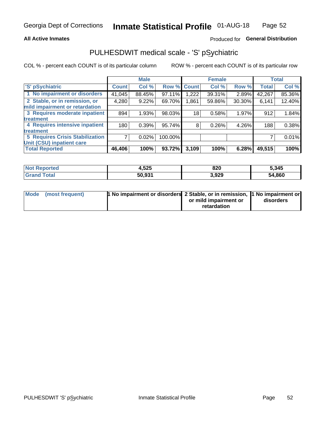#### **All Active Inmates**

### Produced for General Distribution

## PULHESDWIT medical scale - 'S' pSychiatric

COL % - percent each COUNT is of its particular column

|                                        |              | <b>Male</b> |         |              | <b>Female</b> |        |              | <b>Total</b> |
|----------------------------------------|--------------|-------------|---------|--------------|---------------|--------|--------------|--------------|
| 'S' pSychiatric                        | <b>Count</b> | Col %       | Row %   | <b>Count</b> | Col %         | Row %  | <b>Total</b> | Col %        |
| 1 No impairment or disorders           | 41,045       | 88.45%      | 97.11%  | ,222         | 39.31%        | 2.89%  | 42,267       | 85.36%       |
| 2 Stable, or in remission, or          | 4,280        | 9.22%       | 69.70%  | 1,861        | 59.86%        | 30.30% | 6,141        | 12.40%       |
| mild impairment or retardation         |              |             |         |              |               |        |              |              |
| 3 Requires moderate inpatient          | 894          | 1.93%       | 98.03%  | 18           | 0.58%         | 1.97%  | 912          | 1.84%        |
| treatment                              |              |             |         |              |               |        |              |              |
| 4 Requires intensive inpatient         | 180          | 0.39%       | 95.74%  | 8            | 0.26%         | 4.26%  | 188          | 0.38%        |
| treatment                              |              |             |         |              |               |        |              |              |
| <b>5 Requires Crisis Stabilization</b> |              | 0.02%       | 100.00% |              |               |        |              | 0.01%        |
| Unit (CSU) inpatient care              |              |             |         |              |               |        |              |              |
| <b>Total Reported</b>                  | 46,406       | 100%        | 93.72%  | 3,109        | 100%          | 6.28%  | 49,515       | 100%         |

| <b>Not Reported</b>   | 4,525  | 820   | 5,345  |
|-----------------------|--------|-------|--------|
| Total<br><b>Grand</b> | 50,931 | 3,929 | 54,860 |

| Mode (most frequent) | <b>t No impairment or disorders 2 Stable, or in remission, 1 No impairment or</b> |                       |           |
|----------------------|-----------------------------------------------------------------------------------|-----------------------|-----------|
|                      |                                                                                   | or mild impairment or | disorders |
|                      |                                                                                   | retardation           |           |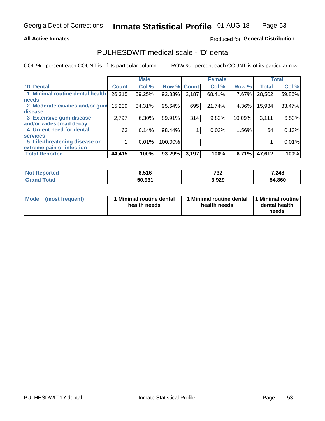#### **All Active Inmates**

### Produced for General Distribution

### PULHESDWIT medical scale - 'D' dental

COL % - percent each COUNT is of its particular column

|                                 |              | <b>Male</b> |         |              | <b>Female</b> |        |              | <b>Total</b> |
|---------------------------------|--------------|-------------|---------|--------------|---------------|--------|--------------|--------------|
| 'D' Dental                      | <b>Count</b> | Col %       | Row %   | <b>Count</b> | Col %         | Row %  | <b>Total</b> | Col %        |
| 1 Minimal routine dental health | 26,315       | 59.25%      | 92.33%  | 2,187        | 68.41%        | 7.67%  | 28,502       | 59.86%       |
| <b>needs</b>                    |              |             |         |              |               |        |              |              |
| 2 Moderate cavities and/or gum  | 15,239       | 34.31%      | 95.64%  | 695          | 21.74%        | 4.36%  | 15,934       | 33.47%       |
| disease                         |              |             |         |              |               |        |              |              |
| 3 Extensive gum disease         | 2,797        | 6.30%       | 89.91%  | 314          | 9.82%         | 10.09% | 3,111        | 6.53%        |
| and/or widespread decay         |              |             |         |              |               |        |              |              |
| 4 Urgent need for dental        | 63           | 0.14%       | 98.44%  |              | 0.03%         | 1.56%  | 64           | 0.13%        |
| <b>services</b>                 |              |             |         |              |               |        |              |              |
| 5 Life-threatening disease or   |              | 0.01%       | 100.00% |              |               |        |              | 0.01%        |
| extreme pain or infection       |              |             |         |              |               |        |              |              |
| <b>Total Reported</b>           | 44,415       | 100%        | 93.29%  | 3,197        | 100%          | 6.71%  | 47,612       | 100%         |

| <b>Not Reported</b> | 6,516  | フつつ<br>ے د | 7,248  |
|---------------------|--------|------------|--------|
| <b>Total</b>        | 50.931 | 3,929      | 54,860 |

| Mode<br><b>Minimal routine dental</b><br>(most frequent)<br>health needs | 1 Minimal routine dental<br>health needs | 1 Minimal routine<br>dental health<br>needs |
|--------------------------------------------------------------------------|------------------------------------------|---------------------------------------------|
|--------------------------------------------------------------------------|------------------------------------------|---------------------------------------------|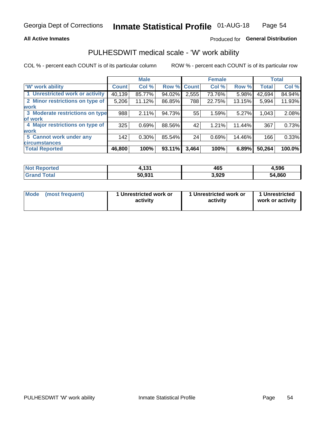#### **All Active Inmates**

### Produced for General Distribution

### PULHESDWIT medical scale - 'W' work ability

COL % - percent each COUNT is of its particular column

|                                 |              | <b>Male</b> |        |              | <b>Female</b> |        |              | <b>Total</b> |
|---------------------------------|--------------|-------------|--------|--------------|---------------|--------|--------------|--------------|
| <b>W' work ability</b>          | <b>Count</b> | Col %       | Row %  | <b>Count</b> | Col %         | Row %  | <b>Total</b> | Col %        |
| 1 Unrestricted work or activity | 40,139       | 85.77%      | 94.02% | 2,555        | 73.76%        | 5.98%  | 42,694       | 84.94%       |
| 2 Minor restrictions on type of | 5,206        | 11.12%      | 86.85% | 788          | 22.75%        | 13.15% | 5,994        | 11.93%       |
| <b>work</b>                     |              |             |        |              |               |        |              |              |
| 3 Moderate restrictions on type | 988          | 2.11%       | 94.73% | 55           | 1.59%         | 5.27%  | 1,043        | 2.08%        |
| lof work                        |              |             |        |              |               |        |              |              |
| 4 Major restrictions on type of | 325          | 0.69%       | 88.56% | 42           | 1.21%         | 11.44% | 367          | 0.73%        |
| <b>work</b>                     |              |             |        |              |               |        |              |              |
| 5 Cannot work under any         | 142          | $0.30\%$    | 85.54% | 24           | 0.69%         | 14.46% | 166          | 0.33%        |
| <b>circumstances</b>            |              |             |        |              |               |        |              |              |
| <b>Total Reported</b>           | 46,800       | 100%        | 93.11% | 3,464        | 100%          | 6.89%  | 50,264       | 100.0%       |

| <b>Not Reported</b>   | 424<br>וטו | 465   | 4,596  |
|-----------------------|------------|-------|--------|
| Total<br><b>Grand</b> | 50,931     | 3,929 | 54,860 |

| Mode (most frequent) | 1 Unrestricted work or | 1 Unrestricted work or | 1 Unrestricted   |
|----------------------|------------------------|------------------------|------------------|
|                      | activity               | activity               | work or activity |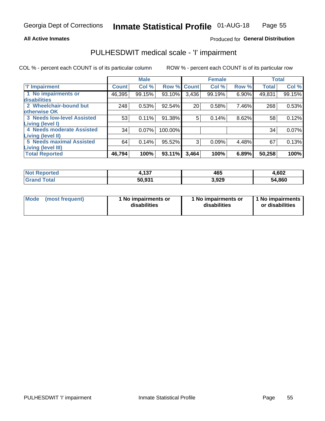#### **All Active Inmates**

### Produced for General Distribution

## PULHESDWIT medical scale - 'I' impairment

COL % - percent each COUNT is of its particular column

|                                                              |              | <b>Male</b> |         |             | <b>Female</b> |       |              | <b>Total</b> |
|--------------------------------------------------------------|--------------|-------------|---------|-------------|---------------|-------|--------------|--------------|
| <b>T' Impairment</b>                                         | <b>Count</b> | Col %       |         | Row % Count | Col %         | Row % | <b>Total</b> | Col %        |
| 1 No impairments or<br>disabilities                          | 46,395       | 99.15%      | 93.10%  | 3,436       | 99.19%        | 6.90% | 49,831       | 99.15%       |
| 2 Wheelchair-bound but                                       | 248          | 0.53%       | 92.54%  | 20          | 0.58%         | 7.46% | 268          | 0.53%        |
| otherwise OK<br><b>3 Needs low-level Assisted</b>            | 53           | 0.11%       | 91.38%  | 5           | 0.14%         | 8.62% | 58           | 0.12%        |
| Living (level I)<br>4 Needs moderate Assisted                | 34           | 0.07%       | 100.00% |             |               |       | 34           | 0.07%        |
| <b>Living (level II)</b>                                     |              |             |         |             |               |       |              |              |
| <b>5 Needs maximal Assisted</b><br><b>Living (level III)</b> | 64           | 0.14%       | 95.52%  | 3           | 0.09%         | 4.48% | 67           | 0.13%        |
| <b>Total Reported</b>                                        | 46,794       | 100%        | 93.11%  | 3,464       | 100%          | 6.89% | 50,258       | 100%         |

| orted       | <b>A 27</b><br>4, I J. | 465   | 4,602         |
|-------------|------------------------|-------|---------------|
| <b>otal</b> | 50.931                 | 3,929 | 54,860<br>'nД |

| Mode | (most frequent) | 1 No impairments or<br>disabilities | 1 No impairments or<br>disabilities | 1 No impairments<br>or disabilities |
|------|-----------------|-------------------------------------|-------------------------------------|-------------------------------------|
|------|-----------------|-------------------------------------|-------------------------------------|-------------------------------------|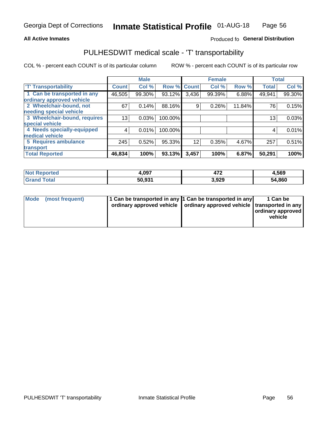#### **All Active Inmates**

### Produced fo General Distribution

### PULHESDWIT medical scale - 'T' transportability

COL % - percent each COUNT is of its particular column

|                              |                    | <b>Male</b> |         |              | <b>Female</b> |        |              | <b>Total</b> |
|------------------------------|--------------------|-------------|---------|--------------|---------------|--------|--------------|--------------|
| <b>T' Transportability</b>   | Count <sup>!</sup> | Col %       | Row %   | <b>Count</b> | Col %         | Row %  | <b>Total</b> | Col %        |
| 1 Can be transported in any  | 46,505             | 99.30%      | 93.12%  | 3,436        | 99.39%        | 6.88%  | 49,941       | 99.30%       |
| ordinary approved vehicle    |                    |             |         |              |               |        |              |              |
| 2 Wheelchair-bound, not      | 67                 | 0.14%       | 88.16%  | 9            | 0.26%         | 11.84% | 76           | 0.15%        |
| needing special vehicle      |                    |             |         |              |               |        |              |              |
| 3 Wheelchair-bound, requires | 13 <sub>1</sub>    | 0.03%       | 100.00% |              |               |        | 13           | 0.03%        |
| special vehicle              |                    |             |         |              |               |        |              |              |
| 4 Needs specially-equipped   | 4                  | 0.01%       | 100.00% |              |               |        |              | 0.01%        |
| medical vehicle              |                    |             |         |              |               |        |              |              |
| <b>5 Requires ambulance</b>  | 245                | 0.52%       | 95.33%  | 12           | 0.35%         | 4.67%  | 257          | 0.51%        |
| transport                    |                    |             |         |              |               |        |              |              |
| <b>Total Reported</b>        | 46,834             | 100%        | 93.13%  | 3,457        | 100%          | 6.87%  | 50,291       | 100%         |

| <b>Not</b><br>Reported | 4,097  | ---<br>− 11. | 4,569  |
|------------------------|--------|--------------|--------|
| Total                  | 50,931 | 3,929        | 54,860 |

|  | Mode (most frequent) | 1 Can be transported in any 1 Can be transported in any<br>ordinary approved vehicle   ordinary approved vehicle   transported in any |  | 1 Can be<br>  ordinary approved  <br>vehicle |
|--|----------------------|---------------------------------------------------------------------------------------------------------------------------------------|--|----------------------------------------------|
|--|----------------------|---------------------------------------------------------------------------------------------------------------------------------------|--|----------------------------------------------|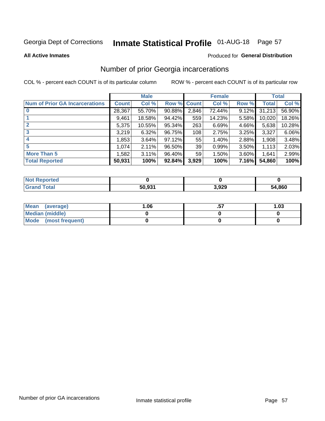# Inmate Statistical Profile 01-AUG-18 Page 57

#### **All Active Inmates**

#### Produced for General Distribution

### Number of prior Georgia incarcerations

COL % - percent each COUNT is of its particular column

|                                       |        | <b>Male</b> |             |                 | <b>Female</b> |          |        | <b>Total</b> |
|---------------------------------------|--------|-------------|-------------|-----------------|---------------|----------|--------|--------------|
| <b>Num of Prior GA Incarcerations</b> | Count  | Col %       | Row % Count |                 | Col %         | Row %    | Total  | Col %        |
|                                       | 28,367 | 55.70%      | 90.88%      | 2,846           | 72.44%        | 9.12%    | 31,213 | 56.90%       |
|                                       | 9,461  | 18.58%      | 94.42%      | 559             | 14.23%        | 5.58%    | 10,020 | 18.26%       |
| $\overline{2}$                        | 5,375  | 10.55%      | 95.34%      | 263             | 6.69%         | 4.66%    | 5,638  | 10.28%       |
| 3                                     | 3,219  | 6.32%       | 96.75%      | 108             | 2.75%         | 3.25%    | 3,327  | 6.06%        |
| $\boldsymbol{4}$                      | 1,853  | 3.64%       | $97.12\%$   | 55              | 1.40%         | 2.88%    | 1,908  | 3.48%        |
| 5                                     | 1,074  | 2.11%       | 96.50%      | 39              | 0.99%         | 3.50%    | 1,113  | 2.03%        |
| <b>More Than 5</b>                    | 1.582  | 3.11%       | 96.40%      | 59 <sub>1</sub> | 1.50%         | $3.60\%$ | 1.641  | 2.99%        |
| <b>Total Reported</b>                 | 50,931 | 100%        | 92.84%      | 3,929           | 100%          | 7.16%    | 54,860 | 100%         |

| orted<br>NO.      |        |       |        |
|-------------------|--------|-------|--------|
| <b>otal</b><br>Gr | 50,931 | 3,929 | 54,860 |

| Mean (average)         | 06.، | 1.03 |
|------------------------|------|------|
| <b>Median (middle)</b> |      |      |
| Mode (most frequent)   |      |      |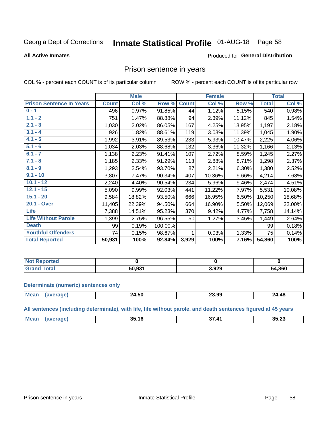#### **Inmate Statistical Profile 01-AUG-18** Page 58

#### **All Active Inmates**

#### Produced for General Distribution

### Prison sentence in years

COL % - percent each COUNT is of its particular column

ROW % - percent each COUNT is of its particular row

|                                 |              | <b>Male</b> |         |              | <b>Female</b> |        |              | <b>Total</b> |
|---------------------------------|--------------|-------------|---------|--------------|---------------|--------|--------------|--------------|
| <b>Prison Sentence In Years</b> | <b>Count</b> | Col %       | Row %   | <b>Count</b> | Col %         | Row %  | <b>Total</b> | Col %        |
| $0 - 1$                         | 496          | 0.97%       | 91.85%  | 44           | 1.12%         | 8.15%  | 540          | 0.98%        |
| $1.1 - 2$                       | 751          | 1.47%       | 88.88%  | 94           | 2.39%         | 11.12% | 845          | 1.54%        |
| $2.1 - 3$                       | 1,030        | 2.02%       | 86.05%  | 167          | 4.25%         | 13.95% | 1,197        | 2.18%        |
| $3.1 - 4$                       | 926          | 1.82%       | 88.61%  | 119          | 3.03%         | 11.39% | 1,045        | 1.90%        |
| $4.1 - 5$                       | 1,992        | 3.91%       | 89.53%  | 233          | 5.93%         | 10.47% | 2,225        | 4.06%        |
| $5.1 - 6$                       | 1,034        | 2.03%       | 88.68%  | 132          | 3.36%         | 11.32% | 1,166        | 2.13%        |
| $6.1 - 7$                       | 1,138        | 2.23%       | 91.41%  | 107          | 2.72%         | 8.59%  | 1,245        | 2.27%        |
| $7.1 - 8$                       | 1,185        | 2.33%       | 91.29%  | 113          | 2.88%         | 8.71%  | 1,298        | 2.37%        |
| $8.1 - 9$                       | 1,293        | 2.54%       | 93.70%  | 87           | 2.21%         | 6.30%  | 1,380        | 2.52%        |
| $9.1 - 10$                      | 3,807        | 7.47%       | 90.34%  | 407          | 10.36%        | 9.66%  | 4,214        | 7.68%        |
| $10.1 - 12$                     | 2,240        | 4.40%       | 90.54%  | 234          | 5.96%         | 9.46%  | 2,474        | 4.51%        |
| $12.1 - 15$                     | 5,090        | 9.99%       | 92.03%  | 441          | 11.22%        | 7.97%  | 5,531        | 10.08%       |
| $15.1 - 20$                     | 9,584        | 18.82%      | 93.50%  | 666          | 16.95%        | 6.50%  | 10,250       | 18.68%       |
| 20.1 - Over                     | 11,405       | 22.39%      | 94.50%  | 664          | 16.90%        | 5.50%  | 12,069       | 22.00%       |
| <b>Life</b>                     | 7,388        | 14.51%      | 95.23%  | 370          | 9.42%         | 4.77%  | 7,758        | 14.14%       |
| <b>Life Without Parole</b>      | 1,399        | 2.75%       | 96.55%  | 50           | 1.27%         | 3.45%  | 1,449        | 2.64%        |
| <b>Death</b>                    | 99           | 0.19%       | 100.00% |              |               |        | 99           | 0.18%        |
| <b>Youthful Offenders</b>       | 74           | 0.15%       | 98.67%  |              | 0.03%         | 1.33%  | 75           | 0.14%        |
| <b>Total Reported</b>           | 50,931       | 100%        | 92.84%  | 3,929        | 100%          | 7.16%  | 54,860       | 100%         |

| <b>Not Reported</b> |                    |       |        |
|---------------------|--------------------|-------|--------|
| 'otal<br>$C$ ron    | 50.93 <sup>2</sup> | 3,929 | 54,860 |

#### **Determinate (numeric) sentences only**

| <b>Mean</b> | .<br>24.OU | 23.99 | 24.48 |
|-------------|------------|-------|-------|
|             |            |       |       |

All sentences (including determinate), with life, life without parole, and death sentences figured at 45 years

| <b>Mea</b><br>スス つつ<br>"<br>~-<br>?5<br>35<br>. 1 o<br>り・ムリ |  |  |  |
|-------------------------------------------------------------|--|--|--|
|                                                             |  |  |  |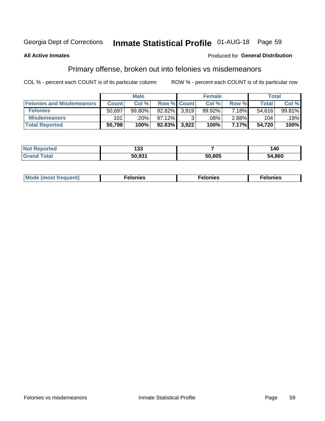## Inmate Statistical Profile 01-AUG-18 Page 59

#### **All Active Inmates**

#### Produced for General Distribution

### Primary offense, broken out into felonies vs misdemeanors

COL % - percent each COUNT is of its particular column

|                                  |              | <b>Male</b> |                    |       | <b>Female</b> |          | Total        |        |
|----------------------------------|--------------|-------------|--------------------|-------|---------------|----------|--------------|--------|
| <b>Felonies and Misdemeanors</b> | <b>Count</b> | Col %       | <b>Row % Count</b> |       | Col %         | Row %    | <b>Total</b> | Col %  |
| <b>Felonies</b>                  | 50,697       | 99.80%      | $92.82\%$          | 3.919 | 99.92%        | 7.18%    | 54.616       | 99.81% |
| <b>Misdemeanors</b>              | 101          | .20%        | 97.12%             |       | .08%          | $2.88\%$ | 104          | .19%   |
| <b>Total Reported</b>            | 50,798       | 100%        | $92.83\%$ 3,922    |       | 100%          | 7.17%    | 54,720       | 100%   |

| <b>Not Reported</b> | 400<br>נט ו |        | 40     |
|---------------------|-------------|--------|--------|
| l Grand<br>Total    | 50.931      | 50.805 | 54,860 |

| Mo | ____ | 11 C.S<br>. | onies<br>. |
|----|------|-------------|------------|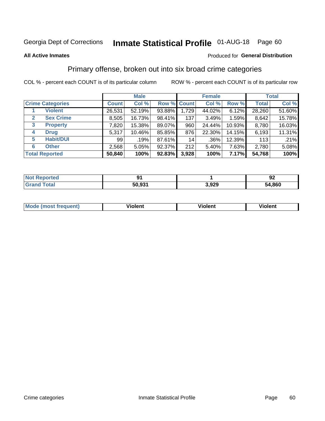# Inmate Statistical Profile 01-AUG-18 Page 60

#### **All Active Inmates**

#### Produced for General Distribution

### Primary offense, broken out into six broad crime categories

COL % - percent each COUNT is of its particular column

|                                 | <b>Male</b>  |        |           |                 | <b>Female</b> |        | <b>Total</b> |        |  |
|---------------------------------|--------------|--------|-----------|-----------------|---------------|--------|--------------|--------|--|
| <b>Crime Categories</b>         | <b>Count</b> | Col %  |           | Row % Count     | Col %         | Row %  | <b>Total</b> | Col %  |  |
| <b>Violent</b>                  | 26,531       | 52.19% | 93.88%    | 1,729           | 44.02%        | 6.12%  | 28,260       | 51.60% |  |
| <b>Sex Crime</b><br>2           | 8,505        | 16.73% | 98.41%    | 137             | 3.49%         | 1.59%  | 8,642        | 15.78% |  |
| $\mathbf{3}$<br><b>Property</b> | 7,820        | 15.38% | 89.07%    | 960             | 24.44%        | 10.93% | 8,780        | 16.03% |  |
| <b>Drug</b><br>4                | 5,317        | 10.46% | 85.85%    | 876             | 22.30%        | 14.15% | 6,193        | 11.31% |  |
| <b>Habit/DUI</b><br>5           | 99           | .19%   | 87.61%    | 14 <sub>1</sub> | .36%          | 12.39% | 113          | .21%   |  |
| <b>Other</b><br>6               | 2,568        | 5.05%  | 92.37%    | 212             | 5.40%         | 7.63%  | 2,780        | 5.08%  |  |
| <b>Total Reported</b>           | 50,840       | 100%   | $92.83\%$ | 3,928           | 100%          | 7.17%  | 54,768       | 100%   |  |

| Reported<br>NOT F | m      |       | Λ.<br>JŁ |
|-------------------|--------|-------|----------|
| <b>Total</b>      | 50,931 | 3,929 | 54,860   |

| Mo<br>uent)<br>nos | .<br>/iolent | <br>Violent | - --<br><b>Tiolent</b> |
|--------------------|--------------|-------------|------------------------|
|                    |              |             |                        |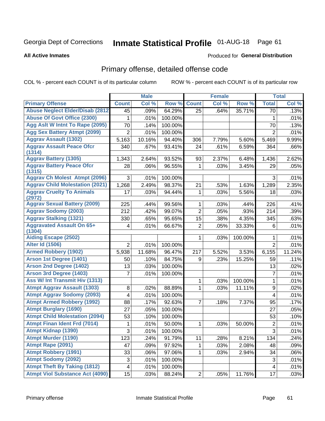# Inmate Statistical Profile 01-AUG-18 Page 61

#### **All Active Inmates**

### **Produced for General Distribution**

### Primary offense, detailed offense code

COL % - percent each COUNT is of its particular column

|                                            |                | <b>Male</b> |         |                | <b>Female</b> |          |                | <b>Total</b> |
|--------------------------------------------|----------------|-------------|---------|----------------|---------------|----------|----------------|--------------|
| <b>Primary Offense</b>                     | <b>Count</b>   | Col %       | Row %   | <b>Count</b>   | Col %         | Row %    | <b>Total</b>   | Col %        |
| <b>Abuse Neglect Elder/Disab (2812)</b>    | 45             | .09%        | 64.29%  | 25             | .64%          | 35.71%   | 70             | .13%         |
| <b>Abuse Of Govt Office (2300)</b>         | 1              | .01%        | 100.00% |                |               |          | 1              | .01%         |
| Agg Aslt W Intnt To Rape (2095)            | 70             | .14%        | 100.00% |                |               |          | 70             | .13%         |
| <b>Agg Sex Battery Atmpt (2099)</b>        | $\overline{2}$ | .01%        | 100.00% |                |               |          | $\overline{2}$ | .01%         |
| <b>Aggrav Assault (1302)</b>               | 5,163          | 10.16%      | 94.40%  | 306            | 7.79%         | 5.60%    | 5,469          | 9.99%        |
| <b>Aggrav Assault Peace Ofcr</b><br>(1314) | 340            | .67%        | 93.41%  | 24             | .61%          | 6.59%    | 364            | .66%         |
| <b>Aggrav Battery (1305)</b>               | 1,343          | 2.64%       | 93.52%  | 93             | 2.37%         | 6.48%    | 1,436          | 2.62%        |
| <b>Aggrav Battery Peace Ofcr</b><br>(1315) | 28             | .06%        | 96.55%  | 1              | .03%          | 3.45%    | 29             | .05%         |
| <b>Aggrav Ch Molest Atmpt (2096)</b>       | 3              | .01%        | 100.00% |                |               |          | 3              | .01%         |
| <b>Aggrav Child Molestation (2021)</b>     | 1,268          | 2.49%       | 98.37%  | 21             | .53%          | 1.63%    | 1,289          | 2.35%        |
| <b>Aggrav Cruelty To Animals</b><br>(2972) | 17             | .03%        | 94.44%  | $\mathbf{1}$   | .03%          | 5.56%    | 18             | .03%         |
| <b>Aggrav Sexual Battery (2009)</b>        | 225            | .44%        | 99.56%  | 1              | .03%          | .44%     | 226            | .41%         |
| <b>Aggrav Sodomy (2003)</b>                | 212            | .42%        | 99.07%  | $\overline{2}$ | .05%          | .93%     | 214            | .39%         |
| <b>Aggrav Stalking (1321)</b>              | 330            | .65%        | 95.65%  | 15             | .38%          | 4.35%    | 345            | .63%         |
| <b>Aggravated Assault On 65+</b><br>(1304) | 4              | .01%        | 66.67%  | $\overline{2}$ | .05%          | 33.33%   | 6              | .01%         |
| <b>Aiding Escape (2502)</b>                |                |             |         | 1              | .03%          | 100.00%  | 1              | .01%         |
| <b>Alter Id (1506)</b>                     | $\overline{2}$ | .01%        | 100.00% |                |               |          | $\overline{2}$ | .01%         |
| <b>Armed Robbery (1902)</b>                | 5,938          | 11.68%      | 96.47%  | 217            | 5.52%         | 3.53%    | 6,155          | 11.24%       |
| Arson 1st Degree (1401)                    | 50             | .10%        | 84.75%  | 9              | .23%          | 15.25%   | 59             | .11%         |
| <b>Arson 2nd Degree (1402)</b>             | 13             | .03%        | 100.00% |                |               |          | 13             | .02%         |
| <b>Arson 3rd Degree (1403)</b>             | 7              | .01%        | 100.00% |                |               |          | $\overline{7}$ | .01%         |
| Ass W/ Int Transmit Hiv (1313)             |                |             |         | 1              | .03%          | 100.00%  | $\mathbf{1}$   | .01%         |
| <b>Atmpt Aggrav Assault (1303)</b>         | 8              | .02%        | 88.89%  | 1              | .03%          | 11.11%   | 9              | .02%         |
| <b>Atmpt Aggrav Sodomy (2093)</b>          | 4              | .01%        | 100.00% |                |               |          | 4              | .01%         |
| <b>Atmpt Armed Robbery (1992)</b>          | 88             | .17%        | 92.63%  | $\overline{7}$ | .18%          | 7.37%    | 95             | .17%         |
| <b>Atmpt Burglary (1690)</b>               | 27             | .05%        | 100.00% |                |               |          | 27             | .05%         |
| <b>Atmpt Child Molestation (2094)</b>      | 53             | .10%        | 100.00% |                |               |          | 53             | .10%         |
| <b>Atmpt Finan Ident Frd (7014)</b>        | 1              | .01%        | 50.00%  | 1              | .03%          | 50.00%   | 2              | .01%         |
| <b>Atmpt Kidnap (1390)</b>                 | $\overline{3}$ | .01%        | 100.00% |                |               |          | $\overline{3}$ | .01%         |
| <b>Atmpt Murder (1190)</b>                 | 123            | .24%        | 91.79%  | 11             | .28%          | $8.21\%$ | 134            | .24%         |
| Atmpt Rape (2091)                          | 47             | .09%        | 97.92%  | 1              | .03%          | 2.08%    | 48             | .09%         |
| <b>Atmpt Robbery (1991)</b>                | 33             | .06%        | 97.06%  | $\mathbf{1}$   | .03%          | 2.94%    | 34             | .06%         |
| <b>Atmpt Sodomy (2092)</b>                 | 3              | .01%        | 100.00% |                |               |          | $\sqrt{3}$     | .01%         |
| <b>Atmpt Theft By Taking (1812)</b>        | 4              | .01%        | 100.00% |                |               |          | $\overline{4}$ | .01%         |
| <b>Atmpt Viol Substance Act (4090)</b>     | 15             | .03%        | 88.24%  | 2              | .05%          | 11.76%   | 17             | .03%         |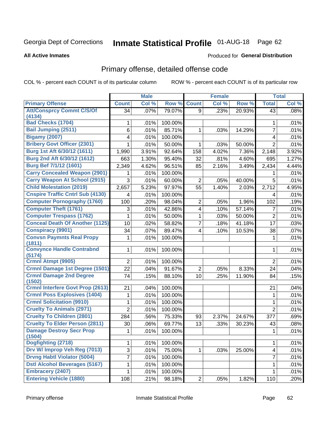# Inmate Statistical Profile 01-AUG-18 Page 62

#### **All Active Inmates**

#### Produced for General Distribution

## Primary offense, detailed offense code

COL % - percent each COUNT is of its particular column

|                                            |                | <b>Male</b> |         |                         | <b>Female</b> |        |                | <b>Total</b> |
|--------------------------------------------|----------------|-------------|---------|-------------------------|---------------|--------|----------------|--------------|
| <b>Primary Offense</b>                     | <b>Count</b>   | Col %       | Row %   | <b>Count</b>            | Col %         | Row %  | <b>Total</b>   | Col %        |
| <b>Att/Consprcy Commt C/S/Of</b>           | 34             | .07%        | 79.07%  | 9                       | .23%          | 20.93% | 43             | .08%         |
| (4134)<br><b>Bad Checks (1704)</b>         |                |             |         |                         |               |        |                |              |
|                                            | 1              | .01%        | 100.00% |                         |               |        | 1              | .01%         |
| <b>Bail Jumping (2511)</b>                 | 6              | .01%        | 85.71%  | 1                       | .03%          | 14.29% | $\overline{7}$ | .01%         |
| <b>Bigamy (2007)</b>                       | 4              | .01%        | 100.00% |                         |               |        | 4              | .01%         |
| <b>Bribery Govt Officer (2301)</b>         | 1              | .01%        | 50.00%  | 1                       | .03%          | 50.00% | $\overline{2}$ | .01%         |
| Burg 1st Aft 6/30/12 (1611)                | 1,990          | 3.91%       | 92.64%  | 158                     | 4.02%         | 7.36%  | 2,148          | 3.92%        |
| Burg 2nd Aft 6/30/12 (1612)                | 663            | 1.30%       | 95.40%  | 32                      | .81%          | 4.60%  | 695            | 1.27%        |
| <b>Burg Bef 7/1/12 (1601)</b>              | 2,349          | 4.62%       | 96.51%  | 85                      | 2.16%         | 3.49%  | 2,434          | 4.44%        |
| <b>Carry Concealed Weapon (2901)</b>       |                | .01%        | 100.00% |                         |               |        |                | .01%         |
| <b>Carry Weapon At School (2915)</b>       | 3              | .01%        | 60.00%  | 2                       | .05%          | 40.00% | 5              | .01%         |
| <b>Child Molestation (2019)</b>            | 2,657          | 5.23%       | 97.97%  | 55                      | 1.40%         | 2.03%  | 2,712          | 4.95%        |
| <b>Cnspire Traffic Cntrl Sub (4130)</b>    | 4              | .01%        | 100.00% |                         |               |        | 4              | .01%         |
| <b>Computer Pornography (1760)</b>         | 100            | .20%        | 98.04%  | 2                       | .05%          | 1.96%  | 102            | .19%         |
| <b>Computer Theft (1761)</b>               | 3              | .01%        | 42.86%  | $\overline{\mathbf{4}}$ | .10%          | 57.14% | 7              | .01%         |
| <b>Computer Trespass (1762)</b>            | 1              | .01%        | 50.00%  | 1                       | .03%          | 50.00% | $\overline{2}$ | .01%         |
| <b>Conceal Death Of Another (1125)</b>     | 10             | .02%        | 58.82%  | $\overline{7}$          | .18%          | 41.18% | 17             | .03%         |
| <b>Conspiracy (9901)</b>                   | 34             | .07%        | 89.47%  | $\overline{\mathbf{4}}$ | .10%          | 10.53% | 38             | .07%         |
| <b>Convsn Paymnts Real Propy</b>           | 1              | .01%        | 100.00% |                         |               |        | 1              | .01%         |
| (1811)<br><b>Convynce Handle Contrabnd</b> | 1              | .01%        | 100.00% |                         |               |        | 1              | .01%         |
| (5174)                                     |                |             |         |                         |               |        |                |              |
| Crmnl Atmpt (9905)                         | $\overline{2}$ | .01%        | 100.00% |                         |               |        | $\overline{2}$ | .01%         |
| Crmnl Damage 1st Degree (1501)             | 22             | .04%        | 91.67%  | $\overline{2}$          | .05%          | 8.33%  | 24             | .04%         |
| <b>Crmnl Damage 2nd Degree</b>             | 74             | .15%        | 88.10%  | 10                      | .25%          | 11.90% | 84             | .15%         |
| (1502)                                     |                |             |         |                         |               |        |                |              |
| <b>Crmnl Interfere Govt Prop (2613)</b>    | 21             | .04%        | 100.00% |                         |               |        | 21             | .04%         |
| <b>Crmnl Poss Explosives (1404)</b>        | 1              | .01%        | 100.00% |                         |               |        | 1              | .01%         |
| <b>Crmnl Solicitation (9910)</b>           | 1              | .01%        | 100.00% |                         |               |        | 1              | .01%         |
| <b>Cruelty To Animals (2971)</b>           | $\overline{2}$ | .01%        | 100.00% |                         |               |        | $\overline{2}$ | .01%         |
| <b>Cruelty To Children (2801)</b>          | 284            | .56%        | 75.33%  | 93                      | 2.37%         | 24.67% | 377            | .69%         |
| <b>Cruelty To Elder Person (2811)</b>      | 30             | .06%        | 69.77%  | 13                      | .33%          | 30.23% | 43             | .08%         |
| <b>Damage Destroy Secr Prop</b>            | $1\vert$       | .01%        | 100.00% |                         |               |        | $\mathbf 1$    | .01%         |
| (1504)<br>Dogfighting (2718)               | 1              | .01%        | 100.00% |                         |               |        | 1              | .01%         |
| Drv W/ Improp Veh Reg (7013)               | 3              | .01%        | 75.00%  | 1                       | .03%          | 25.00% | 4              | .01%         |
| <b>Drvng Habtl Violator (5004)</b>         | 7              |             | 100.00% |                         |               |        | $\overline{7}$ |              |
| <b>Dstl Alcohol Beverages (5167)</b>       |                | .01%        | 100.00% |                         |               |        |                | .01%<br>.01% |
| <b>Embracery (2407)</b>                    | 1              | .01%        |         |                         |               |        | 1              |              |
| <b>Entering Vehicle (1880)</b>             | 1              | .01%        | 100.00% |                         |               |        | 1              | .01%         |
|                                            | 108            | .21%        | 98.18%  | $\overline{2}$          | .05%          | 1.82%  | 110            | .20%         |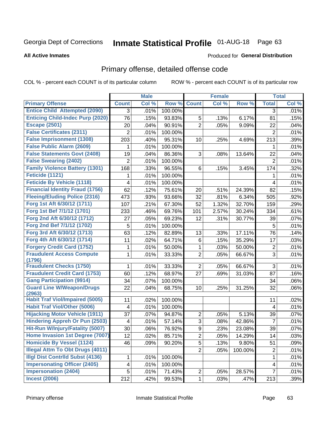# Inmate Statistical Profile 01-AUG-18 Page 63

#### **All Active Inmates**

#### Produced for General Distribution

## Primary offense, detailed offense code

COL % - percent each COUNT is of its particular column

|                                            |                | <b>Male</b> |         |                | <b>Female</b> |         |                | <b>Total</b> |
|--------------------------------------------|----------------|-------------|---------|----------------|---------------|---------|----------------|--------------|
| <b>Primary Offense</b>                     | <b>Count</b>   | Col %       | Row %   | <b>Count</b>   | Col %         | Row %   | <b>Total</b>   | Col %        |
| <b>Entice Child Attempted (2090)</b>       | 3              | .01%        | 100.00% |                |               |         | 3              | .01%         |
| <b>Enticing Child-Indec Purp (2020)</b>    | 76             | .15%        | 93.83%  | 5              | .13%          | 6.17%   | 81             | .15%         |
| <b>Escape (2501)</b>                       | 20             | .04%        | 90.91%  | $\overline{2}$ | .05%          | 9.09%   | 22             | .04%         |
| <b>False Certificates (2311)</b>           | $\overline{2}$ | .01%        | 100.00% |                |               |         | $\overline{2}$ | .01%         |
| <b>False Imprisonment (1308)</b>           | 203            | .40%        | 95.31%  | 10             | .25%          | 4.69%   | 213            | .39%         |
| <b>False Public Alarm (2609)</b>           | 1              | .01%        | 100.00% |                |               |         | 1              | .01%         |
| <b>False Statements Govt (2408)</b>        | 19             | .04%        | 86.36%  | 3              | .08%          | 13.64%  | 22             | .04%         |
| <b>False Swearing (2402)</b>               | 2              | .01%        | 100.00% |                |               |         | $\overline{2}$ | .01%         |
| <b>Family Violence Battery (1301)</b>      | 168            | .33%        | 96.55%  | 6              | .15%          | 3.45%   | 174            | .32%         |
| Feticide (1121)                            | 1              | .01%        | 100.00% |                |               |         | 1              | .01%         |
| <b>Feticide By Vehicle (1118)</b>          | 4              | .01%        | 100.00% |                |               |         | 4              | .01%         |
| <b>Financial Identity Fraud (1756)</b>     | 62             | .12%        | 75.61%  | 20             | .51%          | 24.39%  | 82             | .15%         |
| <b>Fleeing/Eluding Police (2316)</b>       | 473            | .93%        | 93.66%  | 32             | .81%          | 6.34%   | 505            | .92%         |
| Forg 1st Aft 6/30/12 (1711)                | 107            | .21%        | 67.30%  | 52             | 1.32%         | 32.70%  | 159            | .29%         |
| Forg 1st Bef 7/1/12 (1701)                 | 233            | .46%        | 69.76%  | 101            | 2.57%         | 30.24%  | 334            | .61%         |
| Forg 2nd Aft 6/30/12 (1712)                | 27             | .05%        | 69.23%  | 12             | .31%          | 30.77%  | 39             | .07%         |
| Forg 2nd Bef 7/1/12 (1702)                 | 5              | .01%        | 100.00% |                |               |         | 5              | .01%         |
| Forg 3rd Aft 6/30/12 (1713)                | 63             | .12%        | 82.89%  | 13             | .33%          | 17.11%  | 76             | .14%         |
| Forg 4th Aft 6/30/12 (1714)                | 11             | .02%        | 64.71%  | 6              | .15%          | 35.29%  | 17             | .03%         |
| <b>Forgery Credit Card (1752)</b>          | 1              | .01%        | 50.00%  | 1              | .03%          | 50.00%  | 2              | .01%         |
| <b>Fraudulent Access Compute</b><br>(1796) | 1              | .01%        | 33.33%  | $\overline{2}$ | .05%          | 66.67%  | 3              | .01%         |
| <b>Fraudulent Checks (1750)</b>            | 1              | .01%        | 33.33%  | $\overline{2}$ | .05%          | 66.67%  | $\mathfrak{S}$ | .01%         |
| <b>Fraudulent Credit Card (1753)</b>       | 60             | .12%        | 68.97%  | 27             | .69%          | 31.03%  | 87             | .16%         |
| <b>Gang Participation (9914)</b>           | 34             | .07%        | 100.00% |                |               |         | 34             | .06%         |
| <b>Guard Line W/Weapon/Drugs</b><br>(2963) | 22             | .04%        | 68.75%  | 10             | .25%          | 31.25%  | 32             | .06%         |
| <b>Habit Traf Viol/Impaired (5005)</b>     | 11             | .02%        | 100.00% |                |               |         | 11             | .02%         |
| <b>Habit Traf Viol/Other (5006)</b>        | 4              | .01%        | 100.00% |                |               |         | 4              | .01%         |
| <b>Hijacking Motor Vehicle (1911)</b>      | 37             | .07%        | 94.87%  | $\overline{2}$ | .05%          | 5.13%   | 39             | .07%         |
| <b>Hindering Appreh Or Pun (2503)</b>      | 4              | .01%        | 57.14%  | 3              | .08%          | 42.86%  | $\overline{7}$ | .01%         |
| Hit-Run W/Injury/Fatality (5007)           | 30             | .06%        | 76.92%  | 9              | .23%          | 23.08%  | 39             | .07%         |
| Home Invasion 1st Degree (7007)            | 12             | .02%        | 85.71%  | $\overline{2}$ | .05%          | 14.29%  | 14             | .03%         |
| <b>Homicide By Vessel (1124)</b>           | 46             | .09%        | 90.20%  | $\overline{5}$ | .13%          | 9.80%   | 51             | .09%         |
| <b>Illegal Attm To Obt Drugs (4011)</b>    |                |             |         | $\overline{2}$ | .05%          | 100.00% | $\overline{c}$ | .01%         |
| <b>Illgl Dist Contrild Subst (4136)</b>    | 1              | .01%        | 100.00% |                |               |         | 1              | .01%         |
| <b>Impersonating Officer (2405)</b>        | 4              | .01%        | 100.00% |                |               |         | 4              | .01%         |
| <b>Impersonation (2404)</b>                | 5              | .01%        | 71.43%  | $\overline{c}$ | .05%          | 28.57%  | $\overline{7}$ | .01%         |
| <b>Incest (2006)</b>                       | 212            | .42%        | 99.53%  | $\mathbf 1$    | .03%          | .47%    | 213            | .39%         |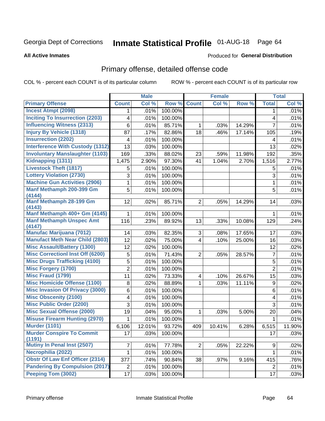# Inmate Statistical Profile 01-AUG-18 Page 64

#### **All Active Inmates**

#### Produced for General Distribution

## Primary offense, detailed offense code

COL % - percent each COUNT is of its particular column

|                                            |                | <b>Male</b> |         |                         | <b>Female</b> |        |                | <b>Total</b> |
|--------------------------------------------|----------------|-------------|---------|-------------------------|---------------|--------|----------------|--------------|
| <b>Primary Offense</b>                     | <b>Count</b>   | Col %       | Row %   | <b>Count</b>            | Col %         | Row %  | <b>Total</b>   | Col %        |
| <b>Incest Atmpt (2098)</b>                 | $\mathbf 1$    | .01%        | 100.00% |                         |               |        | 1              | .01%         |
| <b>Inciting To Insurrection (2203)</b>     | 4              | .01%        | 100.00% |                         |               |        | 4              | .01%         |
| <b>Influencing Witness (2313)</b>          | 6              | .01%        | 85.71%  | 1                       | .03%          | 14.29% | 7              | .01%         |
| <b>Injury By Vehicle (1318)</b>            | 87             | .17%        | 82.86%  | 18                      | .46%          | 17.14% | 105            | .19%         |
| <b>Insurrection (2202)</b>                 | 4              | .01%        | 100.00% |                         |               |        | 4              | .01%         |
| <b>Interference With Custody (1312)</b>    | 13             | .03%        | 100.00% |                         |               |        | 13             | .02%         |
| <b>Involuntary Manslaughter (1103)</b>     | 169            | .33%        | 88.02%  | 23                      | .59%          | 11.98% | 192            | .35%         |
| Kidnapping (1311)                          | 1,475          | 2.90%       | 97.30%  | 41                      | 1.04%         | 2.70%  | 1,516          | 2.77%        |
| <b>Livestock Theft (1817)</b>              | 5              | .01%        | 100.00% |                         |               |        | 5              | .01%         |
| <b>Lottery Violation (2730)</b>            | 3              | .01%        | 100.00% |                         |               |        | 3              | .01%         |
| <b>Machine Gun Activities (2906)</b>       | 1              | .01%        | 100.00% |                         |               |        | 1              | .01%         |
| Manf Methamph 200-399 Gm<br>(4144)         | 5              | .01%        | 100.00% |                         |               |        | 5              | .01%         |
| Manf Methamph 28-199 Gm<br>(4143)          | 12             | .02%        | 85.71%  | $\overline{2}$          | .05%          | 14.29% | 14             | .03%         |
| Manf Methamph 400+ Gm (4145)               | 1              | .01%        | 100.00% |                         |               |        | 1              | .01%         |
| <b>Manf Methamph Unspec Amt</b><br>(4147)  | 116            | .23%        | 89.92%  | 13                      | .33%          | 10.08% | 129            | .24%         |
| <b>Manufac Marijuana (7012)</b>            | 14             | .03%        | 82.35%  | 3                       | .08%          | 17.65% | 17             | .03%         |
| <b>Manufact Meth Near Child (2803)</b>     | 12             | .02%        | 75.00%  | 4                       | .10%          | 25.00% | 16             | .03%         |
| <b>Misc Assault/Battery (1300)</b>         | 12             | .02%        | 100.00% |                         |               |        | 12             | .02%         |
| <b>Misc Correctionl Inst Off (6200)</b>    | $\sqrt{5}$     | .01%        | 71.43%  | $\overline{2}$          | .05%          | 28.57% | $\overline{7}$ | .01%         |
| <b>Misc Drugs Trafficking (4100)</b>       | 5              | .01%        | 100.00% |                         |               |        | 5              | .01%         |
| <b>Misc Forgery (1700)</b>                 | $\overline{2}$ | .01%        | 100.00% |                         |               |        | $\overline{2}$ | .01%         |
| <b>Misc Fraud (1799)</b>                   | 11             | .02%        | 73.33%  | $\overline{\mathbf{4}}$ | .10%          | 26.67% | 15             | .03%         |
| <b>Misc Homicide Offense (1100)</b>        | $\bf 8$        | .02%        | 88.89%  | 1                       | .03%          | 11.11% | 9              | .02%         |
| <b>Misc Invasion Of Privacy (3000)</b>     | $\,6$          | .01%        | 100.00% |                         |               |        | 6              | .01%         |
| <b>Misc Obscenity (2100)</b>               | 4              | .01%        | 100.00% |                         |               |        | 4              | .01%         |
| <b>Misc Public Order (2200)</b>            | 3              | .01%        | 100.00% |                         |               |        | 3              | .01%         |
| <b>Misc Sexual Offense (2000)</b>          | 19             | .04%        | 95.00%  | 1                       | .03%          | 5.00%  | 20             | .04%         |
| <b>Misuse Firearm Hunting (2970)</b>       | 1              | .01%        | 100.00% |                         |               |        | 1              | .01%         |
| <b>Murder (1101)</b>                       | 6,106          | 12.01%      | 93.72%  | 409                     | 10.41%        | 6.28%  | 6,515          | 11.90%       |
| <b>Murder Conspire To Commit</b><br>(1191) | 17             | .03%        | 100.00% |                         |               |        | 17             | .03%         |
| <b>Mutiny In Penal Inst (2507)</b>         | 7              | .01%        | 77.78%  | 2                       | .05%          | 22.22% | 9              | .02%         |
| Necrophilia (2022)                         | 1              | .01%        | 100.00% |                         |               |        | 1              | .01%         |
| <b>Obstr Of Law Enf Officer (2314)</b>     | 377            | .74%        | 90.84%  | 38                      | .97%          | 9.16%  | 415            | .76%         |
| <b>Pandering By Compulsion (2017)</b>      | $\overline{c}$ | .01%        | 100.00% |                         |               |        | $\overline{2}$ | .01%         |
| Peeping Tom (3002)                         | 17             | .03%        | 100.00% |                         |               |        | 17             | .03%         |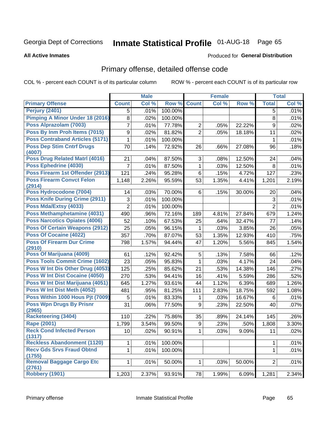# Inmate Statistical Profile 01-AUG-18 Page 65

#### **All Active Inmates**

#### Produced for General Distribution

## Primary offense, detailed offense code

COL % - percent each COUNT is of its particular column

|                                            |                | <b>Male</b> |         |                | Female |        |                | <b>Total</b> |
|--------------------------------------------|----------------|-------------|---------|----------------|--------|--------|----------------|--------------|
| <b>Primary Offense</b>                     | <b>Count</b>   | Col %       | Row %   | <b>Count</b>   | Col %  | Row %  | <b>Total</b>   | Col %        |
| <b>Perjury (2401)</b>                      | 5              | .01%        | 100.00% |                |        |        | 5              | .01%         |
| Pimping A Minor Under 18 (2016)            | 8              | .02%        | 100.00% |                |        |        | 8              | .01%         |
| Poss Alprazolam (7003)                     | 7              | .01%        | 77.78%  | $\overline{2}$ | .05%   | 22.22% | 9              | .02%         |
| Poss By Inm Proh Items (7015)              | 9              | .02%        | 81.82%  | $\overline{2}$ | .05%   | 18.18% | 11             | .02%         |
| <b>Poss Contraband Articles (5171)</b>     | $\mathbf{1}$   | .01%        | 100.00% |                |        |        | 1              | .01%         |
| <b>Poss Dep Stim Cntrf Drugs</b><br>(4007) | 70             | .14%        | 72.92%  | 26             | .66%   | 27.08% | 96             | .18%         |
| <b>Poss Drug Related Matri (4016)</b>      | 21             | .04%        | 87.50%  | 3              | .08%   | 12.50% | 24             | .04%         |
| Poss Ephedrine (4030)                      | 7              | .01%        | 87.50%  | $\mathbf{1}$   | .03%   | 12.50% | 8              | .01%         |
| Poss Firearm 1st Offender (2913)           | 121            | .24%        | 95.28%  | 6              | .15%   | 4.72%  | 127            | .23%         |
| <b>Poss Firearm Convct Felon</b><br>(2914) | 1,148          | 2.26%       | 95.59%  | 53             | 1.35%  | 4.41%  | 1,201          | 2.19%        |
| Poss Hydrocodone (7004)                    | 14             | .03%        | 70.00%  | 6              | .15%   | 30.00% | 20             | .04%         |
| <b>Poss Knife During Crime (2911)</b>      | 3              | .01%        | 100.00% |                |        |        | $\mathfrak{S}$ | .01%         |
| Poss Mda/Extsy (4033)                      | $\overline{2}$ | .01%        | 100.00% |                |        |        | $\overline{2}$ | .01%         |
| Poss Methamphetamine (4031)                | 490            | .96%        | 72.16%  | 189            | 4.81%  | 27.84% | 679            | 1.24%        |
| <b>Poss Narcotics Opiates (4006)</b>       | 52             | .10%        | 67.53%  | 25             | .64%   | 32.47% | 77             | .14%         |
| <b>Poss Of Certain Weapons (2912)</b>      | 25             | .05%        | 96.15%  | 1              | .03%   | 3.85%  | 26             | .05%         |
| Poss Of Cocaine (4022)                     | 357            | .70%        | 87.07%  | 53             | 1.35%  | 12.93% | 410            | .75%         |
| <b>Poss Of Firearm Dur Crime</b><br>(2910) | 798            | 1.57%       | 94.44%  | 47             | 1.20%  | 5.56%  | 845            | 1.54%        |
| Poss Of Marijuana (4009)                   | 61             | .12%        | 92.42%  | 5              | .13%   | 7.58%  | 66             | .12%         |
| <b>Poss Tools Commit Crime (1602)</b>      | 23             | .05%        | 95.83%  | $\mathbf{1}$   | .03%   | 4.17%  | 24             | .04%         |
| Poss W Int Dis Other Drug (4053)           | 125            | .25%        | 85.62%  | 21             | .53%   | 14.38% | 146            | .27%         |
| Poss W Int Dist Cocaine (4050)             | 270            | .53%        | 94.41%  | 16             | .41%   | 5.59%  | 286            | .52%         |
| Poss W Int Dist Marijuana (4051)           | 645            | 1.27%       | 93.61%  | 44             | 1.12%  | 6.39%  | 689            | 1.26%        |
| Poss W Int Dist Meth (4052)                | 481            | .95%        | 81.25%  | 111            | 2.83%  | 18.75% | 592            | 1.08%        |
| Poss Within 1000 Hous Pjt (7009)           | 5              | .01%        | 83.33%  | 1              | .03%   | 16.67% | 6              | .01%         |
| <b>Poss Wpn Drugs By Prisnr</b><br>(2965)  | 31             | .06%        | 77.50%  | 9              | .23%   | 22.50% | 40             | .07%         |
| <b>Racketeering (3404)</b>                 | 110            | .22%        | 75.86%  | 35             | .89%   | 24.14% | 145            | .26%         |
| <b>Rape (2001)</b>                         | 1,799          | 3.54%       | 99.50%  | 9              | .23%   | .50%   | 1,808          | 3.30%        |
| <b>Reck Cond Infected Person</b><br>(1317) | $10\,$         | .02%        | 90.91%  | $\mathbf 1$    | .03%   | 9.09%  | 11             | .02%         |
| <b>Reckless Abandonment (1120)</b>         | 1              | .01%        | 100.00% |                |        |        | 1              | .01%         |
| <b>Recv Gds Srvs Fraud Obtnd</b><br>(1755) | $\mathbf 1$    | .01%        | 100.00% |                |        |        | $\mathbf 1$    | .01%         |
| <b>Removal Baggage Cargo Etc</b><br>(2761) | 1              | .01%        | 50.00%  | $\mathbf 1$    | .03%   | 50.00% | $\overline{2}$ | .01%         |
| Robbery (1901)                             | 1,203          | 2.37%       | 93.91%  | 78             | 1.99%  | 6.09%  | 1,281          | 2.34%        |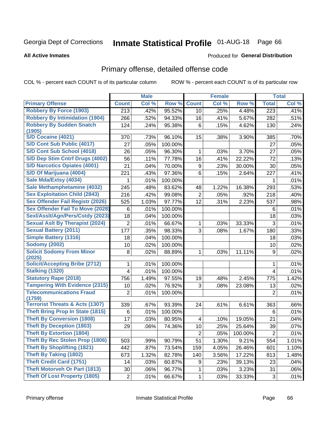# Inmate Statistical Profile 01-AUG-18 Page 66

**Produced for General Distribution** 

#### **All Active Inmates**

### Primary offense, detailed offense code

COL % - percent each COUNT is of its particular column

|                                            |                | <b>Male</b> |         |                         | <b>Female</b> |         |                | <b>Total</b> |
|--------------------------------------------|----------------|-------------|---------|-------------------------|---------------|---------|----------------|--------------|
| <b>Primary Offense</b>                     | <b>Count</b>   | Col %       | Row %   | <b>Count</b>            | Col %         | Row %   | <b>Total</b>   | Col %        |
| <b>Robbery By Force (1903)</b>             | 213            | .42%        | 95.52%  | 10 <sup>1</sup>         | .25%          | 4.48%   | 223            | .41%         |
| <b>Robbery By Intimidation (1904)</b>      | 266            | .52%        | 94.33%  | 16                      | .41%          | 5.67%   | 282            | .51%         |
| <b>Robbery By Sudden Snatch</b>            | 124            | .24%        | 95.38%  | 6                       | .15%          | 4.62%   | 130            | .24%         |
| (1905)                                     |                |             |         |                         |               |         |                |              |
| S/D Cocaine (4021)                         | 370            | .73%        | 96.10%  | 15                      | .38%          | 3.90%   | 385            | .70%         |
| S/D Cont Sub Public (4017)                 | 27             | .05%        | 100.00% |                         |               |         | 27             | .05%         |
| S/D Cont Sub School (4018)                 | 26             | .05%        | 96.30%  | 1                       | .03%          | 3.70%   | 27             | .05%         |
| S/D Dep Stim Cntrf Drugs (4002)            | 56             | .11%        | 77.78%  | 16                      | .41%          | 22.22%  | 72             | .13%         |
| <b>S/D Narcotics Opiates (4001)</b>        | 21             | .04%        | 70.00%  | 9                       | .23%          | 30.00%  | 30             | .05%         |
| S/D Of Marijuana (4004)                    | 221            | .43%        | 97.36%  | 6                       | .15%          | 2.64%   | 227            | .41%         |
| Sale Mda/Extsy (4034)                      | 1              | .01%        | 100.00% |                         |               |         | 1              | .01%         |
| Sale Methamphetamine (4032)                | 245            | .48%        | 83.62%  | 48                      | 1.22%         | 16.38%  | 293            | .53%         |
| <b>Sex Exploitation Child (2843)</b>       | 216            | .42%        | 99.08%  | 2                       | .05%          | .92%    | 218            | .40%         |
| <b>Sex Offender Fail Registr (2026)</b>    | 525            | 1.03%       | 97.77%  | 12                      | .31%          | 2.23%   | 537            | .98%         |
| <b>Sex Offender Fail To Move (2028)</b>    | 6              | .01%        | 100.00% |                         |               |         | 6              | .01%         |
| Sexl/Asslt/Agn/Pers/Cstdy (2023)           | 18             | .04%        | 100.00% |                         |               |         | 18             | .03%         |
| <b>Sexual Aslt By Therapist (2024)</b>     | $\overline{2}$ | .01%        | 66.67%  | 1                       | .03%          | 33.33%  | 3              | .01%         |
| <b>Sexual Battery (2011)</b>               | 177            | .35%        | 98.33%  | 3                       | .08%          | 1.67%   | 180            | .33%         |
| <b>Simple Battery (1316)</b>               | 18             | .04%        | 100.00% |                         |               |         | 18             | .03%         |
| <b>Sodomy (2002)</b>                       | 10             | .02%        | 100.00% |                         |               |         | 10             | .02%         |
| <b>Solicit Sodomy From Minor</b><br>(2025) | 8              | .02%        | 88.89%  | 1                       | .03%          | 11.11%  | 9              | .02%         |
| <b>Solicit/Accepting Bribe (2712)</b>      | 1              | .01%        | 100.00% |                         |               |         | 1              | .01%         |
| <b>Stalking (1320)</b>                     | 4              | .01%        | 100.00% |                         |               |         | $\overline{4}$ | .01%         |
| <b>Statutory Rape (2018)</b>               | 756            | 1.49%       | 97.55%  | 19                      | .48%          | 2.45%   | 775            | 1.42%        |
| <b>Tampering With Evidence (2315)</b>      | 10             | .02%        | 76.92%  | 3                       | .08%          | 23.08%  | 13             | .02%         |
| <b>Telecommunications Fraud</b><br>(1759)  | $\overline{2}$ | .01%        | 100.00% |                         |               |         | 2              | .01%         |
| <b>Terrorist Threats &amp; Acts (1307)</b> | 339            | .67%        | 93.39%  | 24                      | .61%          | 6.61%   | 363            | .66%         |
| <b>Theft Bring Prop In State (1815)</b>    | 6              | .01%        | 100.00% |                         |               |         | 6              | .01%         |
| <b>Theft By Conversion (1808)</b>          | 17             | .03%        | 80.95%  | 4                       | .10%          | 19.05%  | 21             | .04%         |
| <b>Theft By Deception (1803)</b>           | 29             | .06%        | 74.36%  | 10                      | .25%          | 25.64%  | 39             | .07%         |
| <b>Theft By Extortion (1804)</b>           |                |             |         | $\overline{\mathbf{c}}$ | .05%          | 100.00% | $\overline{c}$ | .01%         |
| Theft By Rec Stolen Prop (1806)            | 503            | .99%        | 90.79%  | 51                      | 1.30%         | 9.21%   | 554            | 1.01%        |
| <b>Theft By Shoplifting (1821)</b>         | 442            | .87%        | 73.54%  | 159                     | 4.05%         | 26.46%  | 601            | 1.10%        |
| <b>Theft By Taking (1802)</b>              | 673            | 1.32%       | 82.78%  | 140                     | 3.56%         | 17.22%  | 813            | 1.48%        |
| <b>Theft Credit Card (1751)</b>            | 14             | .03%        | 60.87%  | 9                       | .23%          | 39.13%  | 23             | .04%         |
| <b>Theft Motorveh Or Part (1813)</b>       | 30             | .06%        | 96.77%  | 1                       | .03%          | 3.23%   | 31             | .06%         |
| <b>Theft Of Lost Property (1805)</b>       | $\sqrt{2}$     | .01%        | 66.67%  | 1                       | .03%          | 33.33%  | $\mathbf{3}$   | .01%         |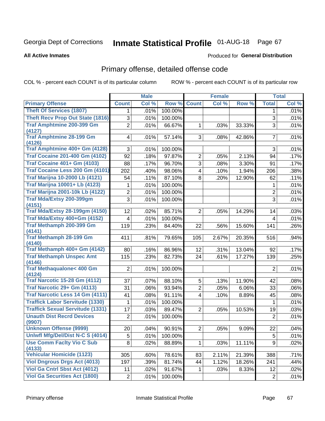# Inmate Statistical Profile 01-AUG-18 Page 67

#### **All Active Inmates**

#### Produced for General Distribution

## Primary offense, detailed offense code

COL % - percent each COUNT is of its particular column

|                                        | <b>Male</b>                                                                                  |                                                                                                      |                                                                                                                          | <b>Female</b>                                                                                         |                                                                         |                                                                                                | <b>Total</b>                                                                            |
|----------------------------------------|----------------------------------------------------------------------------------------------|------------------------------------------------------------------------------------------------------|--------------------------------------------------------------------------------------------------------------------------|-------------------------------------------------------------------------------------------------------|-------------------------------------------------------------------------|------------------------------------------------------------------------------------------------|-----------------------------------------------------------------------------------------|
| <b>Count</b>                           | Col %                                                                                        |                                                                                                      | <b>Count</b>                                                                                                             | Col %                                                                                                 | Row %                                                                   | <b>Total</b>                                                                                   | Col %                                                                                   |
| 1                                      | .01%                                                                                         | 100.00%                                                                                              |                                                                                                                          |                                                                                                       |                                                                         | 1                                                                                              | .01%                                                                                    |
| 3                                      | .01%                                                                                         | 100.00%                                                                                              |                                                                                                                          |                                                                                                       |                                                                         | 3                                                                                              | .01%                                                                                    |
| $\overline{2}$                         | .01%                                                                                         | 66.67%                                                                                               | $\mathbf 1$                                                                                                              | .03%                                                                                                  | 33.33%                                                                  | 3                                                                                              | .01%                                                                                    |
|                                        |                                                                                              |                                                                                                      |                                                                                                                          |                                                                                                       |                                                                         |                                                                                                |                                                                                         |
|                                        |                                                                                              |                                                                                                      |                                                                                                                          |                                                                                                       |                                                                         |                                                                                                | .01%                                                                                    |
| 3                                      |                                                                                              |                                                                                                      |                                                                                                                          |                                                                                                       |                                                                         | 3                                                                                              | .01%                                                                                    |
| 92                                     | .18%                                                                                         | 97.87%                                                                                               | $\overline{2}$                                                                                                           | .05%                                                                                                  | 2.13%                                                                   | 94                                                                                             | .17%                                                                                    |
| 88                                     | .17%                                                                                         | 96.70%                                                                                               | 3                                                                                                                        | .08%                                                                                                  | 3.30%                                                                   | 91                                                                                             | .17%                                                                                    |
| Traf Cocaine Less 200 Gm (4101)<br>202 | .40%                                                                                         | 98.06%                                                                                               | $\overline{4}$                                                                                                           | .10%                                                                                                  | 1.94%                                                                   | 206                                                                                            | .38%                                                                                    |
| 54                                     | .11%                                                                                         | 87.10%                                                                                               | 8                                                                                                                        | .20%                                                                                                  | 12.90%                                                                  | 62                                                                                             | .11%                                                                                    |
| 1                                      | .01%                                                                                         | 100.00%                                                                                              |                                                                                                                          |                                                                                                       |                                                                         | 1                                                                                              | .01%                                                                                    |
| 2                                      | .01%                                                                                         | 100.00%                                                                                              |                                                                                                                          |                                                                                                       |                                                                         | $\overline{c}$                                                                                 | .01%                                                                                    |
| 3                                      | .01%                                                                                         | 100.00%                                                                                              |                                                                                                                          |                                                                                                       |                                                                         | 3                                                                                              | .01%                                                                                    |
|                                        |                                                                                              |                                                                                                      |                                                                                                                          |                                                                                                       |                                                                         |                                                                                                |                                                                                         |
|                                        |                                                                                              |                                                                                                      |                                                                                                                          |                                                                                                       |                                                                         |                                                                                                | .03%                                                                                    |
|                                        |                                                                                              |                                                                                                      |                                                                                                                          |                                                                                                       |                                                                         |                                                                                                | .01%                                                                                    |
|                                        |                                                                                              |                                                                                                      |                                                                                                                          |                                                                                                       |                                                                         |                                                                                                | .26%                                                                                    |
|                                        |                                                                                              |                                                                                                      |                                                                                                                          |                                                                                                       |                                                                         |                                                                                                | .94%                                                                                    |
|                                        |                                                                                              |                                                                                                      |                                                                                                                          |                                                                                                       |                                                                         |                                                                                                |                                                                                         |
| 80                                     | .16%                                                                                         | 86.96%                                                                                               | 12                                                                                                                       | .31%                                                                                                  | 13.04%                                                                  | 92                                                                                             | .17%                                                                                    |
| 115                                    | .23%                                                                                         | 82.73%                                                                                               | 24                                                                                                                       | .61%                                                                                                  | 17.27%                                                                  | 139                                                                                            | .25%                                                                                    |
|                                        |                                                                                              |                                                                                                      |                                                                                                                          |                                                                                                       |                                                                         |                                                                                                |                                                                                         |
|                                        |                                                                                              |                                                                                                      |                                                                                                                          |                                                                                                       |                                                                         |                                                                                                | .01%                                                                                    |
| 37                                     | .07%                                                                                         | 88.10%                                                                                               | 5                                                                                                                        | .13%                                                                                                  |                                                                         | 42                                                                                             | .08%                                                                                    |
| 31                                     | .06%                                                                                         | 93.94%                                                                                               | $\overline{2}$                                                                                                           | .05%                                                                                                  | 6.06%                                                                   | 33                                                                                             | .06%                                                                                    |
| 41                                     | .08%                                                                                         | 91.11%                                                                                               | $\overline{4}$                                                                                                           | .10%                                                                                                  | 8.89%                                                                   | 45                                                                                             | .08%                                                                                    |
| 1                                      | .01%                                                                                         | 100.00%                                                                                              |                                                                                                                          |                                                                                                       |                                                                         | $\mathbf 1$                                                                                    | .01%                                                                                    |
| 17                                     | .03%                                                                                         | 89.47%                                                                                               | $\overline{2}$                                                                                                           | .05%                                                                                                  | 10.53%                                                                  | 19                                                                                             | .03%                                                                                    |
| $\overline{2}$                         | .01%                                                                                         | 100.00%                                                                                              |                                                                                                                          |                                                                                                       |                                                                         | $\overline{2}$                                                                                 | .01%                                                                                    |
|                                        |                                                                                              |                                                                                                      |                                                                                                                          |                                                                                                       |                                                                         |                                                                                                |                                                                                         |
|                                        |                                                                                              |                                                                                                      |                                                                                                                          |                                                                                                       |                                                                         |                                                                                                | .04%                                                                                    |
|                                        |                                                                                              |                                                                                                      |                                                                                                                          |                                                                                                       |                                                                         |                                                                                                | .01%                                                                                    |
|                                        |                                                                                              |                                                                                                      |                                                                                                                          |                                                                                                       |                                                                         |                                                                                                | .02%                                                                                    |
|                                        |                                                                                              |                                                                                                      |                                                                                                                          |                                                                                                       |                                                                         |                                                                                                | .71%                                                                                    |
| 197                                    |                                                                                              |                                                                                                      | 44                                                                                                                       |                                                                                                       |                                                                         |                                                                                                | .44%                                                                                    |
|                                        |                                                                                              |                                                                                                      | $\mathbf 1$                                                                                                              |                                                                                                       |                                                                         | 12                                                                                             | .02%                                                                                    |
|                                        | .01%                                                                                         |                                                                                                      |                                                                                                                          |                                                                                                       |                                                                         | $\overline{c}$                                                                                 | .01%                                                                                    |
|                                        | 4<br>12<br>4<br>119<br>411<br>$\overline{2}$<br>20 <br>5<br>8<br>305<br>11<br>$\overline{c}$ | .01%<br>.01%<br>.02%<br>.01%<br>.23%<br>.81%<br>.01%<br>.04%<br>.01%<br>.02%<br>.60%<br>.39%<br>.02% | 57.14%<br>100.00%<br>85.71%<br>100.00%<br>84.40%<br>79.65%<br>100.00%<br>100.00%<br>88.89%<br>78.61%<br>81.74%<br>91.67% | Row %<br>3<br>$\overline{2}$<br>22<br>105<br>90.91%<br>2 <sup>1</sup><br>$\mathbf 1$<br>83<br>100.00% | .08%<br>.05%<br>.56%<br>2.67%<br>.05%<br>.03%<br>2.11%<br>1.12%<br>.03% | 42.86%<br>14.29%<br>15.60%<br>20.35%<br>11.90%<br>9.09%<br>11.11%<br>21.39%<br>18.26%<br>8.33% | $\overline{7}$<br>14<br>4<br>141<br>516<br>$\overline{2}$<br>22<br>5<br>9<br>388<br>241 |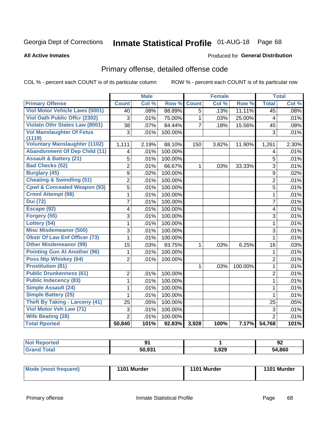# Inmate Statistical Profile 01-AUG-18 Page 68

#### **All Active Inmates**

#### **Produced for General Distribution**

## Primary offense, detailed offense code

COL % - percent each COUNT is of its particular column

|                                            |                | <b>Male</b> |              |                | <b>Female</b> |         |                | <b>Total</b> |
|--------------------------------------------|----------------|-------------|--------------|----------------|---------------|---------|----------------|--------------|
| <b>Primary Offense</b>                     | <b>Count</b>   | Col %       | Row %        | <b>Count</b>   | Col %         | Row %   | <b>Total</b>   | Col %        |
| <b>Viol Motor Vehicle Laws (5001)</b>      | 40             | .08%        | 88.89%       | 5              | .13%          | 11.11%  | 45             | .08%         |
| Viol Oath Public Offer (2302)              | 3              | .01%        | 75.00%       | $\mathbf{1}$   | .03%          | 25.00%  | 4              | .01%         |
| <b>Violatn Othr States Law (8001)</b>      | 38             | .07%        | 84.44%       | $\overline{7}$ | .18%          | 15.56%  | 45             | .08%         |
| <b>Vol Manslaughter Of Fetus</b><br>(1119) | 3              | .01%        | 100.00%      |                |               |         | 3              | .01%         |
| <b>Voluntary Manslaughter (1102)</b>       | 1,111          | 2.19%       | 88.10%       | 150            | 3.82%         | 11.90%  | 1,261          | 2.30%        |
| <b>Abandonment Of Dep Child (11)</b>       | 4              | .01%        | 100.00%      |                |               |         | 4              | .01%         |
| <b>Assault &amp; Battery (21)</b>          | 5              | .01%        | 100.00%      |                |               |         | 5              | .01%         |
| <b>Bad Checks (52)</b>                     | $\overline{2}$ | .01%        | 66.67%       | 1              | .03%          | 33.33%  | 3              | .01%         |
| <b>Burglary (45)</b>                       | 9              | .02%        | 100.00%      |                |               |         | 9              | .02%         |
| <b>Cheating &amp; Swindling (51)</b>       | $\overline{2}$ | .01%        | 100.00%      |                |               |         | 2              | .01%         |
| <b>Cpwl &amp; Concealed Weapon (93)</b>    | $\overline{5}$ | .01%        | 100.00%      |                |               |         | $\overline{5}$ | .01%         |
| <b>Crmnl Attempt (98)</b>                  | $\mathbf{1}$   | .01%        | 100.00%      |                |               |         | $\mathbf{1}$   | .01%         |
| <b>Dui</b> (72)                            | 7              | .01%        | 100.00%      |                |               |         | $\overline{7}$ | .01%         |
| Escape (92)                                | 4              | .01%        | 100.00%      |                |               |         | 4              | .01%         |
| Forgery (55)                               | 3              | .01%        | 100.00%      |                |               |         | $\mathsf 3$    | .01%         |
| Lottery (54)                               | $\mathbf{1}$   | .01%        | 100.00%      |                |               |         | $\mathbf{1}$   | .01%         |
| <b>Misc Misdemeanor (500)</b>              | 3              | .01%        | 100.00%      |                |               |         | 3              | .01%         |
| <b>Obstr Of Law Enf Officer (73)</b>       | 1              | .01%        | 100.00%      |                |               |         | 1              | .01%         |
| <b>Other Misdemeanor (99)</b>              | 15             | .03%        | 93.75%       | 1              | .03%          | 6.25%   | 16             | .03%         |
| <b>Pointing Gun At Another (96)</b>        | 1              | .01%        | 100.00%      |                |               |         | $\mathbf{1}$   | .01%         |
| Poss Ntp Whiskey (64)                      | $\overline{2}$ | .01%        | 100.00%      |                |               |         | $\overline{2}$ | .01%         |
| <b>Prostitution (81)</b>                   |                |             |              | 1              | .03%          | 100.00% | $\mathbf{1}$   | .01%         |
| <b>Public Drunkenness (61)</b>             | $\overline{2}$ | .01%        | 100.00%      |                |               |         | $\overline{2}$ | .01%         |
| <b>Public Indecency (83)</b>               | $\mathbf{1}$   | .01%        | 100.00%      |                |               |         | $\mathbf{1}$   | .01%         |
| <b>Simple Assault (24)</b>                 | 1              | .01%        | 100.00%      |                |               |         | 1              | .01%         |
| <b>Simple Battery (25)</b>                 | 1              | .01%        | 100.00%      |                |               |         | $\mathbf{1}$   | .01%         |
| <b>Theft By Taking - Larceny (41)</b>      | 25             | .05%        | 100.00%      |                |               |         | 25             | .05%         |
| Viol Motor Veh Law (71)                    | 3              | .01%        | 100.00%      |                |               |         | 3              | .01%         |
| <b>Wife Beating (28)</b>                   | $\overline{2}$ | .01%        | 100.00%      |                |               |         | $\overline{2}$ | .01%         |
| <b>Total Rported</b>                       | 50,840         | 101%        | 92.83% 3,928 |                | 100%          | 7.17%   | 54,768         | 101%         |

| тео | 01<br>        |       | ״ם<br>JZ |
|-----|---------------|-------|----------|
|     | EN 094<br>וור | 3,929 | 54.860   |

| Mode (most frequent) | 1101 Murder | 1101 Murder | 1101 Murder |
|----------------------|-------------|-------------|-------------|
|----------------------|-------------|-------------|-------------|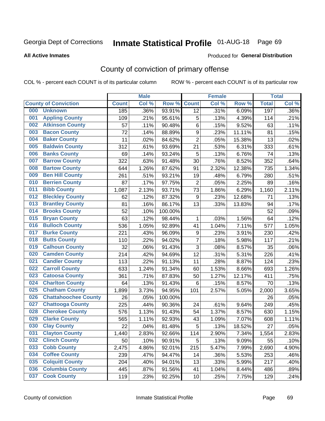## Inmate Statistical Profile 01-AUG-18 Page 69

**All Active Inmates** 

#### Produced for General Distribution

## County of conviction of primary offense

COL % - percent each COUNT is of its particular column

|     |                             |              | <b>Male</b> |         |                  | <b>Female</b> |        |              | <b>Total</b> |
|-----|-----------------------------|--------------|-------------|---------|------------------|---------------|--------|--------------|--------------|
|     | <b>County of Conviction</b> | <b>Count</b> | Col %       | Row %   | <b>Count</b>     | Col %         | Row %  | <b>Total</b> | Col %        |
| 000 | <b>Unknown</b>              | 185          | .36%        | 93.91%  | $\overline{12}$  | .31%          | 6.09%  | 197          | .36%         |
| 001 | <b>Appling County</b>       | 109          | .21%        | 95.61%  | 5                | .13%          | 4.39%  | 114          | .21%         |
| 002 | <b>Atkinson County</b>      | 57           | .11%        | 90.48%  | 6                | .15%          | 9.52%  | 63           | .11%         |
| 003 | <b>Bacon County</b>         | 72           | .14%        | 88.89%  | $\boldsymbol{9}$ | .23%          | 11.11% | 81           | .15%         |
| 004 | <b>Baker County</b>         | 11           | .02%        | 84.62%  | $\overline{2}$   | .05%          | 15.38% | 13           | .02%         |
| 005 | <b>Baldwin County</b>       | 312          | .61%        | 93.69%  | 21               | .53%          | 6.31%  | 333          | .61%         |
| 006 | <b>Banks County</b>         | 69           | .14%        | 93.24%  | 5                | .13%          | 6.76%  | 74           | .13%         |
| 007 | <b>Barrow County</b>        | 322          | .63%        | 91.48%  | 30               | .76%          | 8.52%  | 352          | .64%         |
| 008 | <b>Bartow County</b>        | 644          | 1.26%       | 87.62%  | 91               | 2.32%         | 12.38% | 735          | 1.34%        |
| 009 | <b>Ben Hill County</b>      | 261          | .51%        | 93.21%  | 19               | .48%          | 6.79%  | 280          | .51%         |
| 010 | <b>Berrien County</b>       | 87           | .17%        | 97.75%  | $\overline{2}$   | .05%          | 2.25%  | 89           | .16%         |
| 011 | <b>Bibb County</b>          | 1,087        | 2.13%       | 93.71%  | 73               | 1.86%         | 6.29%  | 1,160        | 2.11%        |
| 012 | <b>Bleckley County</b>      | 62           | .12%        | 87.32%  | $\boldsymbol{9}$ | .23%          | 12.68% | 71           | .13%         |
| 013 | <b>Brantley County</b>      | 81           | .16%        | 86.17%  | 13               | .33%          | 13.83% | 94           | .17%         |
| 014 | <b>Brooks County</b>        | 52           | .10%        | 100.00% |                  |               |        | 52           | .09%         |
| 015 | <b>Bryan County</b>         | 63           | .12%        | 98.44%  | 1                | .03%          | 1.56%  | 64           | .12%         |
| 016 | <b>Bulloch County</b>       | 536          | 1.05%       | 92.89%  | 41               | 1.04%         | 7.11%  | 577          | 1.05%        |
| 017 | <b>Burke County</b>         | 221          | .43%        | 96.09%  | $\boldsymbol{9}$ | .23%          | 3.91%  | 230          | .42%         |
| 018 | <b>Butts County</b>         | 110          | .22%        | 94.02%  | $\overline{7}$   | .18%          | 5.98%  | 117          | .21%         |
| 019 | <b>Calhoun County</b>       | 32           | .06%        | 91.43%  | 3                | .08%          | 8.57%  | 35           | .06%         |
| 020 | <b>Camden County</b>        | 214          | .42%        | 94.69%  | 12               | .31%          | 5.31%  | 226          | .41%         |
| 021 | <b>Candler County</b>       | 113          | .22%        | 91.13%  | 11               | .28%          | 8.87%  | 124          | .23%         |
| 022 | <b>Carroll County</b>       | 633          | 1.24%       | 91.34%  | 60               | 1.53%         | 8.66%  | 693          | 1.26%        |
| 023 | <b>Catoosa County</b>       | 361          | .71%        | 87.83%  | 50               | 1.27%         | 12.17% | 411          | .75%         |
| 024 | <b>Charlton County</b>      | 64           | .13%        | 91.43%  | 6                | .15%          | 8.57%  | 70           | .13%         |
| 025 | <b>Chatham County</b>       | 1,899        | 3.73%       | 94.95%  | 101              | 2.57%         | 5.05%  | 2,000        | 3.65%        |
| 026 | <b>Chattahoochee County</b> | 26           | .05%        | 100.00% |                  |               |        | 26           | .05%         |
| 027 | <b>Chattooga County</b>     | 225          | .44%        | 90.36%  | 24               | .61%          | 9.64%  | 249          | .45%         |
| 028 | <b>Cherokee County</b>      | 576          | 1.13%       | 91.43%  | 54               | 1.37%         | 8.57%  | 630          | 1.15%        |
| 029 | <b>Clarke County</b>        | 565          | 1.11%       | 92.93%  | 43               | 1.09%         | 7.07%  | 608          | 1.11%        |
| 030 | <b>Clay County</b>          | 22           | .04%        | 81.48%  | 5                | .13%          | 18.52% | 27           | .05%         |
| 031 | <b>Clayton County</b>       | 1,440        | 2.83%       | 92.66%  | 114              | 2.90%         | 7.34%  | 1,554        | 2.83%        |
| 032 | <b>Clinch County</b>        | 50           | .10%        | 90.91%  | 5                | .13%          | 9.09%  | 55           | .10%         |
| 033 | <b>Cobb County</b>          | 2,475        | 4.86%       | 92.01%  | 215              | 5.47%         | 7.99%  | 2,690        | 4.90%        |
| 034 | <b>Coffee County</b>        | 239          | .47%        | 94.47%  | 14               | .36%          | 5.53%  | 253          | .46%         |
| 035 | <b>Colquitt County</b>      | 204          | .40%        | 94.01%  | 13               | .33%          | 5.99%  | 217          | .40%         |
| 036 | <b>Columbia County</b>      | 445          | .87%        | 91.56%  | 41               | 1.04%         | 8.44%  | 486          | .89%         |
| 037 | <b>Cook County</b>          | 119          | .23%        | 92.25%  | 10               | .25%          | 7.75%  | 129          | .24%         |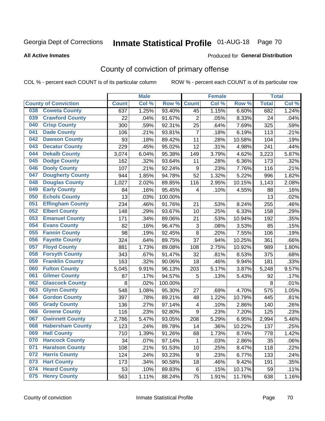# Inmate Statistical Profile 01-AUG-18 Page 70

#### **All Active Inmates**

#### Produced for General Distribution

## County of conviction of primary offense

COL % - percent each COUNT is of its particular column

|                                |              | <b>Male</b> |         |                | <b>Female</b> |        |              | <b>Total</b> |
|--------------------------------|--------------|-------------|---------|----------------|---------------|--------|--------------|--------------|
| <b>County of Conviction</b>    | <b>Count</b> | Col %       | Row %   | <b>Count</b>   | Col %         | Row %  | <b>Total</b> | Col %        |
| <b>Coweta County</b><br>038    | 637          | 1.25%       | 93.40%  | 45             | 1.15%         | 6.60%  | 682          | 1.24%        |
| <b>Crawford County</b><br>039  | 22           | .04%        | 91.67%  | $\overline{2}$ | .05%          | 8.33%  | 24           | .04%         |
| <b>Crisp County</b><br>040     | 300          | .59%        | 92.31%  | 25             | .64%          | 7.69%  | 325          | .59%         |
| <b>Dade County</b><br>041      | 106          | .21%        | 93.81%  | $\overline{7}$ | .18%          | 6.19%  | 113          | .21%         |
| <b>Dawson County</b><br>042    | 93           | .18%        | 89.42%  | 11             | .28%          | 10.58% | 104          | .19%         |
| <b>Decatur County</b><br>043   | 229          | .45%        | 95.02%  | 12             | .31%          | 4.98%  | 241          | .44%         |
| <b>Dekalb County</b><br>044    | 3,074        | 6.04%       | 95.38%  | 149            | 3.79%         | 4.62%  | 3,223        | 5.87%        |
| <b>Dodge County</b><br>045     | 162          | .32%        | 93.64%  | 11             | .28%          | 6.36%  | 173          | .32%         |
| <b>Dooly County</b><br>046     | 107          | .21%        | 92.24%  | 9              | .23%          | 7.76%  | 116          | .21%         |
| <b>Dougherty County</b><br>047 | 944          | 1.85%       | 94.78%  | 52             | 1.32%         | 5.22%  | 996          | 1.82%        |
| <b>Douglas County</b><br>048   | 1,027        | 2.02%       | 89.85%  | 116            | 2.95%         | 10.15% | 1,143        | 2.08%        |
| <b>Early County</b><br>049     | 84           | .16%        | 95.45%  | 4              | .10%          | 4.55%  | 88           | .16%         |
| <b>Echols County</b><br>050    | 13           | .03%        | 100.00% |                |               |        | 13           | .02%         |
| 051<br><b>Effingham County</b> | 234          | .46%        | 91.76%  | 21             | .53%          | 8.24%  | 255          | .46%         |
| <b>Elbert County</b><br>052    | 148          | .29%        | 93.67%  | 10             | .25%          | 6.33%  | 158          | .29%         |
| <b>Emanuel County</b><br>053   | 171          | .34%        | 89.06%  | 21             | .53%          | 10.94% | 192          | .35%         |
| <b>Evans County</b><br>054     | 82           | .16%        | 96.47%  | 3              | .08%          | 3.53%  | 85           | .15%         |
| <b>Fannin County</b><br>055    | 98           | .19%        | 92.45%  | 8              | .20%          | 7.55%  | 106          | .19%         |
| <b>Fayette County</b><br>056   | 324          | .64%        | 89.75%  | 37             | .94%          | 10.25% | 361          | .66%         |
| <b>Floyd County</b><br>057     | 881          | 1.73%       | 89.08%  | 108            | 2.75%         | 10.92% | 989          | 1.80%        |
| <b>Forsyth County</b><br>058   | 343          | .67%        | 91.47%  | 32             | .81%          | 8.53%  | 375          | .68%         |
| <b>Franklin County</b><br>059  | 163          | .32%        | 90.06%  | 18             | .46%          | 9.94%  | 181          | .33%         |
| <b>Fulton County</b><br>060    | 5,045        | 9.91%       | 96.13%  | 203            | 5.17%         | 3.87%  | 5,248        | 9.57%        |
| <b>Gilmer County</b><br>061    | 87           | .17%        | 94.57%  | 5              | .13%          | 5.43%  | 92           | .17%         |
| <b>Glascock County</b><br>062  | 8            | .02%        | 100.00% |                |               |        | 8            | .01%         |
| 063<br><b>Glynn County</b>     | 548          | 1.08%       | 95.30%  | 27             | .69%          | 4.70%  | 575          | 1.05%        |
| <b>Gordon County</b><br>064    | 397          | .78%        | 89.21%  | 48             | 1.22%         | 10.79% | 445          | .81%         |
| 065<br><b>Grady County</b>     | 136          | .27%        | 97.14%  | 4              | .10%          | 2.86%  | 140          | .26%         |
| <b>Greene County</b><br>066    | 116          | .23%        | 92.80%  | 9              | .23%          | 7.20%  | 125          | .23%         |
| <b>Gwinnett County</b><br>067  | 2,786        | 5.47%       | 93.05%  | 208            | 5.29%         | 6.95%  | 2,994        | 5.46%        |
| <b>Habersham County</b><br>068 | 123          | .24%        | 89.78%  | 14             | .36%          | 10.22% | 137          | .25%         |
| 069<br><b>Hall County</b>      | 710          | 1.39%       | 91.26%  | 68             | 1.73%         | 8.74%  | 778          | 1.42%        |
| <b>Hancock County</b><br>070   | 34           | .07%        | 97.14%  | 1              | .03%          | 2.86%  | 35           | .06%         |
| <b>Haralson County</b><br>071  | 108          | .21%        | 91.53%  | 10             | .25%          | 8.47%  | 118          | .22%         |
| <b>Harris County</b><br>072    | 124          | .24%        | 93.23%  | 9              | .23%          | 6.77%  | 133          | .24%         |
| <b>Hart County</b><br>073      | 173          | .34%        | 90.58%  | 18             | .46%          | 9.42%  | 191          | .35%         |
| <b>Heard County</b><br>074     | 53           | .10%        | 89.83%  | 6              | .15%          | 10.17% | 59           | .11%         |
| <b>Henry County</b><br>075     | 563          | 1.11%       | 88.24%  | 75             | 1.91%         | 11.76% | 638          | 1.16%        |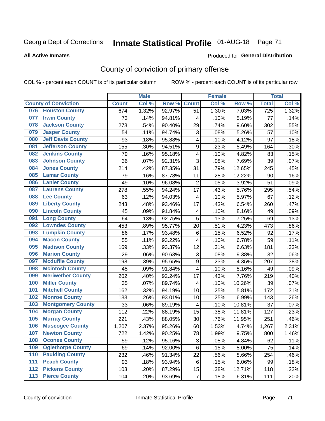# Inmate Statistical Profile 01-AUG-18 Page 71

#### **All Active Inmates**

#### Produced for General Distribution

## County of conviction of primary offense

COL % - percent each COUNT is of its particular column

|       |                             |              | <b>Male</b> |        |                           | <b>Female</b> |        |              | <b>Total</b> |
|-------|-----------------------------|--------------|-------------|--------|---------------------------|---------------|--------|--------------|--------------|
|       | <b>County of Conviction</b> | <b>Count</b> | Col %       | Row %  | <b>Count</b>              | Col %         | Row %  | <b>Total</b> | Col %        |
| 076   | <b>Houston County</b>       | 674          | 1.32%       | 92.97% | 51                        | 1.30%         | 7.03%  | 725          | 1.32%        |
| 077   | <b>Irwin County</b>         | 73           | .14%        | 94.81% | 4                         | .10%          | 5.19%  | 77           | .14%         |
| 078   | <b>Jackson County</b>       | 273          | .54%        | 90.40% | 29                        | .74%          | 9.60%  | 302          | .55%         |
| 079   | <b>Jasper County</b>        | 54           | .11%        | 94.74% | $\ensuremath{\mathsf{3}}$ | .08%          | 5.26%  | 57           | .10%         |
| 080   | <b>Jeff Davis County</b>    | 93           | .18%        | 95.88% | 4                         | .10%          | 4.12%  | 97           | .18%         |
| 081   | <b>Jefferson County</b>     | 155          | .30%        | 94.51% | 9                         | .23%          | 5.49%  | 164          | .30%         |
| 082   | <b>Jenkins County</b>       | 79           | .16%        | 95.18% | 4                         | .10%          | 4.82%  | 83           | .15%         |
| 083   | <b>Johnson County</b>       | 36           | .07%        | 92.31% | 3                         | .08%          | 7.69%  | 39           | .07%         |
| 084   | <b>Jones County</b>         | 214          | .42%        | 87.35% | 31                        | .79%          | 12.65% | 245          | .45%         |
| 085   | <b>Lamar County</b>         | 79           | .16%        | 87.78% | 11                        | .28%          | 12.22% | 90           | .16%         |
| 086   | <b>Lanier County</b>        | 49           | .10%        | 96.08% | $\mathbf 2$               | .05%          | 3.92%  | 51           | .09%         |
| 087   | <b>Laurens County</b>       | 278          | .55%        | 94.24% | 17                        | .43%          | 5.76%  | 295          | .54%         |
| 088   | <b>Lee County</b>           | 63           | .12%        | 94.03% | 4                         | .10%          | 5.97%  | 67           | .12%         |
| 089   | <b>Liberty County</b>       | 243          | .48%        | 93.46% | 17                        | .43%          | 6.54%  | 260          | .47%         |
| 090   | <b>Lincoln County</b>       | 45           | .09%        | 91.84% | $\overline{\mathbf{4}}$   | .10%          | 8.16%  | 49           | .09%         |
| 091   | <b>Long County</b>          | 64           | .13%        | 92.75% | 5                         | .13%          | 7.25%  | 69           | .13%         |
| 092   | <b>Lowndes County</b>       | 453          | .89%        | 95.77% | 20                        | .51%          | 4.23%  | 473          | .86%         |
| 093   | <b>Lumpkin County</b>       | 86           | .17%        | 93.48% | 6                         | .15%          | 6.52%  | 92           | .17%         |
| 094   | <b>Macon County</b>         | 55           | .11%        | 93.22% | 4                         | .10%          | 6.78%  | 59           | .11%         |
| 095   | <b>Madison County</b>       | 169          | .33%        | 93.37% | 12                        | .31%          | 6.63%  | 181          | .33%         |
| 096   | <b>Marion County</b>        | 29           | .06%        | 90.63% | 3                         | .08%          | 9.38%  | 32           | .06%         |
| 097   | <b>Mcduffie County</b>      | 198          | .39%        | 95.65% | 9                         | .23%          | 4.35%  | 207          | .38%         |
| 098   | <b>Mcintosh County</b>      | 45           | .09%        | 91.84% | 4                         | .10%          | 8.16%  | 49           | .09%         |
| 099   | <b>Meriwether County</b>    | 202          | .40%        | 92.24% | 17                        | .43%          | 7.76%  | 219          | .40%         |
| 100   | <b>Miller County</b>        | 35           | .07%        | 89.74% | 4                         | .10%          | 10.26% | 39           | .07%         |
| 101   | <b>Mitchell County</b>      | 162          | .32%        | 94.19% | 10                        | .25%          | 5.81%  | 172          | .31%         |
| 102   | <b>Monroe County</b>        | 133          | .26%        | 93.01% | 10                        | .25%          | 6.99%  | 143          | .26%         |
| 103   | <b>Montgomery County</b>    | 33           | .06%        | 89.19% | $\overline{\mathbf{4}}$   | .10%          | 10.81% | 37           | .07%         |
| 104   | <b>Morgan County</b>        | 112          | .22%        | 88.19% | 15                        | .38%          | 11.81% | 127          | .23%         |
| 105   | <b>Murray County</b>        | 221          | .43%        | 88.05% | 30                        | .76%          | 11.95% | 251          | .46%         |
| 106   | <b>Muscogee County</b>      | 1,207        | 2.37%       | 95.26% | 60                        | 1.53%         | 4.74%  | 1,267        | 2.31%        |
| 107   | <b>Newton County</b>        | 722          | 1.42%       | 90.25% | 78                        | 1.99%         | 9.75%  | 800          | 1.46%        |
| 108   | <b>Oconee County</b>        | 59           | .12%        | 95.16% | 3                         | .08%          | 4.84%  | 62           | .11%         |
| 109   | <b>Oglethorpe County</b>    | 69           | .14%        | 92.00% | 6                         | .15%          | 8.00%  | 75           | .14%         |
| 110   | <b>Paulding County</b>      | 232          | .46%        | 91.34% | 22                        | .56%          | 8.66%  | 254          | .46%         |
| 111   | <b>Peach County</b>         | 93           | .18%        | 93.94% | 6                         | .15%          | 6.06%  | 99           | .18%         |
| 112   | <b>Pickens County</b>       | 103          | .20%        | 87.29% | 15                        | .38%          | 12.71% | 118          | .22%         |
| $113$ | <b>Pierce County</b>        | 104          | .20%        | 93.69% | $\overline{7}$            | .18%          | 6.31%  | 111          | .20%         |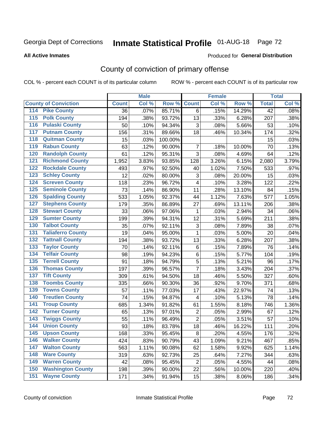# Inmate Statistical Profile 01-AUG-18 Page 72

#### **All Active Inmates**

#### Produced for General Distribution

## County of conviction of primary offense

COL % - percent each COUNT is of its particular column

|                                          |              | <b>Male</b> |         |                          | <b>Female</b> |        |                 | <b>Total</b> |
|------------------------------------------|--------------|-------------|---------|--------------------------|---------------|--------|-----------------|--------------|
| <b>County of Conviction</b>              | <b>Count</b> | Col %       | Row %   | <b>Count</b>             | Col %         | Row %  | <b>Total</b>    | Col %        |
| 114 Pike County                          | 36           | .07%        | 85.71%  | 6                        | .15%          | 14.29% | $\overline{42}$ | .08%         |
| <b>Polk County</b><br>$\overline{115}$   | 194          | .38%        | 93.72%  | 13                       | .33%          | 6.28%  | 207             | .38%         |
| <b>Pulaski County</b><br>116             | 50           | .10%        | 94.34%  | 3                        | .08%          | 5.66%  | 53              | .10%         |
| 117<br><b>Putnam County</b>              | 156          | .31%        | 89.66%  | 18                       | .46%          | 10.34% | 174             | .32%         |
| <b>Quitman County</b><br>118             | 15           | .03%        | 100.00% |                          |               |        | 15              | .03%         |
| <b>Rabun County</b><br>119               | 63           | .12%        | 90.00%  | $\overline{7}$           | .18%          | 10.00% | 70              | .13%         |
| <b>Randolph County</b><br>120            | 61           | .12%        | 95.31%  | 3                        | .08%          | 4.69%  | 64              | .12%         |
| <b>Richmond County</b><br>121            | 1,952        | 3.83%       | 93.85%  | 128                      | 3.26%         | 6.15%  | 2,080           | 3.79%        |
| <b>Rockdale County</b><br>122            | 493          | .97%        | 92.50%  | 40                       | 1.02%         | 7.50%  | 533             | .97%         |
| <b>Schley County</b><br>123              | 12           | .02%        | 80.00%  | 3                        | .08%          | 20.00% | 15              | .03%         |
| <b>Screven County</b><br>124             | 118          | .23%        | 96.72%  | 4                        | .10%          | 3.28%  | 122             | .22%         |
| <b>Seminole County</b><br>125            | 73           | .14%        | 86.90%  | 11                       | .28%          | 13.10% | 84              | .15%         |
| <b>Spalding County</b><br>126            | 533          | 1.05%       | 92.37%  | 44                       | 1.12%         | 7.63%  | 577             | 1.05%        |
| <b>Stephens County</b><br>127            | 179          | .35%        | 86.89%  | 27                       | .69%          | 13.11% | 206             | .38%         |
| <b>Stewart County</b><br>128             | 33           | .06%        | 97.06%  | $\mathbf{1}$             | .03%          | 2.94%  | 34              | .06%         |
| <b>Sumter County</b><br>129              | 199          | .39%        | 94.31%  | 12                       | .31%          | 5.69%  | 211             | .38%         |
| <b>Talbot County</b><br>130              | 35           | .07%        | 92.11%  | 3                        | .08%          | 7.89%  | 38              | .07%         |
| <b>Taliaferro County</b><br>131          | 19           | .04%        | 95.00%  | $\mathbf{1}$             | .03%          | 5.00%  | 20              | .04%         |
| <b>Tattnall County</b><br>132            | 194          | .38%        | 93.72%  | 13                       | .33%          | 6.28%  | 207             | .38%         |
| <b>Taylor County</b><br>133              | 70           | .14%        | 92.11%  | $\,6$                    | .15%          | 7.89%  | 76              | .14%         |
| <b>Telfair County</b><br>134             | 98           | .19%        | 94.23%  | $\,6$                    | .15%          | 5.77%  | 104             | .19%         |
| <b>Terrell County</b><br>135             | 91           | .18%        | 94.79%  | 5                        | .13%          | 5.21%  | 96              | .17%         |
| <b>Thomas County</b><br>136              | 197          | .39%        | 96.57%  | $\overline{7}$           | .18%          | 3.43%  | 204             | .37%         |
| <b>Tift County</b><br>137                | 309          | .61%        | 94.50%  | 18                       | .46%          | 5.50%  | 327             | .60%         |
| <b>Toombs County</b><br>138              | 335          | .66%        | 90.30%  | 36                       | .92%          | 9.70%  | 371             | .68%         |
| <b>Towns County</b><br>139               | 57           | .11%        | 77.03%  | 17                       | .43%          | 22.97% | 74              | .13%         |
| <b>Treutlen County</b><br>140            | 74           | .15%        | 94.87%  | $\overline{\mathcal{A}}$ | .10%          | 5.13%  | 78              | .14%         |
| <b>Troup County</b><br>141               | 685          | 1.34%       | 91.82%  | 61                       | 1.55%         | 8.18%  | 746             | 1.36%        |
| <b>Turner County</b><br>142              | 65           | .13%        | 97.01%  | $\overline{2}$           | .05%          | 2.99%  | 67              | .12%         |
| <b>Twiggs County</b><br>$\overline{143}$ | 55           | .11%        | 96.49%  | $\overline{2}$           | .05%          | 3.51%  | 57              | .10%         |
| <b>Union County</b><br>144               | 93           | .18%        | 83.78%  | 18                       | .46%          | 16.22% | 111             | .20%         |
| 145<br><b>Upson County</b>               | 168          | .33%        | 95.45%  | 8                        | .20%          | 4.55%  | 176             | .32%         |
| <b>Walker County</b><br>146              | 424          | .83%        | 90.79%  | 43                       | 1.09%         | 9.21%  | 467             | .85%         |
| <b>Walton County</b><br>147              | 563          | 1.11%       | 90.08%  | 62                       | 1.58%         | 9.92%  | 625             | 1.14%        |
| <b>Ware County</b><br>148                | 319          | .63%        | 92.73%  | 25                       | .64%          | 7.27%  | 344             | .63%         |
| <b>Warren County</b><br>149              | 42           | .08%        | 95.45%  | $\overline{2}$           | .05%          | 4.55%  | 44              | .08%         |
| <b>Washington County</b><br>150          | 198          | .39%        | 90.00%  | 22                       | .56%          | 10.00% | 220             | .40%         |
| <b>Wayne County</b><br>151               | 171          | .34%        | 91.94%  | 15                       | .38%          | 8.06%  | 186             | .34%         |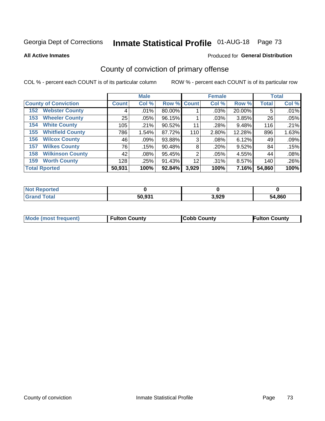# Inmate Statistical Profile 01-AUG-18 Page 73

**All Active Inmates** 

#### Produced for General Distribution

## County of conviction of primary offense

COL % - percent each COUNT is of its particular column

|                                |              | <b>Male</b> |             |       | <b>Female</b> |        |              | <b>Total</b> |
|--------------------------------|--------------|-------------|-------------|-------|---------------|--------|--------------|--------------|
| <b>County of Conviction</b>    | <b>Count</b> | Col %       | Row % Count |       | Col %         | Row %  | <b>Total</b> | Col %        |
| <b>Webster County</b><br>152   | 4            | $.01\%$     | 80.00%      |       | .03%          | 20.00% | 5            | .01%         |
| <b>Wheeler County</b><br>153   | 25           | .05%        | 96.15%      |       | .03%          | 3.85%  | 26           | .05%         |
| <b>White County</b><br>154     | 105          | .21%        | 90.52%      | 11    | .28%          | 9.48%  | 116          | .21%         |
| <b>Whitfield County</b><br>155 | 786          | 1.54%       | 87.72%      | 110   | 2.80%         | 12.28% | 896          | 1.63%        |
| <b>Wilcox County</b><br>156    | 46           | $.09\%$     | 93.88%      | 3     | .08%          | 6.12%  | 49           | .09%         |
| <b>Wilkes County</b><br>157    | 76           | .15%        | 90.48%      | 8     | .20%          | 9.52%  | 84           | .15%         |
| <b>Wilkinson County</b><br>158 | 42           | $.08\%$     | 95.45%      | 2     | .05%          | 4.55%  | 44           | .08%         |
| <b>Worth County</b><br>159     | 128          | .25%        | 91.43%      | 12    | .31%          | 8.57%  | 140          | .26%         |
| <b>Total Rported</b>           | 50,931       | 100%        | 92.84%      | 3,929 | 100%          | 7.16%  | 54,860       | 100%         |

| <b>Not Reported</b> |        |       |        |
|---------------------|--------|-------|--------|
| $\tau$ otar         | 50,931 | 3,929 | 54,860 |

| <b>Mode (most frequent)</b> | <b>Fulton County</b> | <b>ICobb County</b> | <b>Fulton County</b> |
|-----------------------------|----------------------|---------------------|----------------------|
|                             |                      |                     |                      |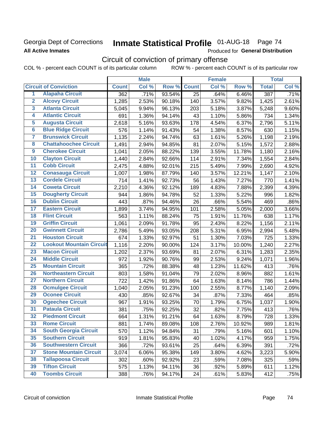### Georgia Dept of Corrections **All Active Inmates**

# Inmate Statistical Profile 01-AUG-18 Page 74

Produced for General Distribution

## Circuit of conviction of primary offense

COL % - percent each COUNT is of its particular column ROW % - percent each COUNT is of its particular row

|                         |                                 | <b>Male</b>  |       | <b>Female</b> |                 |       | <b>Total</b> |              |       |
|-------------------------|---------------------------------|--------------|-------|---------------|-----------------|-------|--------------|--------------|-------|
|                         | <b>Circuit of Conviction</b>    | <b>Count</b> | Col % | Row %         | <b>Count</b>    | Col % | Row %        | <b>Total</b> | Col % |
| $\overline{1}$          | <b>Alapaha Circuit</b>          | 362          | .71%  | 93.54%        | $\overline{25}$ | .64%  | 6.46%        | 387          | .71%  |
| $\overline{2}$          | <b>Alcovy Circuit</b>           | 1,285        | 2.53% | 90.18%        | 140             | 3.57% | 9.82%        | 1,425        | 2.61% |
| $\overline{\mathbf{3}}$ | <b>Atlanta Circuit</b>          | 5,045        | 9.94% | 96.13%        | 203             | 5.18% | 3.87%        | 5,248        | 9.60% |
| 4                       | <b>Atlantic Circuit</b>         | 691          | 1.36% | 94.14%        | 43              | 1.10% | 5.86%        | 734          | 1.34% |
| 5                       | <b>Augusta Circuit</b>          | 2,618        | 5.16% | 93.63%        | 178             | 4.54% | 6.37%        | 2,796        | 5.11% |
| $6\phantom{a}$          | <b>Blue Ridge Circuit</b>       | 576          | 1.14% | 91.43%        | 54              | 1.38% | 8.57%        | 630          | 1.15% |
| 7                       | <b>Brunswick Circuit</b>        | 1,135        | 2.24% | 94.74%        | 63              | 1.61% | 5.26%        | 1,198        | 2.19% |
| 8                       | <b>Chattahoochee Circuit</b>    | 1,491        | 2.94% | 94.85%        | 81              | 2.07% | 5.15%        | 1,572        | 2.88% |
| $\overline{9}$          | <b>Cherokee Circuit</b>         | 1,041        | 2.05% | 88.22%        | 139             | 3.55% | 11.78%       | 1,180        | 2.16% |
| 10                      | <b>Clayton Circuit</b>          | 1,440        | 2.84% | 92.66%        | 114             | 2.91% | 7.34%        | 1,554        | 2.84% |
| 11                      | <b>Cobb Circuit</b>             | 2,475        | 4.88% | 92.01%        | 215             | 5.49% | 7.99%        | 2,690        | 4.92% |
| 12                      | <b>Conasauga Circuit</b>        | 1,007        | 1.98% | 87.79%        | 140             | 3.57% | 12.21%       | 1,147        | 2.10% |
| 13                      | <b>Cordele Circuit</b>          | 714          | 1.41% | 92.73%        | 56              | 1.43% | 7.27%        | 770          | 1.41% |
| 14                      | <b>Coweta Circuit</b>           | 2,210        | 4.36% | 92.12%        | 189             | 4.83% | 7.88%        | 2,399        | 4.39% |
| 15                      | <b>Dougherty Circuit</b>        | 944          | 1.86% | 94.78%        | 52              | 1.33% | 5.22%        | 996          | 1.82% |
| 16                      | <b>Dublin Circuit</b>           | 443          | .87%  | 94.46%        | 26              | .66%  | 5.54%        | 469          | .86%  |
| 17                      | <b>Eastern Circuit</b>          | 1,899        | 3.74% | 94.95%        | 101             | 2.58% | 5.05%        | 2,000        | 3.66% |
| 18                      | <b>Flint Circuit</b>            | 563          | 1.11% | 88.24%        | 75              | 1.91% | 11.76%       | 638          | 1.17% |
| 19                      | <b>Griffin Circuit</b>          | 1,061        | 2.09% | 91.78%        | 95              | 2.43% | 8.22%        | 1,156        | 2.11% |
| 20                      | <b>Gwinnett Circuit</b>         | 2,786        | 5.49% | 93.05%        | 208             | 5.31% | 6.95%        | 2,994        | 5.48% |
| $\overline{21}$         | <b>Houston Circuit</b>          | 674          | 1.33% | 92.97%        | 51              | 1.30% | 7.03%        | 725          | 1.33% |
| $\overline{22}$         | <b>Lookout Mountain Circuit</b> | 1,116        | 2.20% | 90.00%        | 124             | 3.17% | 10.00%       | 1,240        | 2.27% |
| 23                      | <b>Macon Circuit</b>            | 1,202        | 2.37% | 93.69%        | 81              | 2.07% | 6.31%        | 1,283        | 2.35% |
| $\overline{24}$         | <b>Middle Circuit</b>           | 972          | 1.92% | 90.76%        | 99              | 2.53% | 9.24%        | 1,071        | 1.96% |
| 25                      | <b>Mountain Circuit</b>         | 365          | .72%  | 88.38%        | 48              | 1.23% | 11.62%       | 413          | .76%  |
| 26                      | <b>Northeastern Circuit</b>     | 803          | 1.58% | 91.04%        | 79              | 2.02% | 8.96%        | 882          | 1.61% |
| $\overline{27}$         | <b>Northern Circuit</b>         | 722          | 1.42% | 91.86%        | 64              | 1.63% | 8.14%        | 786          | 1.44% |
| 28                      | <b>Ocmulgee Circuit</b>         | 1,040        | 2.05% | 91.23%        | 100             | 2.55% | 8.77%        | 1,140        | 2.09% |
| 29                      | <b>Oconee Circuit</b>           | 430          | .85%  | 92.67%        | 34              | .87%  | 7.33%        | 464          | .85%  |
| 30                      | <b>Ogeechee Circuit</b>         | 967          | 1.91% | 93.25%        | 70              | 1.79% | 6.75%        | 1,037        | 1.90% |
| $\overline{31}$         | <b>Pataula Circuit</b>          | 381          | .75%  | 92.25%        | 32              | .82%  | 7.75%        | 413          | .76%  |
| 32                      | <b>Piedmont Circuit</b>         | 664          | 1.31% | 91.21%        | 64              | 1.63% | 8.79%        | 728          | 1.33% |
| 33                      | <b>Rome Circuit</b>             | 881          | 1.74% | 89.08%        | 108             | 2.76% | 10.92%       | 989          | 1.81% |
| 34                      | <b>South Georgia Circuit</b>    | 570          | 1.12% | 94.84%        | 31              | .79%  | 5.16%        | 601          | 1.10% |
| 35                      | <b>Southern Circuit</b>         | 919          | 1.81% | 95.83%        | 40              | 1.02% | 4.17%        | 959          | 1.75% |
| 36                      | <b>Southwestern Circuit</b>     | 366          | .72%  | 93.61%        | 25              | .64%  | 6.39%        | 391          | .72%  |
| 37                      | <b>Stone Mountain Circuit</b>   | 3,074        | 6.06% | 95.38%        | 149             | 3.80% | 4.62%        | 3,223        | 5.90% |
| 38                      | <b>Tallapoosa Circuit</b>       | 302          | .60%  | 92.92%        | 23              | .59%  | 7.08%        | 325          | .59%  |
| 39                      | <b>Tifton Circuit</b>           | 575          | 1.13% | 94.11%        | 36              | .92%  | 5.89%        | 611          | 1.12% |
| 40                      | <b>Toombs Circuit</b>           | 388          | .76%  | 94.17%        | 24              | .61%  | 5.83%        | 412          | .75%  |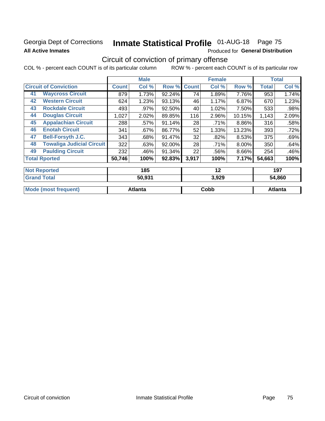### Georgia Dept of Corrections **All Active Inmates**

# Inmate Statistical Profile 01-AUG-18 Page 75

Produced for General Distribution

## Circuit of conviction of primary offense

COL % - percent each COUNT is of its particular column ROW % - percent each COUNT is of its particular row

|    |                                  |              | <b>Male</b> |        |              | <b>Female</b> |        |              | <b>Total</b> |
|----|----------------------------------|--------------|-------------|--------|--------------|---------------|--------|--------------|--------------|
|    | <b>Circuit of Conviction</b>     | <b>Count</b> | Col %       | Row %  | <b>Count</b> | Col %         | Row %  | <b>Total</b> | Col %        |
| 41 | <b>Waycross Circuit</b>          | 879          | 1.73%       | 92.24% | 74           | 1.89%         | 7.76%  | 953          | 1.74%        |
| 42 | <b>Western Circuit</b>           | 624          | 1.23%       | 93.13% | 46           | 1.17%         | 6.87%  | 670          | 1.23%        |
| 43 | <b>Rockdale Circuit</b>          | 493          | .97%        | 92.50% | 40           | 1.02%         | 7.50%  | 533          | .98%         |
| 44 | <b>Douglas Circuit</b>           | 1,027        | 2.02%       | 89.85% | 116          | 2.96%         | 10.15% | 1,143        | 2.09%        |
| 45 | <b>Appalachian Circuit</b>       | 288          | $.57\%$     | 91.14% | 28           | .71%          | 8.86%  | 316          | .58%         |
| 46 | <b>Enotah Circuit</b>            | 341          | $.67\%$     | 86.77% | 52           | 1.33%         | 13.23% | 393          | .72%         |
| 47 | <b>Bell-Forsyth J.C.</b>         | 343          | .68%        | 91.47% | 32           | .82%          | 8.53%  | 375          | .69%         |
| 48 | <b>Towaliga Judicial Circuit</b> | 322          | .63%        | 92.00% | 28           | .71%          | 8.00%  | 350          | .64%         |
| 49 | <b>Paulding Circuit</b>          | 232          | .46%        | 91.34% | 22           | .56%          | 8.66%  | 254          | .46%         |
|    | <b>Total Rported</b>             | 50,746       | 100%        | 92.83% | 3,917        | 100%          | 7.17%  | 54,663       | 100%         |
|    | <b>Not Reported</b>              |              | 185         |        |              | 12            |        |              | 197          |
|    | <b>Grand Total</b>               |              | 50.931      |        |              | 3.929         |        |              | 54.860       |

| $-1$                                  | - - - - - - | . a za<br>--<br>J.JZJ | .860    |
|---------------------------------------|-------------|-----------------------|---------|
| $\blacksquare$ Mode<br><b>auent</b> ) | Atlanta     | Copp                  | Atlanta |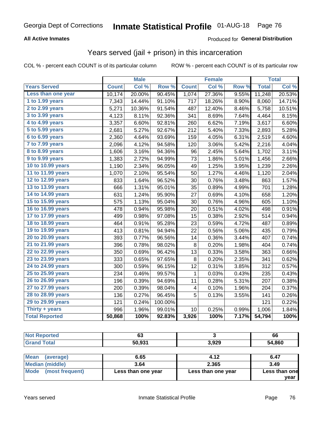#### **All Active Inmates**

#### Produced for **General Distribution**

### Years served (jail + prison) in this incarceration

|                        |              | <b>Male</b> |         |              | <b>Female</b>       |       |              | <b>Total</b> |
|------------------------|--------------|-------------|---------|--------------|---------------------|-------|--------------|--------------|
| <b>Years Served</b>    | <b>Count</b> | Col %       | Row %   | <b>Count</b> | Col %               | Row % | <b>Total</b> | Col %        |
| Less than one year     | 10,174       | 20.00%      | 90.45%  | 1,074        | 27.36%              | 9.55% | 11,248       | 20.53%       |
| 1 to 1.99 years        | 7,343        | 14.44%      | 91.10%  | 717          | 18.26%              | 8.90% | 8,060        | 14.71%       |
| 2 to 2.99 years        | 5,271        | 10.36%      | 91.54%  | 487          | 12.40%              | 8.46% | 5,758        | 10.51%       |
| 3 to 3.99 years        | 4,123        | 8.11%       | 92.36%  | 341          | 8.69%               | 7.64% | 4,464        | 8.15%        |
| 4 to 4.99 years        | 3,357        | 6.60%       | 92.81%  | 260          | 6.62%               | 7.19% | 3,617        | 6.60%        |
| 5 to 5.99 years        | 2,681        | 5.27%       | 92.67%  | 212          | 5.40%               | 7.33% | 2,893        | 5.28%        |
| 6 to 6.99 years        | 2,360        | 4.64%       | 93.69%  | 159          | 4.05%               | 6.31% | 2,519        | 4.60%        |
| 7 to 7.99 years        | 2,096        | 4.12%       | 94.58%  | 120          | 3.06%               | 5.42% | 2,216        | 4.04%        |
| <b>8 to 8.99 years</b> | 1,606        | 3.16%       | 94.36%  | 96           | 2.45%               | 5.64% | 1,702        | 3.11%        |
| 9 to 9.99 years        | 1,383        | 2.72%       | 94.99%  | 73           | 1.86%               | 5.01% | 1,456        | 2.66%        |
| 10 to 10.99 years      | 1,190        | 2.34%       | 96.05%  | 49           | 1.25%               | 3.95% | 1,239        | 2.26%        |
| 11 to 11.99 years      | 1,070        | 2.10%       | 95.54%  | 50           | $\overline{1.27\%}$ | 4.46% | 1,120        | 2.04%        |
| 12 to 12.99 years      | 833          | 1.64%       | 96.52%  | 30           | 0.76%               | 3.48% | 863          | 1.57%        |
| 13 to 13.99 years      | 666          | 1.31%       | 95.01%  | 35           | 0.89%               | 4.99% | 701          | 1.28%        |
| 14 to 14.99 years      | 631          | 1.24%       | 95.90%  | 27           | 0.69%               | 4.10% | 658          | 1.20%        |
| 15 to 15.99 years      | 575          | 1.13%       | 95.04%  | 30           | 0.76%               | 4.96% | 605          | 1.10%        |
| 16 to 16.99 years      | 478          | 0.94%       | 95.98%  | 20           | 0.51%               | 4.02% | 498          | 0.91%        |
| 17 to 17.99 years      | 499          | 0.98%       | 97.08%  | 15           | 0.38%               | 2.92% | 514          | 0.94%        |
| 18 to 18.99 years      | 464          | 0.91%       | 95.28%  | 23           | 0.59%               | 4.72% | 487          | 0.89%        |
| 19 to 19.99 years      | 413          | 0.81%       | 94.94%  | 22           | 0.56%               | 5.06% | 435          | 0.79%        |
| 20 to 20.99 years      | 393          | 0.77%       | 96.56%  | 14           | 0.36%               | 3.44% | 407          | 0.74%        |
| 21 to 21.99 years      | 396          | 0.78%       | 98.02%  | 8            | 0.20%               | 1.98% | 404          | 0.74%        |
| 22 to 22.99 years      | 350          | 0.69%       | 96.42%  | 13           | 0.33%               | 3.58% | 363          | 0.66%        |
| 23 to 23.99 years      | 333          | 0.65%       | 97.65%  | 8            | 0.20%               | 2.35% | 341          | 0.62%        |
| 24 to 24.99 years      | 300          | 0.59%       | 96.15%  | 12           | 0.31%               | 3.85% | 312          | 0.57%        |
| 25 to 25.99 years      | 234          | 0.46%       | 99.57%  | 1            | 0.03%               | 0.43% | 235          | 0.43%        |
| 26 to 26.99 years      | 196          | 0.39%       | 94.69%  | 11           | 0.28%               | 5.31% | 207          | 0.38%        |
| 27 to 27.99 years      | 200          | 0.39%       | 98.04%  | 4            | 0.10%               | 1.96% | 204          | 0.37%        |
| 28 to 28.99 years      | 136          | 0.27%       | 96.45%  | 5            | 0.13%               | 3.55% | 141          | 0.26%        |
| 29 to 29.99 years      | 121          | 0.24%       | 100.00% |              |                     |       | 121          | 0.22%        |
| Thirty + years         | 996          | 1.96%       | 99.01%  | 10           | 0.25%               | 0.99% | 1,006        | 1.84%        |
| <b>Total Reported</b>  | 50,868       | 100%        | 92.83%  | 3,926        | 100%                | 7.17% | 54,794       | 100%         |

| --<br>vJ |     | 66    |
|----------|-----|-------|
| EN NOA   | 000 | 4,860 |

| ∣Mean<br>(average)   | 6.65               | 4.12               | 6.47          |
|----------------------|--------------------|--------------------|---------------|
| Median (middle)      | 3.64               | 2.365              | 3.49          |
| Mode (most frequent) | Less than one year | Less than one year | Less than one |
|                      |                    |                    | vear          |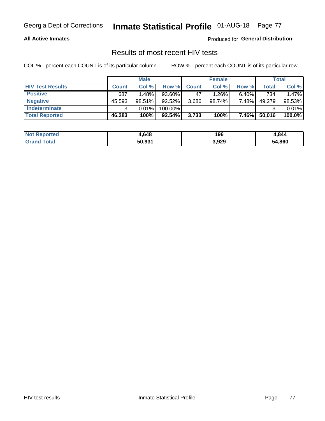#### **All Active Inmates**

Produced for **General Distribution**

### Results of most recent HIV tests

|                         | <b>Male</b>  |        |           | <b>Female</b> |        |          | Total  |        |
|-------------------------|--------------|--------|-----------|---------------|--------|----------|--------|--------|
| <b>HIV Test Results</b> | <b>Count</b> | Col%   | Row %I    | <b>Count</b>  | Col %  | Row %    | Total  | Col %  |
| <b>Positive</b>         | 687          | 1.48%  | 93.60%    | 47            | 1.26%  | $6.40\%$ | 734    | 1.47%  |
| <b>Negative</b>         | 45,593       | 98.51% | 92.52%    | 3,686         | 98.74% | 7.48%    | 49,279 | 98.53% |
| Indeterminate           | າ            | 0.01%  | 100.00%   |               |        |          |        | 0.01%  |
| <b>Total Reported</b>   | 46,283       | 100%   | $92.54\%$ | 3,733         | 100%   | $7.46\%$ | 50,016 | 100.0% |

| <b>Not Reported</b> | 4,648  | 196   | 4,844  |
|---------------------|--------|-------|--------|
| <b>Grand Total</b>  | 50,931 | 3,929 | 54,860 |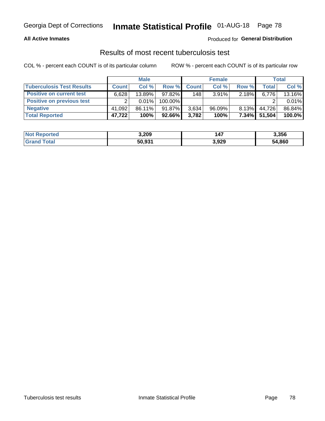#### **All Active Inmates**

#### Produced for **General Distribution**

### Results of most recent tuberculosis test

|                                  | <b>Male</b>  |           |         | <b>Female</b> |           |          | Total        |        |
|----------------------------------|--------------|-----------|---------|---------------|-----------|----------|--------------|--------|
| <b>Tuberculosis Test Results</b> | <b>Count</b> | Col%      | Row %   | <b>Count</b>  | Col %     | Row %    | <b>Total</b> | Col %  |
| <b>Positive on current test</b>  | 6.628        | $13.89\%$ | 97.82%  | 148           | $3.91\%$  | $2.18\%$ | 6,776        | 13.16% |
| <b>Positive on previous test</b> | ົ            | $0.01\%$  | 100.00% |               |           |          |              | 0.01%  |
| <b>Negative</b>                  | 41,092       | 86.11%    | 91.87%  | 3,634         | $96.09\%$ | $8.13\%$ | 44,726       | 86.84% |
| <b>Total Reported</b>            | 47,722       | 100%      | 92.66%  | 3,782         | 100%      | $7.34\%$ | 51,504       | 100.0% |

| <b>Not Reported</b>    | 3,209  | <b>47</b> | 3,356  |
|------------------------|--------|-----------|--------|
| <b>Total</b><br>'Grand | 50,931 | 3,929     | 54,860 |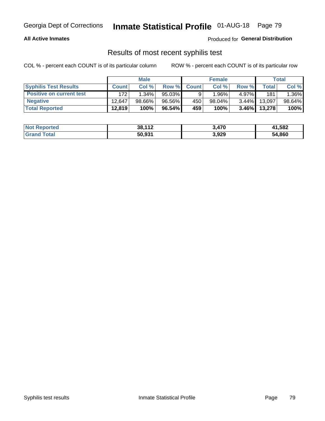#### **All Active Inmates**

Produced for **General Distribution**

### Results of most recent syphilis test

|                                 | <b>Male</b>  |           |           | <b>Female</b> |          |          | Total  |        |
|---------------------------------|--------------|-----------|-----------|---------------|----------|----------|--------|--------|
| <b>Syphilis Test Results</b>    | <b>Count</b> | Col%      | Row %     | <b>Count</b>  | Col %    | Row %    | Total  | Col %  |
| <b>Positive on current test</b> | 172          | $1.34\%$  | $95.03\%$ |               | $1.96\%$ | $4.97\%$ | 181    | 1.36%  |
| <b>Negative</b>                 | 12.647       | $98.66\%$ | 96.56%    | 450           | 98.04%   | $3.44\%$ | 13,097 | 98.64% |
| <b>Total Reported</b>           | 12,819       | 100%      | 96.54%    | 459           | 100%     | $3.46\%$ | 13,278 | 100%   |

| <b>Not Reported</b> | 38,112 | 3,470 | 41,582 |
|---------------------|--------|-------|--------|
| <b>Grand Total</b>  | 50,931 | 3,929 | 54,860 |